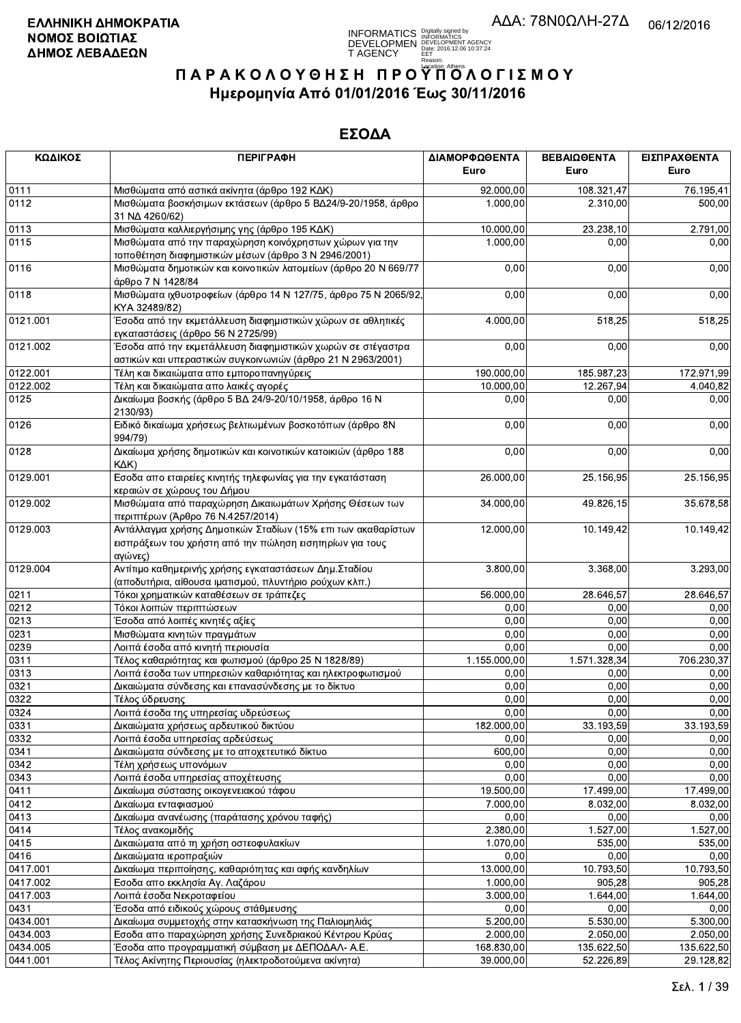**INFORMATICS** Digitally signed by<br>DEVELOPMEN DEVELOPMENT AGENCY<br>T AGENCY Early 2016.12.06 10:37:24<br>T AGENCY Early 2016.12.06 10:37:24

# ΠΑΡΑΚΟΛΟΥΘΗΣΗ ΠΡΟΥΠΌΛΟΓΙΣΜΟΥ Ημερομηνία Από 01/01/2016 Έως 30/11/2016

| ΚΩΔΙΚΟΣ  | <b>ПЕРІГРАФН</b>                                                                                                                    | ΔΙΑΜΟΡΦΩΘΕΝΤΑ<br>Euro | ΒΕΒΑΙΩΘΕΝΤΑ<br>Euro | ΕΙΣΠΡΑΧΘΕΝΤΑ<br>Euro |
|----------|-------------------------------------------------------------------------------------------------------------------------------------|-----------------------|---------------------|----------------------|
| 0111     | Μισθώματα από αστικά ακίνητα (άρθρο 192 ΚΔΚ)                                                                                        | 92.000,00             | 108.321,47          | 76.195,41            |
| 0112     | Μισθώματα βοσκήσιμων εκτάσεων (άρθρο 5 ΒΔ24/9-20/1958, άρθρο<br>31 NA 4260/62)                                                      | 1.000,00              | 2.310,00            | 500,00               |
| 0113     | Μισθώματα καλλιεργήσιμης γης (άρθρο 195 ΚΔΚ)                                                                                        | 10.000,00             | 23.238,10           | 2.791,00             |
| 0115     | Μισθώματα από την παραχώρηση κοινόχρηστων χώρων για την<br>τοποθέτηση διαφημιστικών μέσων (άρθρο 3 Ν 2946/2001)                     | 1.000,00              | 0,00                | 0,00                 |
| 0116     | Μισθώματα δημοτικών και κοινοτικών λατομείων (άρθρο 20 Ν 669/77<br>άρθρο 7 Ν 1428/84                                                | 0,00                  | 0,00                | 0,00                 |
| 0118     | Μισθώματα ιχθυοτροφείων (άρθρο 14 Ν 127/75, άρθρο 75 Ν 2065/92,<br>KYA 32489/82)                                                    | 0,00                  | 0,00                | 0,00                 |
| 0121.001 | Έσοδα από την εκμετάλλευση διαφημιστικών χώρων σε αθλητικές<br>εγκαταστάσεις (άρθρο 56 Ν 2725/99)                                   | 4.000,00              | 518,25              | 518,25               |
| 0121.002 | Έσοδα από την εκμετάλλευση διαφημιστικών χωρών σε στέγαστρα<br>αστικών και υπεραστικών συγκοινωνιών (άρθρο 21 Ν 2963/2001)          | 0,00                  | 0,00                | 0,00                 |
| 0122.001 | Τέλη και δικαιώματα απο εμποροπανηγύρεις                                                                                            | 190.000,00            | 185.987,23          | 172.971,99           |
| 0122.002 | Τέλη και δικαιώματα απο λαικές αγορές                                                                                               | 10.000,00             | 12.267,94           | 4.040,82             |
| 0125     | Δικαίωμα βοσκής (άρθρο 5 ΒΔ 24/9-20/10/1958, άρθρο 16 Ν<br>2130/93)                                                                 | 0,00                  | 0,00                | 0,00                 |
| 0126     | Ειδικό δικαίωμα χρήσεως βελτιωμένων βοσκοτόπων (άρθρο 8Ν<br>994/79)                                                                 | 0,00                  | 0,00                | 0,00                 |
| 0128     | Δικαίωμα χρήσης δημοτικών και κοινοτικών κατοικιών (άρθρο 188<br>$K\Delta K$                                                        | 0,00                  | 0,00                | 0,00                 |
| 0129.001 | Εσοδα απο εταιρείες κινητής τηλεφωνίας για την εγκατάσταση<br>κεραιών σε χώρους του Δήμου                                           | 26.000,00             | 25.156,95           | 25.156,95            |
| 0129.002 | Μισθώματα από παραχώρηση Δικαιωμάτων Χρήσης Θέσεων των<br>περιπτέρων (Άρθρο 76 Ν.4257/2014)                                         | 34.000,00             | 49.826,15           | 35.678,58            |
| 0129.003 | Αντάλλαγμα χρήσης Δημοτικών Σταδίων (15% επι των ακαθαρίστων<br>εισπράξεων του χρήστη από την πώληση εισητηρίων για τους<br>αγώνες) | 12.000,00             | 10.149,42           | 10.149,42            |
| 0129.004 | Αντίτιμο καθημερινής χρήσης εγκαταστάσεων Δημ. Σταδίου<br>(αποδυτήρια, αίθουσα ιματισμού, πλυντήριο ρούχων κλπ.)                    | 3.800,00              | 3.368,00            | 3.293,00             |
| 0211     | Τόκοι χρηματικών καταθέσεων σε τράπεζες                                                                                             | 56.000,00             | 28.646,57           | 28.646,57            |
| 0212     | Τόκοι λοιπών περιπτώσεων                                                                                                            | 0,00                  | 0,00                | 0,00                 |
| 0213     | Έσοδα από λοιπές κινητές αξίες                                                                                                      | 0,00                  | 0,00                | 0,00                 |
| 0231     | Μισθώματα κινητών πραγμάτων                                                                                                         | 0,00                  | 0,00                | 0,00                 |
| 0239     | Λοιπά έσοδα από κινητή περιουσία                                                                                                    | 0,00                  | 0,00                | 0,00                 |
| 0311     | Τέλος καθαριότητας και φωτισμού (άρθρο 25 Ν 1828/89)                                                                                | 1.155.000,00          | 1.571.328,34        | 706.230,37           |
| 0313     | Λοιπά έσοδα των υπηρεσιών καθαριότητας και ηλεκτροφωτισμού                                                                          | 0,00                  | 0,00                | 0,00                 |
| 0321     | Δικαιώματα σύνδεσης και επανασύνδεσης με το δίκτυο                                                                                  | 0,00                  | 0,00                | 0,00                 |
| 0322     | Τέλος ύδρευσης                                                                                                                      | 0,00                  | 0,00                | 0,00                 |
| 0324     | Λοιπά έσοδα της υπηρεσίας υδρεύσεως                                                                                                 | 0,00                  | 0,00                | 0,00                 |
| 0331     | Δικαιώματα χρήσεως αρδευτικού δικτύου                                                                                               | 182.000,00            | 33.193,59           | 33.193,59            |
| 0332     | Λοιπά έσοδα υπηρεσίας αρδεύσεως                                                                                                     | 0,00                  | 0,00                | 0,00                 |
| 0341     | Δικαιώματα σύνδεσης με το αποχετευτικό δίκτυο                                                                                       | 600,00                | 0,00                | 0,00                 |
| 0342     | Τέλη χρήσεως υπονόμων                                                                                                               | 0,00                  | 0,00                | 0,00                 |
| 0343     | Λοιπά έσοδα υπηρεσίας αποχέτευσης                                                                                                   | 0,00                  | 0,00                | 0,00                 |
| 0411     | Δικαίωμα σύστασης οικογενειακού τάφου                                                                                               | 19.500,00             | 17.499,00           | 17.499,00            |
| 0412     | Δικαίωμα ενταφιασμού                                                                                                                | 7.000,00              | 8.032,00            | 8.032,00             |
| 0413     | Δικαίωμα ανανέωσης (παράτασης χρόνου ταφής)                                                                                         | 0,00                  | 0,00                | 0,00                 |
| 0414     | Τέλος ανακομιδής                                                                                                                    | 2.380,00              | 1.527,00            | 1.527,00             |
| 0415     | Δικαιώματα από τη χρήση οστεοφυλακίων                                                                                               | 1.070,00              | 535,00              | 535,00               |
| 0416     | Δικαιώματα ιεροπραξιών                                                                                                              | 0,00                  | 0,00                | 0.00                 |
| 0417.001 | Δικαίωμα περιποίησης, καθαριότητας και αφής κανδηλίων                                                                               | 13.000,00             | 10.793,50           | 10.793,50            |
| 0417.002 | Εσοδα απο εκκλησία Αγ. Λαζάρου                                                                                                      | 1.000,00              | 905,28              | 905,28               |
| 0417.003 | Λοιπά έσοδα Νεκροταφείου                                                                                                            | 3.000,00              | 1.644,00            | 1.644,00             |
| 0431     | Έσοδα από ειδικούς χώρους στάθμευσης                                                                                                | 0,00                  | 0,00                | 0.00                 |
| 0434.001 | Δικαίωμα συμμετοχής στην κατασκήνωση της Παλιομηλιάς                                                                                | 5.200,00              | 5.530,00            | 5.300,00             |
| 0434.003 | Εσοδα απο παραχώρηση χρήσης Συνεδριακού Κέντρου Κρύας                                                                               | 2.000,00              | 2.050,00            | 2.050,00             |
| 0434.005 | Έσοδα απο προγραμματική σύμβαση με ΔΕΠΟΔΑΛ- Α.Ε.                                                                                    | 168.830,00            | 135.622,50          | 135.622,50           |
| 0441.001 | Τέλος Ακίνητης Περιουσίας (ηλεκτροδοτούμενα ακίνητα)                                                                                | 39.000,00             | 52.226,89           | 29.128,82            |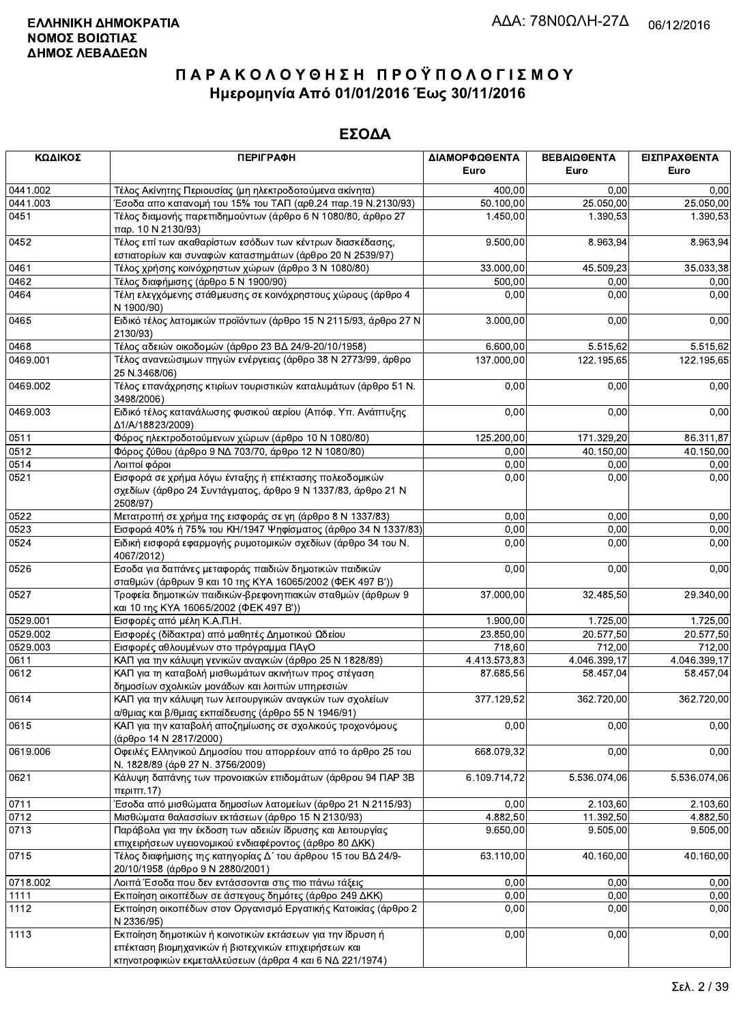| ΚΩΔΙΚΟΣ  | <b>ПЕРІГРАФН</b>                                                                                                                   | ΔΙΑΜΟΡΦΩΘΕΝΤΑ | ΒΕΒΑΙΩΘΕΝΤΑ  | ΕΙΣΠΡΑΧΘΕΝΤΑ |
|----------|------------------------------------------------------------------------------------------------------------------------------------|---------------|--------------|--------------|
|          |                                                                                                                                    | <b>Euro</b>   | Euro         | Euro         |
| 0441.002 | Τέλος Ακίνητης Περιουσίας (μη ηλεκτροδοτούμενα ακίνητα)                                                                            | 400,00        | 0,00         | 0,00         |
| 0441.003 | Έσοδα απο κατανομή του 15% του ΤΑΠ (αρθ.24 παρ.19 Ν.2130/93)                                                                       | 50.100,00     | 25.050,00    | 25.050,00    |
| 0451     | Τέλος διαμονής παρεπιδημούντων (άρθρο 6 Ν 1080/80, άρθρο 27<br>παρ. 10 N 2130/93)                                                  | 1.450,00      | 1.390,53     | 1.390,53     |
| 0452     | Τέλος επί των ακαθαρίστων εσόδων των κέντρων διασκέδασης,<br>εστιατορίων και συναφών καταστημάτων (άρθρο 20 Ν 2539/97)             | 9.500,00      | 8.963,94     | 8.963,94     |
| 0461     | Τέλος χρήσης κοινόχρηστων χώρων (άρθρο 3 Ν 1080/80)                                                                                | 33.000,00     | 45.509,23    | 35.033,38    |
| 0462     | Τέλος διαφήμισης (άρθρο 5 Ν 1900/90)                                                                                               | 500.00        | 0,00         | 0,00         |
| 0464     | Τέλη ελεγχόμενης στάθμευσης σε κοινόχρηστους χώρους (άρθρο 4<br>N 1900/90)                                                         | 0,00          | 0,00         | 0,00         |
| 0465     | Ειδικό τέλος λατομικών προϊόντων (άρθρο 15 Ν 2115/93, άρθρο 27 Ν<br>2130/93)                                                       | 3.000,00      | 0,00         | 0,00         |
| 0468     | Τέλος αδειών οικοδομών (άρθρο 23 ΒΔ 24/9-20/10/1958)                                                                               | 6.600,00      | 5.515,62     | 5.515,62     |
| 0469.001 | Τέλος ανανεώσιμων πηγών ενέργειας (άρθρο 38 Ν 2773/99, άρθρο<br>25 N.3468/06)                                                      | 137.000,00    | 122.195,65   | 122.195,65   |
| 0469.002 | Τέλος επανάχρησης κτιρίων τουριστικών καταλυμάτων (άρθρο 51 Ν.<br>3498/2006)                                                       | 0,00          | 0,00         | 0,00         |
| 0469.003 | Ειδικό τέλος κατανάλωσης φυσικού αερίου (Απόφ. Υπ. Ανάπτυξης<br>Δ1/A/18823/2009)                                                   | 0,00          | 0,00         | 0,00         |
| 0511     | Φόρος ηλεκτροδοτούμενων χώρων (άρθρο 10 Ν 1080/80)                                                                                 | 125.200,00    | 171.329,20   | 86.311,87    |
| 0512     | Φόρος ζύθου (άρθρο 9 ΝΔ 703/70, άρθρο 12 Ν 1080/80)                                                                                | 0,00          | 40.150,00    | 40.150,00    |
| 0514     | Λοιποί φόροι                                                                                                                       | 0,00          | 0,00         | 0,00         |
| 0521     | Εισφορά σε χρήμα λόγω ένταξης ή επέκτασης πολεοδομικών<br>σχεδίων (άρθρο 24 Συντάγματος, άρθρο 9 Ν 1337/83, άρθρο 21 Ν<br>2508/97) | 0,00          | 0,00         | 0,00         |
| 0522     | Μετατροπή σε χρήμα της εισφοράς σε γη (άρθρο 8 Ν 1337/83)                                                                          | 0,00          | 0,00         | 0,00         |
| 0523     | Εισφορά 40% ή 75% του ΚΗ/1947 Ψηφίσματος (άρθρο 34 Ν 1337/83)                                                                      | 0,00          | 0,00         | 0,00         |
| 0524     | Ειδική εισφορά εφαρμογής ρυμοτομικών σχεδίων (άρθρο 34 του Ν.<br>4067/2012)                                                        | 0,00          | 0,00         | 0,00         |
| 0526     | Εσοδα για δαπάνες μεταφοράς παιδιών δημοτικών παιδικών<br>σταθμών (άρθρων 9 και 10 της ΚΥΑ 16065/2002 (ΦΕΚ 497 Β'))                | 0,00          | 0,00         | 0,00         |
| 0527     | Τροφεία δημοτικών παιδικών-βρεφονηπιακών σταθμών (άρθρων 9<br>και 10 της ΚΥΑ 16065/2002 (ΦΕΚ 497 Β'))                              | 37.000,00     | 32.485,50    | 29.340,00    |
| 0529.001 | Εισφορές από μέλη Κ.Α.Π.Η.                                                                                                         | 1.900,00      | 1.725,00     | 1.725,00     |
| 0529.002 | Εισφορές (δίδακτρα) από μαθητές Δημοτικού Ωδείου                                                                                   | 23.850,00     | 20.577,50    | 20.577,50    |
| 0529.003 | Εισφορές αθλουμένων στο πρόγραμμα ΠΑγΟ                                                                                             | 718,60        | 712,00       | 712,00       |
| 0611     | ΚΑΠ για την κάλυψη γενικών αναγκών (άρθρο 25 Ν 1828/89)                                                                            | 4.413.573,83  | 4.046.399,17 | 4.046.399,17 |
| 0612     | ΚΑΠ για τη καταβολή μισθωμάτων ακινήτων προς στέγαση<br>δημοσίων σχολικών μονάδων και λοιπών υπηρεσιών                             | 87.685,56     | 58.457,04    | 58.457,04    |
| 0614     | ΚΑΠ για την κάλυψη των λειτουργικών αναγκών των σχολείων<br>α/θμιας και β/θμιας εκπαίδευσης (άρθρο 55 Ν 1946/91)                   | 377.129,52    | 362.720,00   | 362.720,00   |
| 0615     | ΚΑΠ για την καταβολή αποζημίωσης σε σχολικούς τροχονόμους<br>(άρθρο 14 Ν 2817/2000)                                                | 0,00          | 0,00         | 0,00         |
| 0619.006 | Οφειλές Ελληνικού Δημοσίου που απορρέουν από το άρθρο 25 του<br>Ν. 1828/89 (άρθ 27 Ν. 3756/2009)                                   | 668.079,32    | 0,00         | 0,00         |
| 0621     | Κάλυψη δαπάνης των προνοιακών επιδομάτων (άρθρου 94 ΠΑΡ 3Β<br>περιπτ.17)                                                           | 6.109.714,72  | 5.536.074,06 | 5.536.074,06 |
| 0711     | Έσοδα από μισθώματα δημοσίων λατομείων (άρθρο 21 Ν 2115/93)                                                                        | 0,00          | 2.103,60     | 2.103,60     |
| 0712     | Μισθώματα θαλασσίων εκτάσεων (άρθρο 15 Ν 2130/93)                                                                                  | 4.882,50      | 11.392,50    | 4.882,50     |
| 0713     | Παράβολα για την έκδοση των αδειών ίδρυσης και λειτουργίας                                                                         | 9.650,00      | 9.505,00     | 9.505,00     |
|          | επιχειρήσεων υγειονομικού ενδιαφέροντος (άρθρο 80 ΔΚΚ)                                                                             |               |              |              |
| 0715     | Τέλος διαφήμισης της κατηγορίας Δ΄ του άρθρου 15 του ΒΔ 24/9-<br>20/10/1958 (άρθρο 9 Ν 2880/2001)                                  | 63.110,00     | 40.160,00    | 40.160,00    |
| 0718.002 | Λοιπά Έσοδα που δεν εντάσσονται στις πιο πάνω τάξεις                                                                               | 0,00          | 0,00         | 0,00         |
| 1111     | Εκποίηση οικοπέδων σε άστεγους δημότες (άρθρο 249 ΔΚΚ)                                                                             | 0,00          | 0,00         | 0,00         |
| 1112     | Εκποίηση οικοπέδων στον Οργανισμό Εργατικής Κατοικίας (άρθρο 2<br>N 2336/95)                                                       | 0,00          | 0,00         | 0,00         |
| 1113     | Εκποίηση δημοτικών ή κοινοτικών εκτάσεων για την ίδρυση ή                                                                          | 0,00          | 0,00         | 0,00         |
|          | επέκταση βιομηχανικών ή βιοτεχνικών επιχειρήσεων και                                                                               |               |              |              |
|          | κτηνοτροφικών εκμεταλλεύσεων (άρθρα 4 και 6 ΝΔ 221/1974)                                                                           |               |              |              |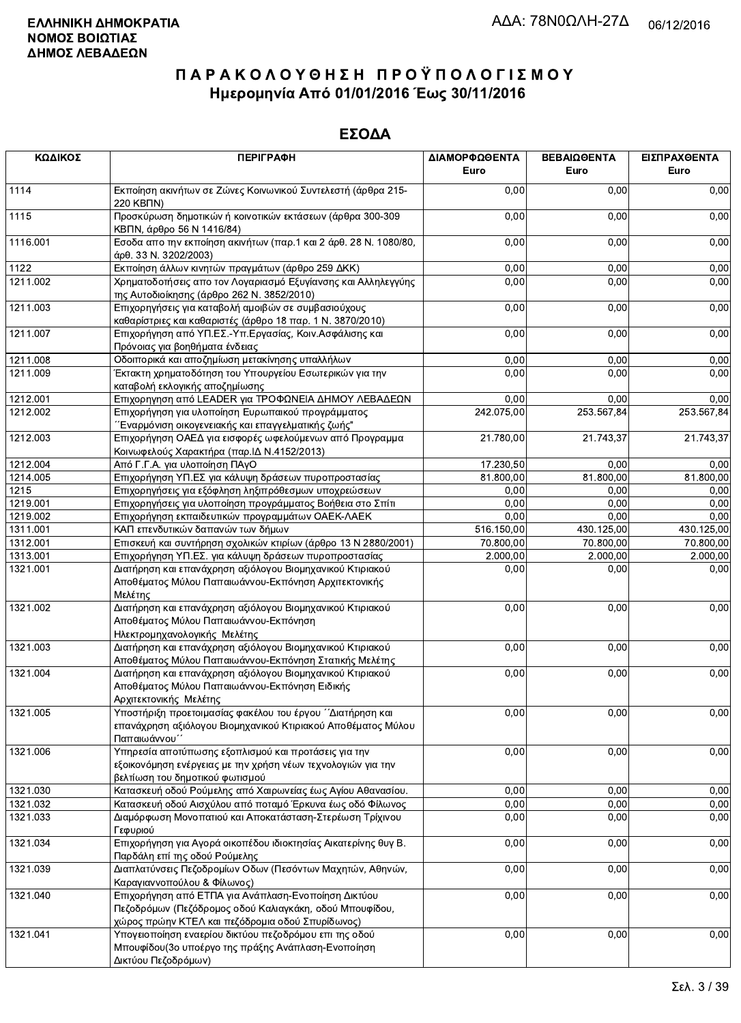| ΚΩΔΙΚΟΣ              | <b>ПЕРІГРАФН</b>                                                                                                       | ΔΙΑΜΟΡΦΩΘΕΝΤΑ<br>Euro  | ΒΕΒΑΙΩΘΕΝΤΑ<br>Euro   | ΕΙΣΠΡΑΧΘΕΝΤΑ<br>Euro  |
|----------------------|------------------------------------------------------------------------------------------------------------------------|------------------------|-----------------------|-----------------------|
| 1114                 | Εκποίηση ακινήτων σε Ζώνες Κοινωνικού Συντελεστή (άρθρα 215-<br>220 KBNN)                                              | 0,00                   | 0,00                  | 0,00                  |
| 1115                 | Προσκύρωση δημοτικών ή κοινοτικών εκτάσεων (άρθρα 300-309<br>ΚΒΠΝ, άρθρο 56 Ν 1416/84)                                 | 0,00                   | 0,00                  | 0,00                  |
| 1116.001             | Εσοδα απο την εκποίηση ακινήτων (παρ.1 και 2 άρθ. 28 Ν. 1080/80,<br>άρθ. 33 Ν. 3202/2003)                              | 0,00                   | 0,00                  | 0,00                  |
| 1122                 | Εκποίηση άλλων κινητών πραγμάτων (άρθρο 259 ΔΚΚ)                                                                       | 0,00                   | 0,00                  | 0,00                  |
| 1211.002             | Χρηματοδοτήσεις απο τον Λογαριασμό Εξυγίανσης και Αλληλεγγύης                                                          | 0,00                   | 0,00                  | 0,00                  |
|                      | της Αυτοδιοίκησης (άρθρο 262 Ν. 3852/2010)                                                                             |                        |                       |                       |
| 1211.003             | Επιχορηγήσεις για καταβολή αμοιβών σε συμβασιούχους                                                                    | 0,00                   | 0,00                  | 0,00                  |
|                      | καθαρίστριες και καθαριστές (άρθρο 18 παρ. 1 Ν. 3870/2010)                                                             |                        |                       |                       |
| 1211.007             | Επιχορήγηση από ΥΠ.ΕΣ.-Υπ.Εργασίας, Κοιν.Ασφάλισης και<br>Πρόνοιας για βοηθήματα ένδειας                               | 0,00                   | 0,00                  | 0,00                  |
| 1211.008             | Οδοιπορικά και αποζημίωση μετακίνησης υπαλλήλων                                                                        | 0,00                   | 0,00                  | 0,00                  |
| 1211.009             | Έκτακτη χρηματοδότηση του Υπουργείου Εσωτερικών για την                                                                | 0,00                   | 0,00                  | 0,00                  |
|                      | καταβολή εκλογικής αποζημίωσης                                                                                         |                        |                       |                       |
| 1212.001             | Επιχορηγηση από LEADER για ΤΡΟΦΩΝΕΙΑ ΔΗΜΟΥ ΛΕΒΑΔΕΩΝ                                                                    | 0,00                   | 0,00                  | 0,00                  |
| 1212.002             | Επιχορήγηση για υλοποίηση Ευρωπαικού προγράμματος                                                                      | 242.075,00             | 253.567,84            | 253.567,84            |
|                      | Έναρμόνιση οικογενειακής και επαγγελματικής ζωής"                                                                      |                        |                       |                       |
| 1212.003             | Επιχορήγηση ΟΑΕΔ για εισφορές ωφελούμενων από Προγραμμα                                                                | 21.780,00              | 21.743,37             | 21.743,37             |
|                      | Κοινωφελούς Χαρακτήρα (παρ. ΙΔ Ν.4152/2013)                                                                            |                        |                       |                       |
| 1212.004             | Από Γ.Γ.Α. για υλοποίηση ΠΑγΟ                                                                                          | $\overline{17.230,50}$ | 0,00                  | 0,00                  |
| 1214.005             | Επιχορήγηση ΥΠ.ΕΣ για κάλυψη δράσεων πυροπροστασίας                                                                    | 81.800,00              | 81.800,00             | 81.800,00             |
| 1215                 | Επιχορηγήσεις για εξόφληση ληξιπρόθεσμων υποχρεώσεων                                                                   | 0,00                   | 0,00                  | 0,00                  |
| 1219.001             | Επιχορηγήσεις για υλοποίηση προγράμματος Βοήθεια στο Σπίτι                                                             | 0,00                   | 0,00                  | 0,00                  |
| 1219.002             | Επιχορήγηση εκπαιδευτικών προγραμμάτων ΟΑΕΚ-ΛΑΕΚ                                                                       | 0,00                   | 0,00                  | 0,00                  |
| 1311.001             | ΚΑΠ επενδυτικών δαπανών των δήμων                                                                                      | 516.150,00             | 430.125,00            | 430.125,00            |
| 1312.001<br>1313.001 | Επισκευή και συντήρηση σχολικών κτιρίων (άρθρο 13 Ν 2880/2001)<br>Επιχορήγηση ΥΠ.ΕΣ. για κάλυψη δράσεων πυροπροστασίας | 70.800,00<br>2.000,00  | 70.800,00<br>2.000,00 | 70.800,00<br>2.000,00 |
| 1321.001             | Διατήρηση και επανάχρηση αξιόλογου Βιομηχανικού Κτιριακού                                                              | 0,00                   | 0,00                  | 0,00                  |
|                      | Αποθέματος Μύλου Παπαιωάννου-Εκπόνηση Αρχιτεκτονικής<br>Μελέτης                                                        |                        |                       |                       |
| 1321.002             | Διατήρηση και επανάχρηση αξιόλογου Βιομηχανικού Κτιριακού                                                              | 0,00                   | 0,00                  | 0,00                  |
|                      | Αποθέματος Μύλου Παπαιωάννου-Εκπόνηση                                                                                  |                        |                       |                       |
|                      | Ηλεκτρομηχανολογικής Μελέτης                                                                                           |                        |                       |                       |
| 1321.003             | Διατήρηση και επανάχρηση αξιόλογου Βιομηχανικού Κτιριακού<br>Αποθέματος Μύλου Παπαιωάννου-Εκπόνηση Στατικής Μελέτης    | 0,00                   | 0,00                  | 0,00                  |
| 1321.004             | Διατήρηση και επανάχρηση αξιόλογου Βιομηχανικού Κτιριακού                                                              | 0,00                   | 0,00                  | 0,00                  |
|                      | Αποθέματος Μύλου Παπαιωάννου-Εκπόνηση Ειδικής                                                                          |                        |                       |                       |
|                      | Αρχιτεκτονικής Μελέτης                                                                                                 |                        |                       |                       |
| 1321.005             | Υποστήριξη προετοιμασίας φακέλου του έργου ΄΄Διατήρηση και                                                             | 0,00                   | 0,00                  | 0,00                  |
|                      | επανάχρηση αξιόλογου Βιομηχανικού Κτιριακού Αποθέματος Μύλου                                                           |                        |                       |                       |
|                      | Παπαιωάννου'                                                                                                           |                        |                       |                       |
| 1321.006             | Υπηρεσία αποτύπωσης εξοπλισμού και προτάσεις για την                                                                   | 0,00                   | 0,00                  | 0,00                  |
|                      | εξοικονόμηση ενέργειας με την χρήση νέων τεχνολογιών για την                                                           |                        |                       |                       |
|                      | βελτίωση του δημοτικού φωτισμού                                                                                        |                        |                       |                       |
| 1321.030             | Κατασκευή οδού Ρούμελης από Χαιρωνείας έως Αγίου Αθανασίου.                                                            | 0,00                   | 0,00                  | 0,00                  |
| 1321.032<br>1321.033 | Κατασκευή οδού Αισχύλου από ποταμό Έρκυνα έως οδό Φίλωνος<br>Διαμόρφωση Μονοπατιού και Αποκατάσταση-Στερέωση Τρίχινου  | 0,00<br>0,00           | 0,00<br>0,00          | 0,00<br>0,00          |
|                      | Γεφυριού                                                                                                               |                        |                       |                       |
| 1321.034             | Επιχορήγηση για Αγορά οικοπέδου ιδιοκτησίας Αικατερίνης θυγ Β.<br>Παρδάλη επί της οδού Ρούμελης                        | 0,00                   | 0,00                  | 0,00                  |
| 1321.039             | Διαπλατύνσεις Πεζοδρομίων Οδων (Πεσόντων Μαχητών, Αθηνών,<br>Καραγιαννοπούλου & Φίλωνος)                               | 0,00                   | 0,00                  | 0,00                  |
| 1321.040             | Επιχορήγηση από ΕΤΠΑ για Ανάπλαση-Ενοποίηση Δικτύου                                                                    | 0,00                   | 0,00                  | 0,00                  |
|                      | Πεζοδρόμων (Πεζόδρομος οδού Καλιαγκάκη, οδού Μπουφίδου,                                                                |                        |                       |                       |
|                      | χώρος πρώην ΚΤΕΛ και πεζόδρομια οδού Σπυρίδωνος)                                                                       |                        |                       |                       |
| 1321.041             | Υπογειοποίηση εναερίου δικτύου πεζοδρόμου επι της οδού                                                                 | 0,00                   | 0,00                  | 0,00                  |
|                      | Μπουφίδου (3ο υποέργο της πράξης Ανάπλαση-Ενοποίηση                                                                    |                        |                       |                       |
|                      | Δικτύου Πεζοδρόμων)                                                                                                    |                        |                       |                       |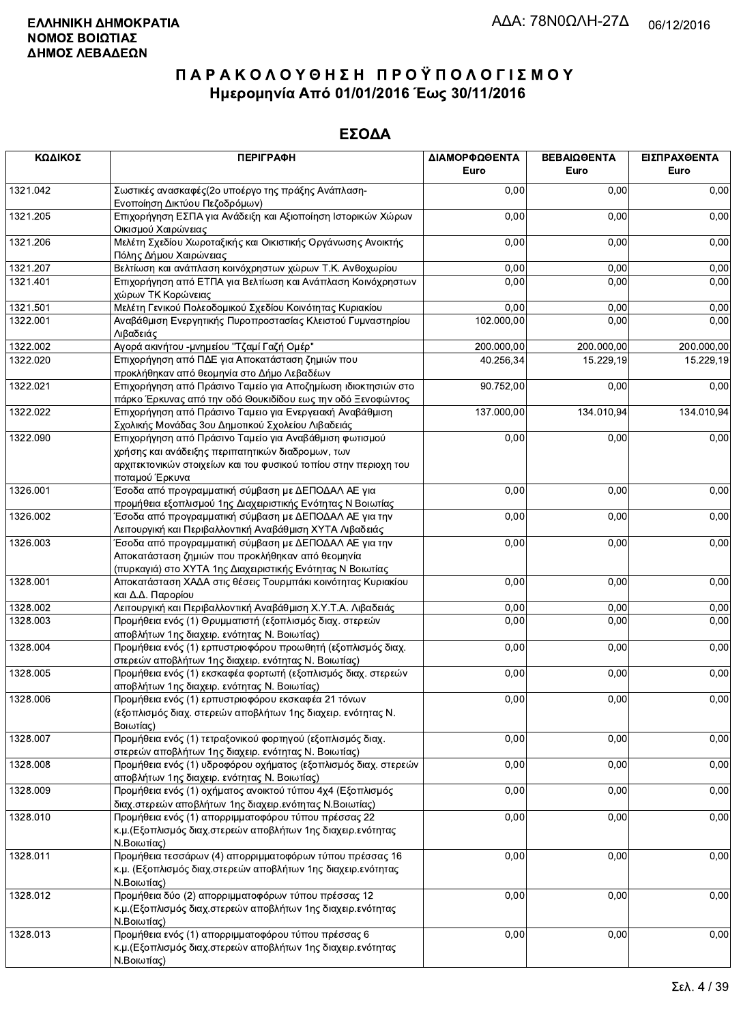| ΚΩΔΙΚΟΣ  | <b>ПЕРІГРАФН</b>                                                                                                                                                                | ΔΙΑΜΟΡΦΩΘΕΝΤΑ<br>Euro | ΒΕΒΑΙΩΘΕΝΤΑ<br>Euro | ΕΙΣΠΡΑΧΘΕΝΤΑ<br>Euro |
|----------|---------------------------------------------------------------------------------------------------------------------------------------------------------------------------------|-----------------------|---------------------|----------------------|
| 1321.042 | Σωστικές ανασκαφές (2ο υποέργο της πράξης Ανάπλαση-<br>Ενοποίηση Δικτύου Πεζοδρόμων)                                                                                            | 0,00                  | 0,00                | 0,00                 |
| 1321.205 | Επιχορήγηση ΕΣΠΑ για Ανάδειξη και Αξιοποίηση Ιστορικών Χώρων<br>Οικισμού Χαιρώνειας                                                                                             | 0,00                  | 0,00                | 0,00                 |
| 1321.206 | Μελέτη Σχεδίου Χωροταξικής και Οικιστικής Οργάνωσης Ανοικτής<br>Πόλης Δήμου Χαιρώνειας                                                                                          | 0,00                  | 0,00                | 0,00                 |
| 1321.207 | Βελτίωση και ανάπλαση κοινόχρηστων χώρων Τ.Κ. Ανθοχωρίου                                                                                                                        | 0,00                  | 0,00                | 0,00                 |
| 1321.401 | Επιχορήγηση από ΕΤΠΑ για Βελτίωση και Ανάπλαση Κοινόχρηστων<br>χώρων ΤΚ Κορώνειας                                                                                               | 0,00                  | 0,00                | 0,00                 |
| 1321.501 | Μελέτη Γενικού Πολεοδομικού Σχεδίου Κοινότητας Κυριακίου                                                                                                                        | 0,00                  | 0,00                | 0,00                 |
| 1322.001 | Αναβάθμιση Ενεργητικής Πυροπροστασίας Κλειστού Γυμναστηρίου<br>Λιβαδειάς                                                                                                        | 102.000,00            | 0,00                | 0,00                 |
| 1322.002 | Αγορά ακινήτου - μνημείου "Τζαμί Γαζή Ομέρ"                                                                                                                                     | 200.000,00            | 200.000,00          | 200.000,00           |
| 1322.020 | Επιχορήγηση από ΠΔΕ για Αποκατάσταση ζημιών που<br>προκλήθηκαν από θεομηνία στο Δήμο Λεβαδέων                                                                                   | 40.256,34             | 15.229,19           | 15.229,19            |
| 1322.021 | Επιχορήγηση από Πράσινο Ταμείο για Αποζημίωση ιδιοκτησιών στο<br>πάρκο Έρκυνας από την οδό Θουκιδίδου εως την οδό Ξενοφώντος                                                    | 90.752,00             | 0,00                | 0,00                 |
| 1322.022 | Επιχορήγηση από Πράσινο Ταμειο για Ενεργειακή Αναβάθμιση<br>Σχολικής Μονάδας 3ου Δημοτικού Σχολείου Λιβαδειάς                                                                   | 137.000,00            | 134.010,94          | 134.010,94           |
| 1322.090 | Επιχορήγηση από Πράσινο Ταμείο για Αναβάθμιση φωτισμού<br>χρήσης και ανάδειξης περιπατητικών διαδρομων, των<br>αρχιτεκτονικών στοιχείων και του φυσικού τοπίου στην περιοχη του | 0,00                  | 0,00                | 0,00                 |
| 1326.001 | ποταμού Έρκυνα<br>Έσοδα από προγραμματική σύμβαση με ΔΕΠΟΔΑΛ ΑΕ για                                                                                                             | 0,00                  | 0,00                | 0,00                 |
|          | προμήθεια εξοπλισμού 1ης Διαχειριστικής Ενότητας Ν Βοιωτίας                                                                                                                     |                       |                     |                      |
| 1326.002 | Έσοδα από προγραμματική σύμβαση με ΔΕΠΟΔΑΛ ΑΕ για την<br>Λειτουργική και Περιβαλλοντική Αναβάθμιση ΧΥΤΑ Λιβαδειάς                                                               | 0,00                  | 0,00                | 0,00                 |
| 1326.003 | Έσοδα από προγραμματική σύμβαση με ΔΕΠΟΔΑΛ ΑΕ για την<br>Αποκατάσταση ζημιών που προκλήθηκαν από θεομηνία                                                                       | 0,00                  | 0,00                | 0,00                 |
|          | (πυρκαγιά) στο ΧΥΤΑ 1ης Διαχειριστικής Ενότητας Ν Βοιωτίας                                                                                                                      |                       |                     |                      |
| 1328.001 | Αποκατάσταση ΧΑΔΑ στις θέσεις Τουρμπάκι κοινότητας Κυριακίου<br>και Δ.Δ. Παρορίου                                                                                               | 0,00                  | 0,00                | 0,00                 |
| 1328.002 | Λειτουργική και Περιβαλλοντική Αναβάθμιση Χ.Υ.Τ.Α. Λιβαδειάς                                                                                                                    | 0,00                  | 0,00                | 0,00                 |
| 1328.003 | Προμήθεια ενός (1) Θρυμματιστή (εξοπλισμός διαχ. στερεών<br>αποβλήτων 1ης διαχειρ. ενότητας Ν. Βοιωτίας)                                                                        | 0,00                  | 0,00                | 0,00                 |
| 1328.004 | Προμήθεια ενός (1) ερπυστριοφόρου προωθητή (εξοπλισμός διαχ.<br>στερεών αποβλήτων 1ης διαχειρ. ενότητας Ν. Βοιωτίας)                                                            | 0,00                  | 0,00                | 0,00                 |
| 1328.005 | Προμήθεια ενός (1) εκσκαφέα φορτωτή (εξοπλισμός διαχ. στερεών<br>αποβλήτων 1ης διαχειρ. ενότητας Ν. Βοιωτίας)                                                                   | 0,00                  | 0,00                | 0,00                 |
| 1328.006 | Προμήθεια ενός (1) ερπυστριοφόρου εκσκαφέα 21 τόνων<br>(εξοπλισμός διαχ. στερεών αποβλήτων 1ης διαχειρ. ενότητας Ν.<br>Βοιωτίας)                                                | 0,00                  | 0,00                | 0,00                 |
| 1328.007 | Προμήθεια ενός (1) τετραξονικού φορτηγού (εξοπλισμός διαχ.<br>στερεών αποβλήτων 1ης διαχειρ. ενότητας Ν. Βοιωτίας)                                                              | 0,00                  | 0,00                | 0,00                 |
| 1328.008 | Προμήθεια ενός (1) υδροφόρου οχήματος (εξοπλισμός διαχ. στερεών<br>αποβλήτων 1ης διαχειρ. ενότητας Ν. Βοιωτίας)                                                                 | 0,00                  | 0,00                | 0,00                 |
| 1328.009 | Προμήθεια ενός (1) οχήματος ανοικτού τύπου 4χ4 (Εξοπλισμός<br>διαχ.στερεών αποβλήτων 1ης διαχειρ.ενότητας Ν.Βοιωτίας)                                                           | 0,00                  | 0,00                | 0,00                 |
| 1328.010 | Προμήθεια ενός (1) απορριμματοφόρου τύπου πρέσσας 22<br>κ.μ. (Εξοπλισμός διαχ.στερεών αποβλήτων 1ης διαχειρ.ενότητας<br>Ν.Βοιωτίας)                                             | 0,00                  | 0,00                | 0,00                 |
| 1328.011 | Προμήθεια τεσσάρων (4) απορριμματοφόρων τύπου πρέσσας 16<br>κ.μ. (Εξοπλισμός διαχ.στερεών αποβλήτων 1ης διαχειρ.ενότητας                                                        | 0,00                  | 0,00                | 0,00                 |
| 1328.012 | Ν.Βοιωτίας)<br>Προμήθεια δύο (2) απορριμματοφόρων τύπου πρέσσας 12<br>κ.μ. (Εξοπλισμός διαχ. στερεών αποβλήτων 1ης διαχειρ. ενότητας<br>Ν.Βοιωτίας)                             | 0,00                  | 0,00                | 0,00                 |
| 1328.013 | Προμήθεια ενός (1) απορριμματοφόρου τύπου πρέσσας 6<br>κ.μ. (Εξοπλισμός διαχ. στερεών αποβλήτων 1ης διαχειρ. ενότητας<br>Ν.Βοιωτίας)                                            | 0,00                  | 0,00                | 0,00                 |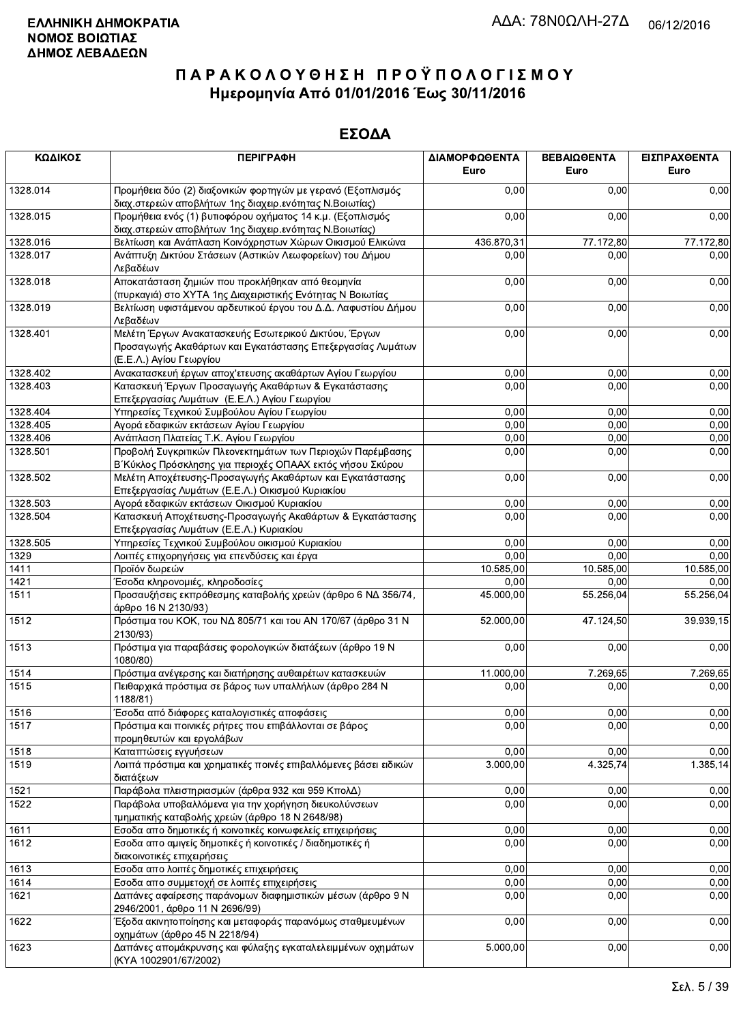| ΚΩΔΙΚΟΣ  | <b>ПЕРІГРАФН</b>                                                                                                                              | ΔΙΑΜΟΡΦΩΘΕΝΤΑ<br>Euro | ΒΕΒΑΙΩΘΕΝΤΑ<br>Euro | ΕΙΣΠΡΑΧΘΕΝΤΑ<br>Euro |
|----------|-----------------------------------------------------------------------------------------------------------------------------------------------|-----------------------|---------------------|----------------------|
| 1328.014 | Προμήθεια δύο (2) διαξονικών φορτηγών με γερανό (Εξοπλισμός<br>διαχ.στερεών αποβλήτων 1ης διαχειρ.ενότητας Ν.Βοιωτίας)                        | 0,00                  | 0,00                | 0,00                 |
| 1328.015 | Προμήθεια ενός (1) βυτιοφόρου οχήματος 14 κ.μ. (Εξοπλισμός<br>διαχ.στερεών αποβλήτων 1ης διαχειρ.ενότητας Ν.Βοιωτίας)                         | 0,00                  | 0,00                | 0,00                 |
| 1328.016 | Βελτίωση και Ανάπλαση Κοινόχρηστων Χώρων Οικισμού Ελικώνα                                                                                     | 436.870,31            | 77.172,80           | 77.172,80            |
| 1328.017 | Ανάπτυξη Δικτύου Στάσεων (Αστικών Λεωφορείων) του Δήμου<br>Λεβαδέων                                                                           | 0,00                  | 0,00                | 0,00                 |
| 1328.018 | Αποκατάσταση ζημιών που προκλήθηκαν από θεομηνία<br>(πυρκαγιά) στο ΧΥΤΑ 1ης Διαχειριστικής Ενότητας Ν Βοιωτίας                                | 0,00                  | 0,00                | 0,00                 |
| 1328.019 | Βελτίωση υφιστάμενου αρδευτικού έργου του Δ.Δ. Λαφυστίου Δήμου<br>Λεβαδέων                                                                    | 0,00                  | 0,00                | 0,00                 |
| 1328.401 | Μελέτη Έργων Ανακατασκευής Εσωτερικού Δικτύου, Έργων<br>Προσαγωγής Ακαθάρτων και Εγκατάστασης Επεξεργασίας Λυμάτων<br>(Ε.Ε.Λ.) Αγίου Γεωργίου | 0,00                  | 0,00                | 0,00                 |
| 1328.402 | Ανακατασκευή έργων αποχ'ετευσης ακαθάρτων Αγίου Γεωργίου                                                                                      | 0,00                  | 0,00                | 0,00                 |
| 1328.403 | Κατασκευή Έργων Προσαγωγής Ακαθάρτων & Εγκατάστασης<br>Επεξεργασίας Λυμάτων (Ε.Ε.Λ.) Αγίου Γεωργίου                                           | 0,00                  | 0,00                | 0,00                 |
| 1328.404 | Υπηρεσίες Τεχνικού Συμβούλου Αγίου Γεωργίου                                                                                                   | 0,00                  | 0,00                | 0,00                 |
| 1328.405 | Αγορά εδαφικών εκτάσεων Αγίου Γεωργίου                                                                                                        | 0,00                  | 0,00                | 0,00                 |
| 1328.406 | Ανάπλαση Πλατείας Τ.Κ. Αγίου Γεωργίου                                                                                                         | 0,00                  | 0,00                | 0,00                 |
| 1328.501 | Προβολή Συγκριτικών Πλεονεκτημάτων των Περιοχών Παρέμβασης<br>Β΄ Κύκλος Πρόσκλησης για περιοχές ΟΠΑΑΧ εκτός νήσου Σκύρου                      | 0,00                  | 0,00                | 0,00                 |
| 1328.502 | Μελέτη Αποχέτευσης-Προσαγωγής Ακαθάρτων και Εγκατάστασης<br>Επεξεργασίας Λυμάτων (Ε.Ε.Λ.) Οικισμού Κυριακίου                                  | 0,00                  | 0,00                | 0,00                 |
| 1328.503 | Αγορά εδαφικών εκτάσεων Οικισμού Κυριακίου                                                                                                    | 0,00                  | 0,00                | 0,00                 |
| 1328.504 | Κατασκευή Αποχέτευσης-Προσαγωγής Ακαθάρτων & Εγκατάστασης<br>Επεξεργασίας Λυμάτων (Ε.Ε.Λ.) Κυριακίου                                          | 0,00                  | 0,00                | 0,00                 |
| 1328.505 | Υπηρεσίες Τεχνικού Συμβούλου οικισμού Κυριακίου                                                                                               | 0,00                  | 0,00                | 0,00                 |
| 1329     | Λοιπές επιχορηγήσεις για επενδύσεις και έργα                                                                                                  | 0,00                  | 0,00                | 0,00                 |
| 1411     | Προϊόν δωρεών                                                                                                                                 | 10.585,00             | 10.585,00           | 10.585,00            |
| 1421     | Έσοδα κληρονομιές, κληροδοσίες                                                                                                                | 0,00                  | 0,00                | 0,00                 |
| 1511     | Προσαυξήσεις εκπρόθεσμης καταβολής χρεών (άρθρο 6 ΝΔ 356/74,<br>άρθρο 16 Ν 2130/93)                                                           | 45.000,00             | 55.256,04           | 55.256,04            |
| 1512     | Πρόστιμα του ΚΟΚ, του ΝΔ 805/71 και του ΑΝ 170/67 (άρθρο 31 Ν<br>2130/93)                                                                     | 52.000,00             | 47.124,50           | 39.939,15            |
| 1513     | Πρόστιμα για παραβάσεις φορολογικών διατάξεων (άρθρο 19 Ν<br>1080/80)                                                                         | 0,00                  | 0,00                | 0,00                 |
| 1514     | Πρόστιμα ανέγερσης και διατήρησης αυθαιρέτων κατασκευών                                                                                       | 11.000,00             | 7.269,65            | 7.269,65             |
| 1515     | Πειθαρχικά πρόστιμα σε βάρος των υπαλλήλων (άρθρο 284 Ν<br>1188/81)                                                                           | 0,00                  | 0,00                | 0,00                 |
| 1516     | Έσοδα από διάφορες καταλογιστικές αποφάσεις                                                                                                   | 0,00                  | 0,00                | 0,00                 |
| 1517     | Πρόστιμα και ποινικές ρήτρες που επιβάλλονται σε βάρος<br>προμηθευτών και εργολάβων                                                           | 0,00                  | 0,00                | 0,00                 |
| 1518     | Καταπτώσεις εγγυήσεων                                                                                                                         | 0,00                  | 0,00                | 0,00                 |
| 1519     | Λοιπά πρόστιμα και χρηματικές ποινές επιβαλλόμενες βάσει ειδικών<br>διατάξεων                                                                 | 3.000,00              | 4.325,74            | 1.385,14             |
| 1521     | Παράβολα πλειστηριασμών (άρθρα 932 και 959 ΚπολΔ)                                                                                             | 0,00                  | 0,00                | 0,00                 |
| 1522     | Παράβολα υποβαλλόμενα για την χορήγηση διευκολύνσεων<br>τμηματικής καταβολής χρεών (άρθρο 18 Ν 2648/98)                                       | 0,00                  | 0,00                | 0,00                 |
| 1611     | Εσοδα απο δημοτικές ή κοινοτικές κοινωφελείς επιχειρήσεις                                                                                     | 0,00                  | 0,00                | 0,00                 |
| 1612     | Εσοδα απο αμιγείς δημοτικές ή κοινοτικές / διαδημοτικές ή<br>διακοινοτικές επιχειρήσεις                                                       | 0,00                  | 0,00                | 0,00                 |
| 1613     | Εσοδα απο λοιπές δημοτικές επιχειρήσεις                                                                                                       | 0,00                  | 0,00                | 0,00                 |
| 1614     | Εσοδα απο συμμετοχή σε λοιπές επιχειρήσεις                                                                                                    | 0,00                  | 0,00                | 0,00                 |
| 1621     | Δαπάνες αφαίρεσης παράνομων διαφημιστικών μέσων (άρθρο 9 Ν<br>2946/2001, άρθρο 11 Ν 2696/99)                                                  | 0,00                  | 0,00                | 0,00                 |
| 1622     | Έξοδα ακινητοποίησης και μεταφοράς παρανόμως σταθμευμένων<br>οχημάτων (άρθρο 45 Ν 2218/94)                                                    | 0,00                  | 0,00                | 0,00                 |
| 1623     | Δαπάνες απομάκρυνσης και φύλαξης εγκαταλελειμμένων οχημάτων<br>(KYA 1002901/67/2002)                                                          | 5.000,00              | 0,00                | 0,00                 |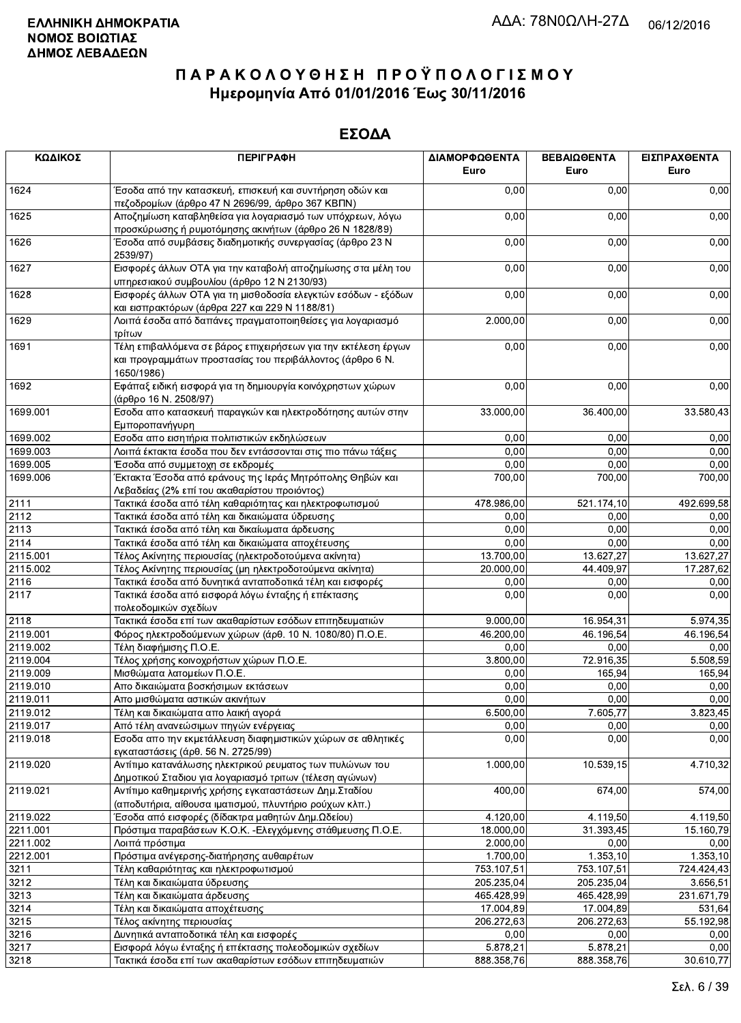| ΚΩΔΙΚΟΣ  | <b>ПЕРІГРАФН</b>                                                                                                                          | ΔΙΑΜΟΡΦΩΘΕΝΤΑ<br>Euro  | ΒΕΒΑΙΩΘΕΝΤΑ<br>Euro    | ΕΙΣΠΡΑΧΘΕΝΤΑ<br>Euro |
|----------|-------------------------------------------------------------------------------------------------------------------------------------------|------------------------|------------------------|----------------------|
| 1624     | Έσοδα από την κατασκευή, επισκευή και συντήρηση οδών και<br>πεζοδρομίων (άρθρο 47 Ν 2696/99, άρθρο 367 ΚΒΠΝ)                              | 0,00                   | 0,00                   | 0,00                 |
| 1625     | Αποζημίωση καταβληθείσα για λογαριασμό των υπόχρεων, λόγω<br>προσκύρωσης ή ρυμοτόμησης ακινήτων (άρθρο 26 Ν 1828/89)                      | 0,00                   | 0,00                   | 0,00                 |
| 1626     | Έσοδα από συμβάσεις διαδημοτικής συνεργασίας (άρθρο 23 Ν<br>2539/97)                                                                      | 0,00                   | 0,00                   | 0,00                 |
| 1627     | Εισφορές άλλων ΟΤΑ για την καταβολή αποζημίωσης στα μέλη του<br>υπηρεσιακού συμβουλίου (άρθρο 12 Ν 2130/93)                               | 0,00                   | 0,00                   | 0,00                 |
| 1628     | Εισφορές άλλων ΟΤΑ για τη μισθοδοσία ελεγκτών εσόδων - εξόδων<br>και εισπρακτόρων (άρθρα 227 και 229 Ν 1188/81)                           | 0,00                   | 0,00                   | 0,00                 |
| 1629     | Λοιπά έσοδα από δαπάνες πραγματοποιηθείσες για λογαριασμό<br>τρίτων                                                                       | 2.000,00               | 0,00                   | 0,00                 |
| 1691     | Τέλη επιβαλλόμενα σε βάρος επιχειρήσεων για την εκτέλεση έργων<br>και προγραμμάτων προστασίας του περιβάλλοντος (άρθρο 6 Ν.<br>1650/1986) | 0,00                   | 0,00                   | 0,00                 |
| 1692     | Εφάπαξ ειδική εισφορά για τη δημιουργία κοινόχρηστων χώρων<br>(άρθρο 16 Ν. 2508/97)                                                       | 0,00                   | 0,00                   | 0,00                 |
| 1699.001 | Εσοδα απο κατασκευή παραγκών και ηλεκτροδότησης αυτών στην<br>Εμποροπανήγυρη                                                              | 33.000,00              | 36.400,00              | 33.580,43            |
| 1699.002 | Εσοδα απο εισητήρια πολιτιστικών εκδηλώσεων                                                                                               | 0,00                   | 0,00                   | 0,00                 |
| 1699.003 | Λοιπά έκτακτα έσοδα που δεν εντάσσονται στις πιο πάνω τάξεις                                                                              | 0,00                   | 0,00                   | 0,00                 |
| 1699.005 | Έσοδα από συμμετοχη σε εκδρομές                                                                                                           | 0,00                   | 0,00                   | 0,00                 |
| 1699.006 | Έκτακτα Έσοδα από εράνους της Ιεράς Μητρόπολης Θηβών και<br>Λεβαδείας (2% επί του ακαθαρίστου προιόντος)                                  | 700,00                 | 700,00                 | 700,00               |
| 2111     | Τακτικά έσοδα από τέλη καθαριότητας και ηλεκτροφωτισμού                                                                                   | 478.986,00             | 521.174,10             | 492.699,58           |
| 2112     | Τακτικά έσοδα από τέλη και δικαιώματα ύδρευσης                                                                                            | 0,00                   | 0,00                   | 0,00                 |
| 2113     | Τακτικά έσοδα από τέλη και δικαίωματα άρδευσης                                                                                            | 0,00                   | 0,00                   | 0,00                 |
| 2114     | Τακτικά έσοδα από τέλη και δικαιώματα αποχέτευσης                                                                                         | 0,00                   | 0,00                   | 0,00                 |
| 2115.001 | Τέλος Ακίνητης περιουσίας (ηλεκτροδοτούμενα ακίνητα)                                                                                      | 13.700,00              | 13.627,27              | 13.627,27            |
| 2115.002 | Τέλος Ακίνητης περιουσίας (μη ηλεκτροδοτούμενα ακίνητα)                                                                                   | 20.000,00              | 44.409,97              | 17.287,62            |
| 2116     | Τακτικά έσοδα από δυνητικά ανταποδοτικά τέλη και εισφορές                                                                                 | 0,00                   | 0,00                   | 0,00                 |
| 2117     | Τακτικά έσοδα από εισφορά λόγω ένταξης ή επέκτασης<br>πολεοδομικών σχεδίων                                                                | 0,00                   | 0,00                   | 0,00                 |
| 2118     | Τακτικά έσοδα επί των ακαθαρίστων εσόδων επιτηδευματιών                                                                                   | 9.000,00               | 16.954,31              | 5.974,35             |
| 2119.001 | Φόρος ηλεκτροδούμενων χώρων (άρθ. 10 Ν. 1080/80) Π.Ο.Ε.                                                                                   | 46.200,00              | 46.196,54              | 46.196,54            |
| 2119.002 | Τέλη διαφήμισης Π.Ο.Ε.                                                                                                                    | 0,00                   | 0,00                   | 0,00                 |
| 2119.004 | Τέλος χρήσης κοινοχρήστων χώρων Π.Ο.Ε.                                                                                                    | 3.800,00               | 72.916,35              | 5.508,59             |
| 2119.009 | Μισθώματα λατομείων Π.Ο.Ε.                                                                                                                | 0,00                   | 165,94                 | 165,94               |
| 2119.010 | Απο δικαιώματα βοσκήσιμων εκτάσεων                                                                                                        | 0,00                   | 0,00                   | 0,00                 |
| 2119.011 | Απο μισθώματα αστικών ακινήτων                                                                                                            | 0,00                   | 0,00                   | 0,00                 |
| 2119.012 | Τέλη και δικαιώματα απο λαική αγορά                                                                                                       | 6.500,00               | 7.605,77               | 3.823,45             |
| 2119.017 | Από τέλη ανανεώσιμων πηγών ενέργειας                                                                                                      | 0,00                   | 0,00                   | 0,00                 |
| 2119.018 | Εσοδα απο την εκμετάλλευση διαφημιστικών χώρων σε αθλητικές<br>εγκαταστάσεις (άρθ. 56 Ν. 2725/99)                                         | 0,00                   | 0,00                   | 0,00                 |
| 2119.020 | Αντίτιμο κατανάλωσης ηλεκτρικού ρευματος των πυλώνων του<br>Δημοτικού Σταδιου για λογαριασμό τριτων (τέλεση αγώνων)                       | 1.000,00               | 10.539,15              | 4.710,32             |
| 2119.021 | Αντίτιμο καθημερινής χρήσης εγκαταστάσεων Δημ.Σταδίου<br>(αποδυτήρια, αίθουσα ιματισμού, πλυντήριο ρούχων κλπ.)                           | 400,00                 | 674,00                 | 574,00               |
| 2119.022 | Έσοδα από εισφορές (δίδακτρα μαθητών Δημ.Ωδείου)                                                                                          | 4.120,00               | 4.119,50               | 4.119,50             |
| 2211.001 | Πρόστιμα παραβάσεων Κ.Ο.Κ. - Ελεγχόμενης στάθμευσης Π.Ο.Ε.                                                                                | 18.000,00              | 31.393,45              | 15.160,79            |
| 2211.002 | Λοιπά πρόστιμα                                                                                                                            | 2.000,00               | 0,00                   | 0,00                 |
| 2212.001 | Πρόστιμα ανέγερσης-διατήρησης αυθαιρέτων                                                                                                  | 1.700,00               | 1.353, 10              | 1.353,10             |
| 3211     | Τέλη καθαριότητας και ηλεκτροφωτισμού                                                                                                     | 753.107,51             | 753.107,51             | 724.424,43           |
| 3212     | Τέλη και δικαιώματα ύδρευσης                                                                                                              | 205.235,04             | 205.235,04             | 3.656,51             |
| 3213     | Τέλη και δικαιώματα άρδευσης                                                                                                              | 465.428,99             | 465.428,99             | 231.671,79           |
| 3214     | Τέλη και δικαιώματα αποχέτευσης                                                                                                           | 17.004,89              | 17.004,89              | 531,64               |
| 3215     |                                                                                                                                           | 206.272,63             | 206.272,63             | 55.192,98            |
| 3216     | Τέλος ακίνητης περιουσίας<br>Δυνητικά ανταποδοτικά τέλη και εισφορές                                                                      | 0,00                   | 0,00                   | 0,00                 |
| 3217     | Εισφορά λόγω ένταξης ή επέκτασης πολεοδομικών σχεδίων                                                                                     |                        |                        | 0,00                 |
| 3218     | Τακτικά έσοδα επί των ακαθαρίστων εσόδων επιτηδευματιών                                                                                   | 5.878,21<br>888.358.76 | 5.878,21<br>888.358.76 | 30.610.77            |
|          |                                                                                                                                           |                        |                        |                      |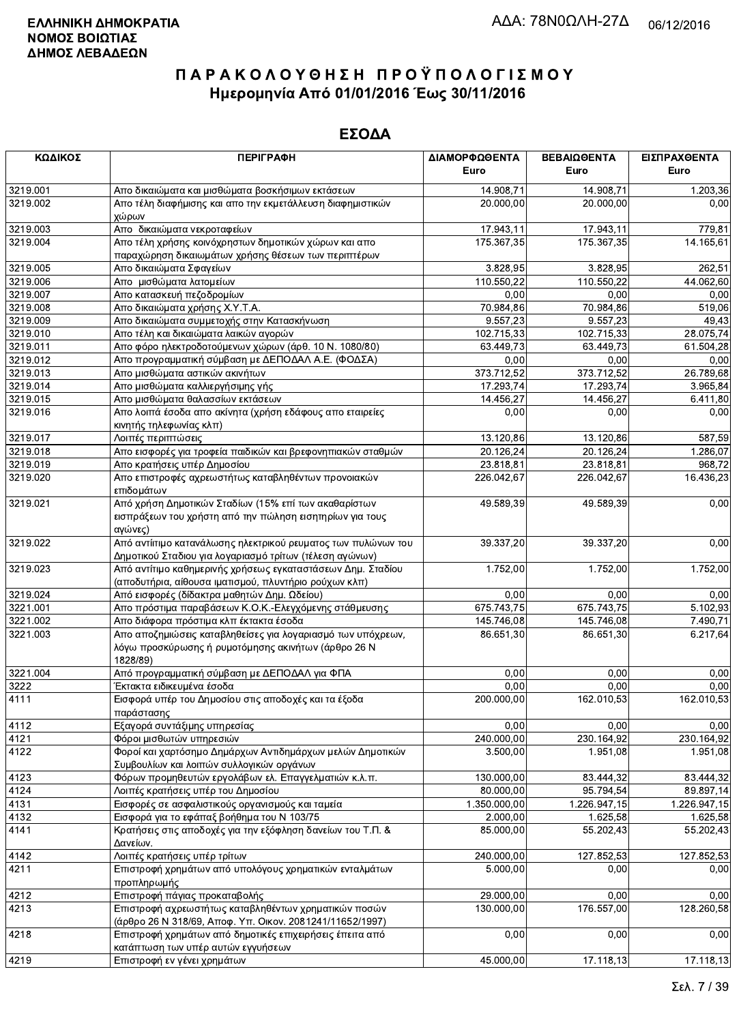| ΚΩΔΙΚΟΣ  | <b>ПЕРІГРАФН</b>                                                                                                               | ΔΙΑΜΟΡΦΩΘΕΝΤΑ<br>Euro | ΒΕΒΑΙΩΘΕΝΤΑ<br>Euro | ΕΙΣΠΡΑΧΘΕΝΤΑ<br>Euro |
|----------|--------------------------------------------------------------------------------------------------------------------------------|-----------------------|---------------------|----------------------|
| 3219.001 | Απο δικαιώματα και μισθώματα βοσκήσιμων εκτάσεων                                                                               | 14.908,71             | 14.908,71           | 1.203,36             |
| 3219.002 | Απο τέλη διαφήμισης και απο την εκμετάλλευση διαφημιστικών<br>χώρων                                                            | 20.000,00             | 20.000,00           | 0,00                 |
| 3219.003 | Απο δικαιώματα νεκροταφείων                                                                                                    | 17.943,11             | 17.943,11           | 779,81               |
| 3219.004 | Απο τέλη χρήσης κοινόχρηστων δημοτικών χώρων και απο<br>παραχώρηση δικαιωμάτων χρήσης θέσεων των περιπτέρων                    | 175.367,35            | 175.367,35          | 14.165,61            |
| 3219.005 | Απο δικαιώματα Σφαγείων                                                                                                        | 3.828,95              | 3.828,95            | 262,51               |
| 3219.006 | Απο μισθώματα λατομείων                                                                                                        | 110.550.22            | 110.550,22          | 44.062.60            |
| 3219.007 | Απο κατασκευή πεζοδρομίων                                                                                                      | 0,00                  | 0,00                | 0,00                 |
| 3219.008 | Απο δικαιώματα χρήσης Χ.Υ.Τ.Α.                                                                                                 | 70.984,86             | 70.984,86           | 519,06               |
| 3219.009 | Απο δικαιώματα συμμετοχής στην Κατασκήνωση                                                                                     | 9.557,23              | 9.557,23            | 49,43                |
| 3219.010 | Απο τέλη και δικαιώματα λαικών αγορών                                                                                          | 102.715,33            | 102.715,33          | 28.075,74            |
| 3219.011 | Απο φόρο ηλεκτροδοτούμενων χώρων (άρθ. 10 Ν. 1080/80)                                                                          | 63.449,73             | 63.449,73           | 61.504,28            |
| 3219.012 | Απο προγραμματική σύμβαση με ΔΕΠΟΔΑΛ Α.Ε. (ΦΟΔΣΑ)                                                                              | 0,00                  | 0,00                | 0,00                 |
| 3219.013 | Απο μισθώματα αστικών ακινήτων                                                                                                 | 373.712,52            | 373.712,52          | 26.789,68            |
| 3219.014 | Απο μισθώματα καλλιεργήσιμης γής                                                                                               | 17.293,74             | 17.293,74           | 3.965,84             |
| 3219.015 | Απο μισθώματα θαλασσίων εκτάσεων                                                                                               | 14.456,27             | 14.456,27           | 6.411,80             |
| 3219.016 | Απο λοιπά έσοδα απο ακίνητα (χρήση εδάφους απο εταιρείες<br>κινητής τηλεφωνίας κλπ)                                            | 0,00                  | 0,00                | 0,00                 |
| 3219.017 | Λοιπές περιπτώσεις                                                                                                             | 13.120,86             | 13.120,86           | 587,59               |
| 3219.018 | Απο εισφορές για τροφεία παιδικών και βρεφονηπιακών σταθμών                                                                    | 20.126,24             | 20.126,24           | 1.286,07             |
| 3219.019 | Απο κρατήσεις υπέρ Δημοσίου                                                                                                    | 23.818,81             | 23.818,81           | 968,72               |
| 3219.020 | Απο επιστροφές αχρεωστήτως καταβληθέντων προνοιακών<br>επιδομάτων                                                              | 226.042,67            | 226.042,67          | 16.436,23            |
| 3219.021 | Από χρήση Δημοτικών Σταδίων (15% επί των ακαθαρίστων<br>εισπράξεων του χρήστη από την πώληση εισητηρίων για τους<br>αγώνες)    | 49.589,39             | 49.589,39           | 0,00                 |
| 3219.022 | Από αντίιτιμο κατανάλωσης ηλεκτρικού ρευματος των πυλώνων του<br>Δημοτικού Σταδιου για λογαριασμό τρίτων (τέλεση αγώνων)       | 39.337,20             | 39.337,20           | 0,00                 |
| 3219.023 | Από αντίτιμο καθημερινής χρήσεως εγκαταστάσεων Δημ. Σταδίου<br>(αποδυτήρια, αίθουσα ιματισμού, πλυντήριο ρούχων κλπ)           | 1.752,00              | 1.752,00            | 1.752,00             |
| 3219.024 | Από εισφορές (δίδακτρα μαθητών Δημ. Ωδείου)                                                                                    | 0,00                  | 0,00                | 0,00                 |
| 3221.001 | Απο πρόστιμα παραβάσεων Κ.Ο.Κ.-Ελεγχόμενης στάθμευσης                                                                          | 675.743,75            | 675.743,75          | 5.102,93             |
| 3221.002 | Απο διάφορα πρόστιμα κλπ έκτακτα έσοδα                                                                                         | 145.746,08            | 145.746,08          | 7.490,71             |
| 3221.003 | Απο αποζημιώσεις καταβληθείσες για λογαριασμό των υπόχρεων,<br>λόγω προσκύρωσης ή ρυμοτόμησης ακινήτων (άρθρο 26 Ν<br>1828/89) | 86.651,30             | 86.651,30           | 6.217,64             |
| 3221.004 | Από προγραμματική σύμβαση με ΔΕΠΟΔΑΛ για ΦΠΑ                                                                                   | 0,00                  | 0,00                | 0,00                 |
| 3222     | Έκτακτα ειδικευμένα έσοδα                                                                                                      | 0,00                  | 0,00                | 0,00                 |
| 4111     | Εισφορά υπέρ του Δημοσίου στις αποδοχές και τα έξοδα<br>παράστασης                                                             | 200.000,00            | 162.010,53          | 162.010,53           |
| 4112     | Εξαγορά συντάξιμης υπηρεσίας                                                                                                   | 0,00                  | 0,00                | 0,00                 |
| 4121     | Φόροι μισθωτών υπηρεσιών                                                                                                       | 240.000.00            | 230.164,92          | 230.164,92           |
| 4122     | Φοροί και χαρτόσημο Δημάρχων Αντιδημάρχων μελών Δημοτικών<br>Συμβουλίων και λοιπών συλλογικών οργάνων                          | 3.500,00              | 1.951,08            | 1.951,08             |
| 4123     | Φόρων προμηθευτών εργολάβων ελ. Επαγγελματιών κ.λ.π.                                                                           | 130.000,00            | 83.444,32           | 83.444,32            |
| 4124     | Λοιπές κρατήσεις υπέρ του Δημοσίου                                                                                             | 80.000.00             | 95.794,54           | 89.897,14            |
| 4131     | Εισφορές σε ασφαλιστικούς οργανισμούς και ταμεία                                                                               | 1.350.000,00          | 1.226.947,15        | 1.226.947,15         |
| 4132     | Εισφορά για το εφάπαξ βοήθημα του Ν 103/75                                                                                     | $\overline{2.000,00}$ | 1.625,58            | 1.625,58             |
| 4141     | Κρατήσεις στις αποδοχές για την εξόφληση δανείων του Τ.Π. &<br>Δανείων.                                                        | 85.000,00             | 55.202.43           | 55.202,43            |
| 4142     | Λοιπές κρατήσεις υπέρ τρίτων                                                                                                   | 240.000,00            | 127.852,53          | 127.852,53           |
| 4211     | Επιστροφή χρημάτων από υπολόγους χρηματικών ενταλμάτων<br>προπληρωμής                                                          | 5.000,00              | 0,00                | 0,00                 |
| 4212     | Επιστροφή πάγιας προκαταβολής                                                                                                  | 29.000,00             | 0,00                | 0,00                 |
| 4213     | Επιστροφή αχρεωστήτως καταβληθέντων χρηματικών ποσών<br>(άρθρο 26 Ν 318/69, Αποφ. Υπ. Οικον. 2081241/11652/1997)               | 130.000,00            | 176.557,00          | 128.260,58           |
| 4218     | Επιστροφή χρημάτων από δημοτικές επιχειρήσεις έπειτα από<br>κατάπτωση των υπέρ αυτών εγγυήσεων                                 | 0,00                  | 0,00                | 0,00                 |
| 4219     | Επιστροφή εν γένει χρημάτων                                                                                                    | 45.000,00             | 17.118,13           | 17.118,13            |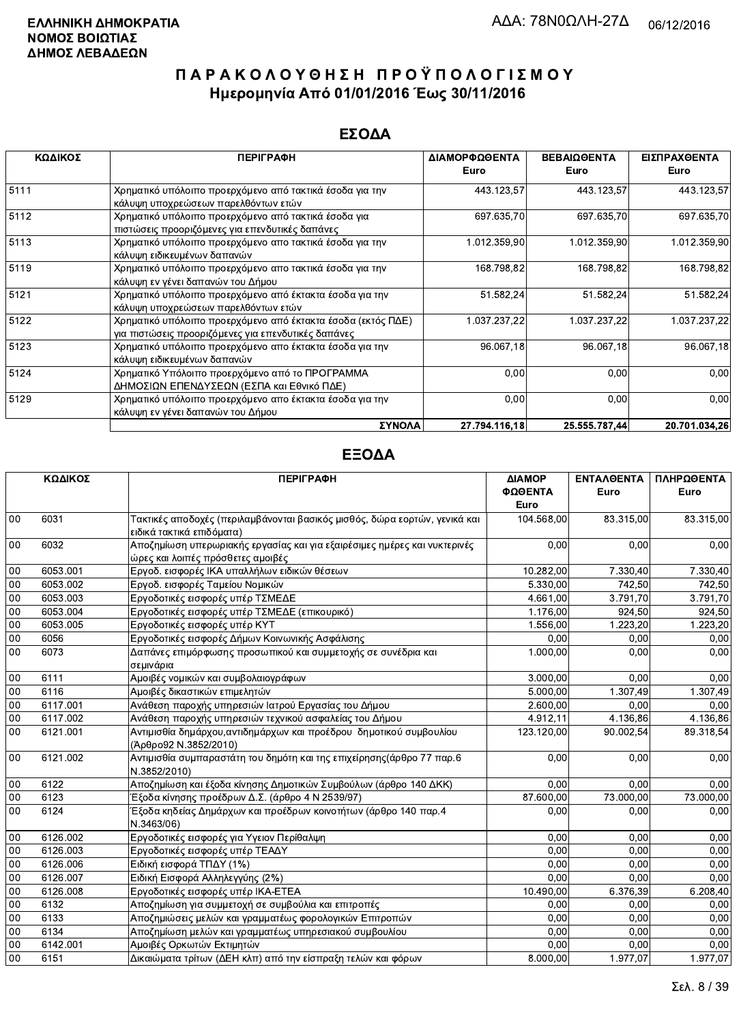### ΕΣΟΔΑ

| ΚΩΔΙΚΟΣ | <b>ПЕРІГРАФН</b>                                                                                                    | ΔΙΑΜΟΡΦΩΘΕΝΤΑ<br>Euro | ΒΕΒΑΙΩΘΕΝΤΑ<br>Euro | ΕΙΣΠΡΑΧΘΕΝΤΑ<br>Euro |
|---------|---------------------------------------------------------------------------------------------------------------------|-----------------------|---------------------|----------------------|
| 5111    | Χρηματικό υπόλοιπο προερχόμενο από τακτικά έσοδα για την<br>κάλυψη υποχρεώσεων παρελθόντων ετών                     | 443.123,57            | 443.123,57          | 443.123,57           |
| 5112    | Χρηματικό υπόλοιπο προερχόμενο από τακτικά έσοδα για<br>πιστώσεις προοριζόμενες για επενδυτικές δαπάνες             | 697.635,70            | 697 635,70          | 697.635,70           |
| 5113    | Χρηματικό υπόλοιπο προερχόμενο απο τακτικά έσοδα για την<br>κάλυψη ειδικευμένων δαπανών                             | 1.012.359,90          | 1.012.359,90        | 1.012.359,90         |
| 5119    | Χρηματικό υπόλοιπο προερχόμενο απο τακτικά έσοδα για την<br>κάλυψη εν γένει δαπανών του Δήμου                       | 168 798,82            | 168.798,82          | 168.798,82           |
| 5121    | Χρηματικό υπόλοιπο προερχόμενο από έκτακτα έσοδα για την<br>κάλυψη υποχρεώσεων παρελθόντων ετών                     | 51.582,24             | 51.582,24           | 51.582,24            |
| 5122    | Χρηματικό υπόλοιπο προερχόμενο από έκτακτα έσοδα (εκτός ΠΔΕ)<br>για πιστώσεις προοριζόμενες για επενδυτικές δαπάνες | 1.037.237,22          | 1.037.237,22        | 1.037.237,22         |
| 5123    | Χρηματικό υπόλοιπο προερχόμενο απο έκτακτα έσοδα για την<br>κάλυψη ειδικευμένων δαπανών                             | 96.067,18             | 96.067,18           | 96.067,18            |
| 5124    | Χρηματικό Υπόλοιπο προερχόμενο από το ΠΡΟΓΡΑΜΜΑ<br>ΔΗΜΟΣΙΩΝ ΕΠΕΝΔΥΣΕΩΝ (ΕΣΠΑ και Εθνικό ΠΔΕ)                        | 0,00                  | 0,00                | 0,00                 |
| 5129    | Χρηματικό υπόλοιπο προερχόμενο απο έκτακτα έσοδα για την<br>κάλυψη εν γένει δαπανών του Δήμου                       | 0,00                  | 0.00                | 0,00                 |
|         | ΣΥΝΟΛΑ                                                                                                              | 27.794.116.18         | 25.555.787.44       | 20.701.034.26        |

|        | ΚΩΔΙΚΟΣ  | <b>ПЕРІГРАФН</b>                                                           | ΔΙΑΜΟΡ     | <b>ENTAA@ENTA</b> | ΠΛΗΡΩΘΕΝΤΑ |
|--------|----------|----------------------------------------------------------------------------|------------|-------------------|------------|
|        |          |                                                                            | ΦΩΘΕΝΤΑ    | Euro              | Euro       |
|        |          |                                                                            | Euro       |                   |            |
| 00     | 6031     | Τακτικές αποδοχές (περιλαμβάνονται βασικός μισθός, δώρα εορτών, γενικά και | 104.568,00 | 83.315,00         | 83.315,00  |
|        |          | ειδικά τακτικά επιδόματα)                                                  |            |                   |            |
| 00     | 6032     | Αποζημίωση υπερωριακής εργασίας και για εξαιρέσιμες ημέρες και νυκτερινές  | 0,00       | 0,00              | 0,00       |
|        |          | ώρες και λοιπές πρόσθετες αμοιβές                                          |            |                   |            |
| 00     | 6053.001 | Εργοδ. εισφορές ΙΚΑ υπαλλήλων ειδικών θέσεων                               | 10.282,00  | 7.330,40          | 7.330,40   |
| 00     | 6053.002 | Εργοδ. εισφορές Ταμείου Νομικών                                            | 5.330.00   | 742,50            | 742,50     |
| 00     | 6053.003 | Εργοδοτικές εισφορές υπέρ ΤΣΜΕΔΕ                                           | 4.661,00   | 3.791,70          | 3.791,70   |
| 00     | 6053.004 | Εργοδοτικές εισφορές υπέρ ΤΣΜΕΔΕ (επικουρικό)                              | 1.176,00   | 924,50            | 924,50     |
| 00     | 6053.005 | Εργοδοτικές εισφορές υπέρ ΚΥΤ                                              | 1.556,00   | 1.223.20          | 1.223,20   |
| 00     | 6056     | Εργοδοτικές εισφορές Δήμων Κοινωνικής Ασφάλισης                            | 0,00       | 0.00              | 0,00       |
| 00     | 6073     | Δαπάνες επιμόρφωσης προσωπικού και συμμετοχής σε συνέδρια και              | 1.000,00   | 0,00              | 0,00       |
|        |          | σεμινάρια                                                                  |            |                   |            |
| 00     | 6111     | Αμοιβές νομικών και συμβολαιογράφων                                        | 3.000,00   | 0,00              | 0,00       |
| 00     | 6116     | Αμοιβές δικαστικών επιμελητών                                              | 5.000,00   | 1.307,49          | 1.307,49   |
| 00     | 6117.001 | Ανάθεση παροχής υπηρεσιών Ιατρού Εργασίας του Δήμου                        | 2.600,00   | 0.00              | 0.00       |
| 00     | 6117.002 | Ανάθεση παροχής υπηρεσιών τεχνικού ασφαλείας του Δήμου                     | 4.912,11   | 4.136,86          | 4.136,86   |
| 00     | 6121.001 | Αντιμισθία δημάρχου, αντιδημάρχων και προέδρου δημοτικού συμβουλίου        | 123.120,00 | 90.002.54         | 89.318,54  |
|        |          | (Άρθρο92 Ν.3852/2010)                                                      |            |                   |            |
| 00     | 6121.002 | Αντιμισθία συμπαραστάτη του δημότη και της επιχείρησης (άρθρο 77 παρ.6     | 0,00       | 0,00              | 0,00       |
|        |          | N.3852/2010)                                                               |            |                   |            |
| $00\,$ | 6122     | Αποζημίωση και έξοδα κίνησης Δημοτικών Συμβούλων (άρθρο 140 ΔΚΚ)           | 0,00       | 0.00              | 0,00       |
| 00     | 6123     | Έξοδα κίνησης προέδρων Δ.Σ. (άρθρο 4 Ν 2539/97)                            | 87.600,00  | 73.000.00         | 73.000,00  |
| 00     | 6124     | Έξοδα κηδείας Δημάρχων και προέδρων κοινοτήτων (άρθρο 140 παρ.4            | 0.00       | 0,00              | 0,00       |
|        |          | N.3463/06)                                                                 |            |                   |            |
| $00\,$ | 6126.002 | Εργοδοτικές εισφορές για Υγειον Περίθαλψη                                  | 0.00       | 0.00              | 0,00       |
| 00     | 6126.003 | Εργοδοτικές εισφορές υπέρ ΤΕΑΔΥ                                            | 0.00       | 0.00              | 0.00       |
| 00     | 6126.006 | Ειδική εισφορά ΤΠΔΥ (1%)                                                   | 0.00       | 0.00              | 0,00       |
| $00\,$ | 6126.007 | Ειδική Εισφορά Αλληλεγγύης (2%)                                            | 0.00       | 0.00              | 0,00       |
| 00     | 6126.008 | Εργοδοτικές εισφορές υπέρ ΙΚΑ-ΕΤΕΑ                                         | 10.490,00  | 6.376,39          | 6.208,40   |
| 00     | 6132     | Αποζημίωση για συμμετοχή σε συμβούλια και επιτροπές                        | 0,00       | 0.00              | 0,00       |
| 00     | 6133     | Αποζημιώσεις μελών και γραμματέως φορολογικών Επιτροπών                    | 0,00       | 0.00              | 0,00       |
| 00     | 6134     | Αποζημίωση μελών και γραμματέως υπηρεσιακού συμβουλίου                     | 0,00       | 0,00              | 0,00       |
| 00     | 6142.001 | Αμοιβές Ορκωτών Εκτιμητών                                                  | 0,00       | 0,00              | 0,00       |
| 00     | 6151     | Δικαιώματα τρίτων (ΔΕΗ κλπ) από την είσπραξη τελών και φόρων               | 8.000,00   | 1.977,07          | 1.977,07   |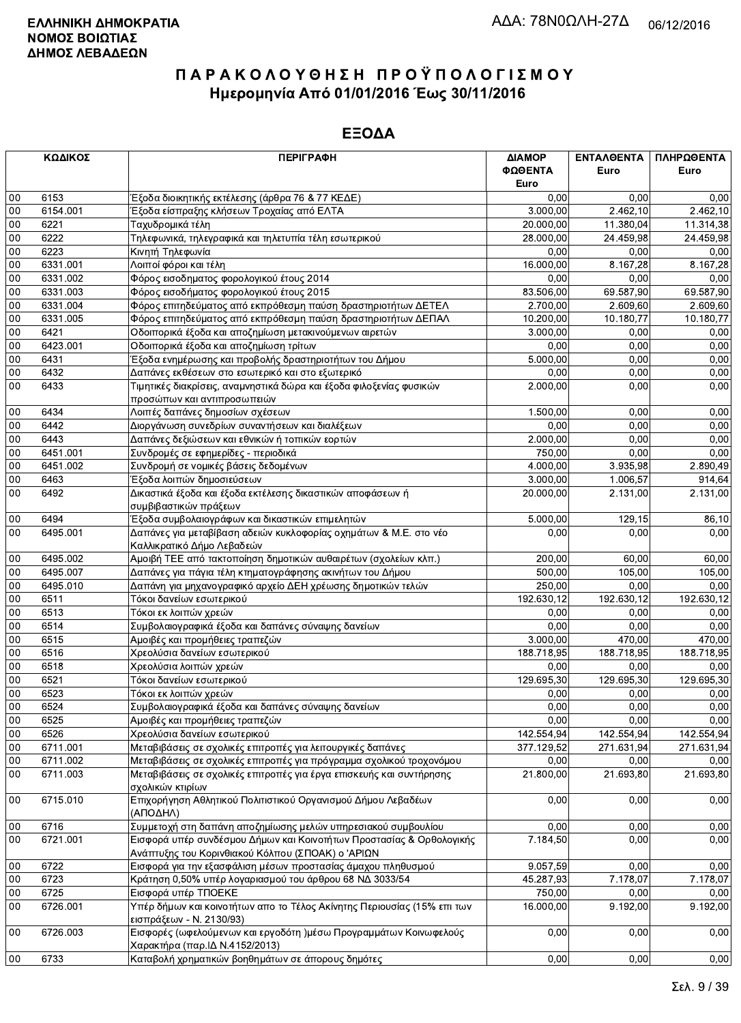|            | ΚΩΔΙΚΟΣ  | <b>ПЕРІГРАФН</b>                                                        | ΔΙΑΜΟΡ     | ΕΝΤΑΛΘΕΝΤΑ | ΠΛΗΡΩΘΕΝΤΑ |
|------------|----------|-------------------------------------------------------------------------|------------|------------|------------|
|            |          |                                                                         | ΦΩΘΕΝΤΑ    | Euro       | Euro       |
|            |          |                                                                         | Euro       |            |            |
| $00\,$     | 6153     | Έξοδα διοικητικής εκτέλεσης (άρθρα 76 & 77 ΚΕΔΕ)                        | 0.00       | 0,00       | 0,00       |
| 00         | 6154.001 | Έξοδα είσπραξης κλήσεων Τροχαίας από ΕΛΤΑ                               | 3.000,00   | 2.462,10   | 2.462,10   |
| 00         | 6221     | Ταχυδρομικά τέλη                                                        | 20.000,00  | 11.380,04  | 11.314,38  |
| 00         | 6222     | Τηλεφωνικά, τηλεγραφικά και τηλετυπία τέλη εσωτερικού                   | 28.000,00  | 24.459,98  | 24.459,98  |
| 00         | 6223     | Κινητή Τηλεφωνία                                                        | 0,00       | 0,00       | 0,00       |
| 00         | 6331.001 | Λοιποί φόροι και τέλη                                                   | 16.000,00  | 8.167,28   | 8.167,28   |
| 00         | 6331.002 | Φόρος εισοδηματος φορολογικού έτους 2014                                | 0,00       | 0,00       | 0,00       |
| 00         | 6331.003 | Φόρος εισοδήματος φορολογικού έτους 2015                                |            | 69.587,90  | 69.587,90  |
|            |          |                                                                         | 83.506,00  |            |            |
| 00         | 6331.004 | Φόρος επιτηδεύματος από εκπρόθεσμη παύση δραστηριοτήτων ΔΕΤΕΛ           | 2.700,00   | 2.609,60   | 2.609,60   |
| 00         | 6331.005 | Φόρος επιτηδεύματος από εκπρόθεσμη παύση δραστηριοτήτων ΔΕΠΑΛ           | 10.200,00  | 10.180,77  | 10.180,77  |
| $00\,$     | 6421     | Οδοιπορικά έξοδα και αποζημίωση μετακινούμενων αιρετών                  | 3.000.00   | 0,00       | 0,00       |
| 00         | 6423.001 | Οδοιπορικά έξοδα και αποζημίωση τρίτων                                  | 0,00       | 0,00       | 0,00       |
| 00         | 6431     | Έξοδα ενημέρωσης και προβολής δραστηριοτήτων του Δήμου                  | 5.000,00   | 0,00       | 0,00       |
| 00         | 6432     | Δαπάνες εκθέσεων στο εσωτερικό και στο εξωτερικό                        | 0,00       | 0,00       | 0,00       |
| 00         | 6433     | Τιμητικές διακρίσεις, αναμνηστικά δώρα και έξοδα φιλοξενίας φυσικών     | 2.000,00   | 0,00       | 0,00       |
|            |          | προσώπων και αντιπροσωπειών                                             |            |            |            |
| $00\,$     | 6434     | Λοιπές δαπάνες δημοσίων σχέσεων                                         | 1.500,00   | 0,00       | 0,00       |
| 00         | 6442     | Διοργάνωση συνεδρίων συναντήσεων και διαλέξεων                          | 0,00       | 0,00       | 0,00       |
| 00         | 6443     | Δαπάνες δεξιώσεων και εθνικών ή τοπικών εορτών                          | 2.000,00   | 0,00       | 0,00       |
| 00         | 6451.001 | Συνδρομές σε εφημερίδες - περιοδικά                                     | 750,00     | 0,00       | 0,00       |
| 00         | 6451.002 | Συνδρομή σε νομικές βάσεις δεδομένων                                    | 4.000,00   | 3.935,98   | 2.890,49   |
| $00\,$     | 6463     | Έξοδα λοιπών δημοσιεύσεων                                               | 3.000,00   | 1.006,57   | 914,64     |
| 00         | 6492     | Δικαστικά έξοδα και έξοδα εκτέλεσης δικαστικών αποφάσεων ή              | 20.000,00  | 2.131,00   | 2.131,00   |
|            |          | συμβιβαστικών πράξεων                                                   |            |            |            |
| 00         | 6494     | Έξοδα συμβολαιογράφων και δικαστικών επιμελητών                         | 5.000,00   | 129,15     | 86,10      |
| $00\,$     | 6495.001 | Δαπάνες για μεταβίβαση αδειών κυκλοφορίας οχημάτων & Μ.Ε. στο νέο       | 0,00       | 0,00       | 0,00       |
|            |          | Καλλικρατικό Δήμο Λεβαδεών                                              |            |            |            |
| 00         | 6495.002 | Αμοιβή ΤΕΕ από τακτοποίηση δημοτικών αυθαιρέτων (σχολείων κλπ.)         | 200,00     | 60,00      | 60,00      |
| $00\,$     | 6495.007 | Δαπάνες για πάγια τέλη κτηματογράφησης ακινήτων του Δήμου               | 500,00     | 105,00     | 105,00     |
| 00         | 6495.010 | Δαπάνη για μηχανογραφικό αρχείο ΔΕΗ χρέωσης δημοτικών τελών             | 250,00     | 0,00       | 0,00       |
| 00         | 6511     | Τόκοι δανείων εσωτερικού                                                | 192.630,12 | 192.630,12 | 192.630,12 |
| 00         | 6513     | Τόκοι εκ λοιπών χρεών                                                   | 0,00       | 0,00       | 0,00       |
| 00         | 6514     | Συμβολαιογραφικά έξοδα και δαπάνες σύναψης δανείων                      | 0,00       | 0.00       | 0,00       |
|            | 6515     |                                                                         |            | 470,00     |            |
| 00         |          | Αμοιβές και προμήθειες τραπεζών                                         | 3.000,00   |            | 470,00     |
| 00         | 6516     | Χρεολύσια δανείων εσωτερικού                                            | 188.718,95 | 188.718,95 | 188.718,95 |
| 00         | 6518     | Χρεολύσια λοιπών χρεών                                                  | 0,00       | 0,00       | 0,00       |
| 00         | 6521     | Τόκοι δανείων εσωτερικού                                                | 129.695,30 | 129.695,30 | 129.695,30 |
| 00         | 6523     | Τόκοι εκ λοιπών χρεών                                                   | 0,00       | 0,00       | 0,00       |
| ${\bf 00}$ | 6524     | Συμβολαιογραφικά έξοδα και δαπάνες σύναψης δανείων                      | 0,00       | 0,00       | 0,00       |
| $00\,$     | 6525     | Αμοιβές και προμήθειες τραπεζών                                         | 0,00       | 0,00       | 0,00       |
| 00         | 6526     | Χρεολύσια δανείων εσωτερικού                                            | 142.554,94 | 142.554,94 | 142.554,94 |
| 00         | 6711.001 | Μεταβιβάσεις σε σχολικές επιτροπές για λειτουργικές δαπάνες             | 377.129,52 | 271.631,94 | 271.631,94 |
| 00         | 6711.002 | Μεταβιβάσεις σε σχολικές επιτροπές για πρόγραμμα σχολικού τροχονόμου    | 0,00       | 0,00       | 0,00       |
| 00         | 6711.003 | Μεταβιβάσεις σε σχολικές επιτροπές για έργα επισκευής και συντήρησης    | 21.800,00  | 21.693,80  | 21.693,80  |
|            |          | σχολικών κτιρίων                                                        |            |            |            |
| 00         | 6715.010 | Επιχορήγηση Αθλητικού Πολιτιστικού Οργανισμού Δήμου Λεβαδέων            | 0,00       | 0,00       | 0,00       |
|            |          | (ΑΠΟΔΗΛ)                                                                |            |            |            |
| 00         | 6716     | Συμμετοχή στη δαπάνη αποζημίωσης μελών υπηρεσιακού συμβουλίου           | 0,00       | 0,00       | 0,00       |
| $00\,$     | 6721.001 | Εισφορά υπέρ συνδέσμου Δήμων και Κοινοτήτων Προστασίας & Ορθολογικής    | 7.184,50   | 0,00       | 0,00       |
|            |          | Ανάπτυξης του Κορινθιακού Κόλπου (ΣΠΟΑΚ) ο 'ΑΡΙΩΝ                       |            |            |            |
| 00         | 6722     | Εισφορά για την εξασφάλιση μέσων προστασίας άμαχου πληθυσμού            | 9.057,59   | 0,00       | 0,00       |
| 00         | 6723     | Κράτηση 0,50% υπέρ λογαριασμού του άρθρου 68 ΝΔ 3033/54                 | 45.287,93  | 7.178,07   | 7.178,07   |
| 00         | 6725     | Εισφορά υπέρ ΤΠΟΕΚΕ                                                     | 750,00     | 0,00       | 0,00       |
| 00         | 6726.001 | Υπέρ δήμων και κοινοτήτων απο το Τέλος Ακίνητης Περιουσίας (15% επι των | 16.000,00  | 9.192,00   | 9.192,00   |
|            |          | εισπράξεων - Ν. 2130/93)                                                |            |            |            |
| 00         | 6726.003 | Εισφορές (ωφελούμενων και εργοδότη )μέσω Προγραμμάτων Κοινωφελούς       | 0,00       | 0,00       | 0,00       |
|            |          | Χαρακτήρα (παρ. ΙΔ Ν.4152/2013)                                         |            |            |            |
| 00         | 6733     | Καταβολή χρηματικών βοηθημάτων σε άπορους δημότες                       | 0,00       | 0,00       | 0,00       |
|            |          |                                                                         |            |            |            |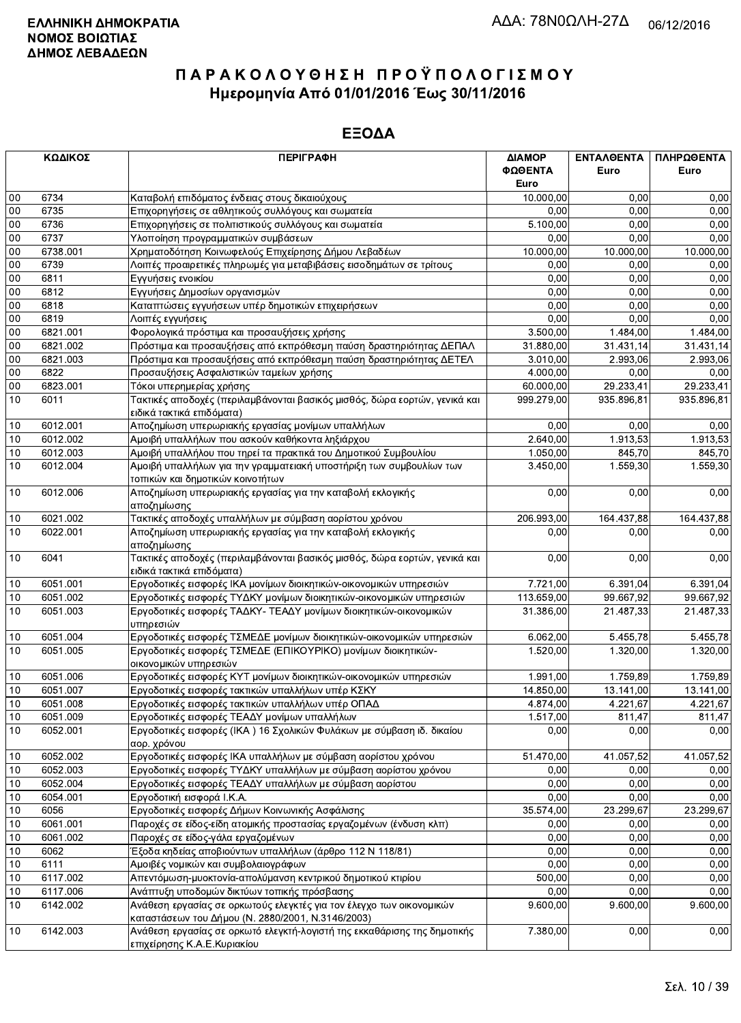|          | ΚΩΔΙΚΟΣ              | <b>ПЕРІГРАФН</b>                                                                                                                                             | ΔΙΑΜΟΡ<br>ΦΩΘΕΝΤΑ<br>Euro | ΕΝΤΑΛΘΕΝΤΑ<br>Euro | ΠΛΗΡΩΘΕΝΤΑ<br>Euro |
|----------|----------------------|--------------------------------------------------------------------------------------------------------------------------------------------------------------|---------------------------|--------------------|--------------------|
| $00\,$   | 6734                 | Καταβολή επιδόματος ένδειας στους δικαιούχους                                                                                                                | 10.000,00                 | 0,00               | 0,00               |
| 00       | 6735                 | Επιχορηγήσεις σε αθλητικούς συλλόγους και σωματεία                                                                                                           | 0.00                      | 0,00               | 0,00               |
| 00       | 6736                 | Επιχορηγήσεις σε πολιτιστικούς συλλόγους και σωματεία                                                                                                        | 5.100.00                  | 0,00               | 0,00               |
| 00       | 6737                 | Υλοποίηση προγραμματικών συμβάσεων                                                                                                                           | 0,00                      | 0,00               | 0,00               |
| 00       | 6738.001             | Χρηματοδότηση Κοινωφελούς Επιχείρησης Δήμου Λεβαδέων                                                                                                         | 10.000,00                 | 10.000,00          | 10.000,00          |
| 00       | 6739                 | Λοιπές προαιρετικές πληρωμές για μεταβιβάσεις εισοδημάτων σε τρίτους                                                                                         | 0,00                      | 0,00               | 0,00               |
| 00       | 6811                 | Εγγυήσεις ενοικίου                                                                                                                                           | 0,00                      | 0,00               | 0,00               |
| 00       | 6812                 | Εγγυήσεις Δημοσίων οργανισμών                                                                                                                                | 0,00                      | 0,00               | 0,00               |
| 00       | 6818                 | Καταπτώσεις εγγυήσεων υπέρ δημοτικών επιχειρήσεων                                                                                                            | 0,00                      | 0,00               | 0,00               |
| 00       | 6819                 | Λοιπές εγγυήσεις                                                                                                                                             | 0,00                      | 0.00               | 0,00               |
| $00\,$   | 6821.001             | Φορολογικά πρόστιμα και προσαυξήσεις χρήσης                                                                                                                  | 3.500,00                  | 1.484,00           | 1.484,00           |
| 00       | 6821.002             | Πρόστιμα και προσαυξήσεις από εκπρόθεσμη παύση δραστηριότητας ΔΕΠΑΛ                                                                                          | 31.880,00                 | 31.431,14          | 31.431,14          |
| $00\,$   | 6821.003             | Πρόστιμα και προσαυξήσεις από εκπρόθεσμη παύση δραστηριότητας ΔΕΤΕΛ                                                                                          | 3.010,00                  | 2.993,06           | 2.993,06           |
| $00\,$   | 6822                 | Προσαυξήσεις Ασφαλιστικών ταμείων χρήσης                                                                                                                     | 4.000,00                  | 0,00               | 0,00               |
| $00\,$   | 6823.001             | Τόκοι υπερημερίας χρήσης                                                                                                                                     | 60.000,00                 | 29.233,41          | 29.233,41          |
| 10       | 6011                 | Τακτικές αποδοχές (περιλαμβάνονται βασικός μισθός, δώρα εορτών, γενικά και<br>ειδικά τακτικά επιδόματα)                                                      | 999.279,00                | 935.896,81         | 935.896,81         |
| 10       | 6012.001             | Αποζημίωση υπερωριακής εργασίας μονίμων υπαλλήλων                                                                                                            | 0,00                      | 0,00               | 0,00               |
| 10       | 6012.002             | Αμοιβή υπαλλήλων που ασκούν καθήκοντα ληξιάρχου                                                                                                              | 2.640,00                  | 1.913,53           | 1.913,53           |
| 10       | 6012.003             | Αμοιβή υπαλλήλου που τηρεί τα πρακτικά του Δημοτικού Συμβουλίου                                                                                              | 1.050,00                  | 845.70             | 845,70             |
| 10       | 6012.004             | Αμοιβή υπαλλήλων για την γραμματειακή υποστήριξη των συμβουλίων των<br>τοπικών και δημοτικών κοινοτήτων                                                      | 3.450,00                  | 1.559,30           | 1.559,30           |
| 10       | 6012.006             | Αποζημίωση υπερωριακής εργασίας για την καταβολή εκλογικής<br>αποζημίωσης                                                                                    | 0,00                      | 0,00               | 0,00               |
| 10       | 6021.002             | Τακτικές αποδοχές υπαλλήλων με σύμβαση αορίστου χρόνου                                                                                                       | 206.993,00                | 164.437,88         | 164.437,88         |
| 10       | 6022.001             | Αποζημίωση υπερωριακής εργασίας για την καταβολή εκλογικής<br>αποζημίωσης                                                                                    | 0,00                      | 0,00               | 0,00               |
| 10       | 6041                 | Τακτικές αποδοχές (περιλαμβάνονται βασικός μισθός, δώρα εορτών, γενικά και<br>ειδικά τακτικά επιδόματα)                                                      | 0,00                      | 0,00               | 0,00               |
| 10       | 6051.001             | Εργοδοτικές εισφορές ΙΚΑ μονίμων διοικητικών-οικονομικών υπηρεσιών                                                                                           | 7.721,00                  | 6.391,04           | 6.391,04           |
| 10       | 6051.002             | Εργοδοτικές εισφορές ΤΥΔΚΥ μονίμων διοικητικών-οικονομικών υπηρεσιών                                                                                         | 113.659,00                | 99.667,92          | 99.667,92          |
| 10       | 6051.003             | Εργοδοτικές εισφορές ΤΑΔΚΥ- ΤΕΑΔΥ μονίμων διοικητικών-οικονομικών<br>υπηρεσιών                                                                               | 31.386,00                 | 21.487,33          | 21.487,33          |
| 10       | 6051.004             | Εργοδοτικές εισφορές ΤΣΜΕΔΕ μονίμων διοικητικών-οικονομικών υπηρεσιών                                                                                        | 6.062,00                  | 5.455,78           | 5.455,78           |
| 10       | 6051.005             | Εργοδοτικές εισφορές ΤΣΜΕΔΕ (ΕΠΙΚΟΥΡΙΚΟ) μονίμων διοικητικών-<br>οικονομικών υπηρεσιών                                                                       | 1.520,00                  | 1.320,00           | 1.320,00           |
| 10       | 6051.006             | Εργοδοτικές εισφορές ΚΥΤ μονίμων διοικητικών-οικονομικών υπηρεσιών                                                                                           | 1.991,00                  | 1.759.89           | 1.759.89           |
| 10       | 6051.007             | Εργοδοτικές εισφορές τακτικών υπαλλήλων υπέρ ΚΣΚΥ                                                                                                            | 14.850,00                 | 13.141,00          | 13.141,00          |
| 10       | 6051.008             | Εργοδοτικές εισφορές τακτικών υπαλλήλων υπέρ ΟΠΑΔ                                                                                                            | 4.874,00                  | 4.221.67           | 4.221,67           |
| 10       | 6051.009             | Εργοδοτικές εισφορές ΤΕΑΔΥ μονίμων υπαλλήλων                                                                                                                 | 1.517,00                  | 811,47             | 811,47             |
| 10       | 6052.001             | Εργοδοτικές εισφορές (ΙΚΑ) 16 Σχολικών Φυλάκων με σύμβαση ιδ. δικαίου<br>αορ. χρόνου                                                                         | 0,00                      | 0.00               | 0,00               |
| 10       | 6052.002             | Εργοδοτικές εισφορές ΙΚΑ υπαλλήλων με σύμβαση αορίστου χρόνου                                                                                                | 51.470,00                 | 41.057,52          | 41.057,52          |
| 10       | 6052.003             | Εργοδοτικές εισφορές ΤΥΔΚΥ υπαλλήλων με σύμβαση αορίστου χρόνου                                                                                              | 0,00                      | 0,00               | 0,00               |
| 10       | 6052.004             | Εργοδοτικές εισφορές ΤΕΑΔΥ υπαλλήλων με σύμβαση αορίστου                                                                                                     | 0,00                      | 0,00               | 0,00               |
| 10       | 6054.001             | Εργοδοτική εισφορά Ι.Κ.Α.                                                                                                                                    | 0,00                      | 0,00               | 0,00               |
| 10       | 6056                 | Εργοδοτικές εισφορές Δήμων Κοινωνικής Ασφάλισης                                                                                                              | 35.574,00                 | 23.299,67          | 23.299,67          |
| 10       | 6061.001             | Παροχές σε είδος-είδη ατομικής προστασίας εργαζομένων (ένδυση κλπ)                                                                                           | 0,00                      | 0,00               | 0,00               |
| 10       | 6061.002             | Παροχές σε είδος-γάλα εργαζομένων                                                                                                                            | 0,00                      | 0,00               | 0,00               |
| 10       | 6062                 | Έξοδα κηδείας αποβιούντων υπαλλήλων (άρθρο 112 Ν 118/81)                                                                                                     | 0,00                      | 0,00               | 0,00               |
| 10       | 6111                 | Αμοιβές νομικών και συμβολαιογράφων                                                                                                                          | 0,00                      | 0,00               | 0,00               |
| 10       | 6117.002             | Απεντόμωση-μυοκτονία-απολύμανση κεντρικού δημοτικού κτιρίου                                                                                                  | 500,00                    | 0,00               | 0,00               |
| 10<br>10 | 6117.006<br>6142.002 | Ανάπτυξη υποδομών δικτύων τοπικής πρόσβασης<br>Ανάθεση εργασίας σε ορκωτούς ελεγκτές για τον έλεγχο των οικονομικών                                          | 0,00<br>9.600,00          | 0,00<br>9.600,00   | 0,00<br>9.600,00   |
| 10       | 6142.003             | καταστάσεων του Δήμου (Ν. 2880/2001, Ν.3146/2003)<br>Ανάθεση εργασίας σε ορκωτό ελεγκτή-λογιστή της εκκαθάρισης της δημοτικής<br>επιχείρησης Κ.Α.Ε.Κυριακίου | 7.380,00                  | 0,00               | 0,00               |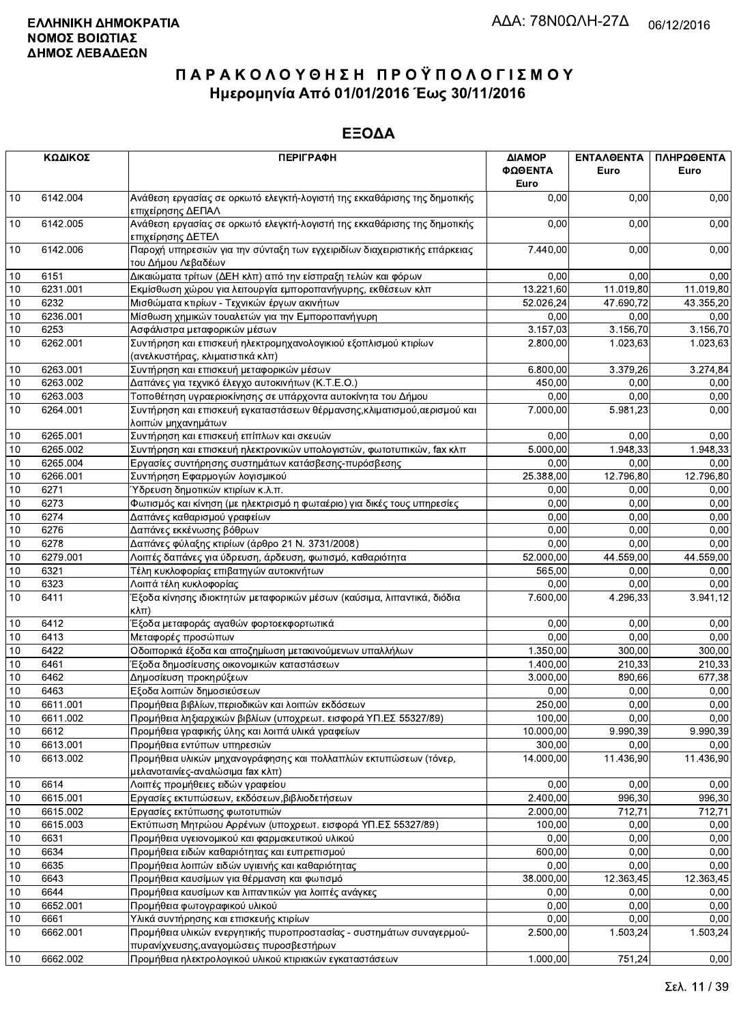|      | ΚΩΔΙΚΟΣ  | <b>ПЕРІГРАФН</b>                                                                                                 | ΔΙΑΜΟΡ<br>ΦΩΘΕΝΤΑ<br>Euro | ΕΝΤΑΛΘΕΝΤΑ<br>Euro | ΠΛΗΡΩΘΕΝΤΑ<br>Euro |
|------|----------|------------------------------------------------------------------------------------------------------------------|---------------------------|--------------------|--------------------|
| 10   | 6142.004 | Ανάθεση εργασίας σε ορκωτό ελεγκτή-λογιστή της εκκαθάρισης της δημοτικής<br>επιχείρησης ΔΕΠΑΛ                    | 0.00                      | 0,00               | 0,00               |
| 10   | 6142.005 | Ανάθεση εργασίας σε ορκωτό ελεγκτή-λογιστή της εκκαθάρισης της δημοτικής<br>επιχείρησης ΔΕΤΕΛ                    | 0,00                      | 0,00               | 0,00               |
| 10   | 6142.006 | Παροχή υπηρεσιών για την σύνταξη των εγχειριδίων διαχειριστικής επάρκειας<br>του Δήμου Λεβαδέων                  | 7.440,00                  | 0,00               | 0,00               |
| 10   | 6151     | Δικαιώματα τρίτων (ΔΕΗ κλπ) από την είσπραξη τελών και φόρων                                                     | 0,00                      | 0,00               | 0,00               |
| 10   | 6231.001 | Εκμίσθωση χώρου για λειτουργία εμποροπανήγυρης, εκθέσεων κλπ                                                     | 13.221,60                 | 11.019,80          | 11.019,80          |
| 10   | 6232     | Μισθώματα κτιρίων - Τεχνικών έργων ακινήτων                                                                      | 52.026,24                 | 47.690,72          | 43.355,20          |
| 10   | 6236.001 | Μίσθωση χημικών τουαλετών για την Εμποροπανήγυρη                                                                 | 0,00                      | 0,00               | 0,00               |
| $10$ | 6253     | Ασφάλιστρα μεταφορικών μέσων                                                                                     | 3.157,03                  | 3.156,70           | 3.156,70           |
| 10   | 6262.001 | Συντήρηση και επισκευή ηλεκτρομηχανολογικιού εξοπλισμού κτιρίων<br>(ανελκυστήρας, κλιματιστικά κλπ)              | 2.800,00                  | 1.023,63           | 1.023,63           |
| 10   | 6263.001 | Συντήρηση και επισκευή μεταφορικών μέσων                                                                         | 6.800,00                  | 3.379,26           | 3.274,84           |
| 10   | 6263.002 | Δαπάνες για τεχνικό έλεγχο αυτοκινήτων (Κ.Τ.Ε.Ο.)                                                                | 450,00                    | 0.00               | 0,00               |
| 10   | 6263.003 | Τοποθέτηση υγραεριοκίνησης σε υπάρχοντα αυτοκίνητα του Δήμου                                                     | 0,00                      | 0.00               | 0,00               |
| 10   | 6264.001 | Συντήρηση και επισκευή εγκαταστάσεων θέρμανσης, κλιματισμού, αερισμού και<br>λοιπών μηχανημάτων                  | 7.000,00                  | 5.981,23           | 0,00               |
| 10   | 6265.001 | Συντήρηση και επισκευή επίπλων και σκευών                                                                        | 0,00                      | 0.00               | 0,00               |
| 10   | 6265.002 | Συντήρηση και επισκευή ηλεκτρονικών υπολογιστών, φωτοτυπικών, fax κλπ                                            | 5.000,00                  | 1.948,33           | 1.948,33           |
| 10   | 6265.004 | Εργασίες συντήρησης συστημάτων κατάσβεσης-πυρόσβεσης                                                             | 0,00                      | 0,00               | 0,00               |
| 10   | 6266.001 | Συντήρηση Εφαρμογών λογισμικού                                                                                   | 25.388,00                 | 12.796,80          | 12.796,80          |
| 10   | 6271     | Ύδρευση δημοτικών κτιρίων κ.λ.π.                                                                                 | 0,00                      | 0,00               | 0,00               |
| 10   | 6273     | Φωτισμός και κίνηση (με ηλεκτρισμό η φωταέριο) για δικές τους υπηρεσίες                                          | 0,00                      | 0.00               | 0,00               |
| 10   | 6274     | Δαπάνες καθαρισμού γραφείων                                                                                      | 0,00                      | 0,00               | 0,00               |
| 10   | 6276     | Δαπάνες εκκένωσης βόθρων                                                                                         | 0,00                      | 0,00               | 0,00               |
| 10   | 6278     | Δαπάνες φύλαξης κτιρίων (άρθρο 21 Ν. 3731/2008)                                                                  | 0,00                      | 0,00               | 0,00               |
| 10   | 6279.001 | Λοιπές δαπάνες για ύδρευση, άρδευση, φωτισμό, καθαριότητα                                                        | 52.000,00                 | 44.559,00          | 44.559,00          |
| 10   | 6321     | Τέλη κυκλοφορίας επιβατηγών αυτοκινήτων                                                                          | 565,00                    | 0,00               | 0,00               |
| 10   | 6323     | Λοιπά τέλη κυκλοφορίας                                                                                           | 0,00                      | 0,00               | 0,00               |
| 10   | 6411     | Έξοδα κίνησης ιδιοκτητών μεταφορικών μέσων (καύσιμα, λιπαντικά, διόδια<br> κλπ)                                  | 7.600,00                  | 4.296,33           | 3.941,12           |
| 10   | 6412     | Έξοδα μεταφοράς αγαθών φορτοεκφορτωτικά                                                                          | 0,00                      | 0,00               | 0,00               |
| 10   | 6413     | Μεταφορές προσώπων                                                                                               | 0,00                      | 0.00               | 0,00               |
| 10   | 6422     | Οδοιπορικά έξοδα και αποζημίωση μετακινούμενων υπαλλήλων                                                         | 1.350,00                  | 300.00             | 300,00             |
| 10   | 6461     | Έξοδα δημοσίευσης οικονομικών καταστάσεων                                                                        | 1.400,00                  | 210,33             | 210,33             |
| 10   | 6462     | Δημοσίευση προκηρύξεων                                                                                           | 3.000,00                  | 890,66             | 677,38             |
| 10   | 6463     | Εξοδα λοιπών δημοσιεύσεων                                                                                        | 0,00                      | 0,00               | 0,00               |
| $10$ | 6611.001 | Προμήθεια βιβλίων, περιοδικών και λοιπών εκδόσεων                                                                | 250,00                    | 0.00               | 0,00               |
| 10   | 6611.002 | Προμήθεια ληξιαρχικών βιβλίων (υποχρεωτ. εισφορά ΥΠ.ΕΣ 55327/89)                                                 | 100,00                    | 0,00               | 0,00               |
| 10   | 6612     | Προμήθεια γραφικής ύλης και λοιπά υλικά γραφείων                                                                 | 10.000,00                 | 9.990,39           | 9.990,39           |
| 10   | 6613.001 | Προμήθεια εντύπων υπηρεσιών                                                                                      | 300,00                    | 0,00               | 0,00               |
| 10   | 6613.002 | Προμήθεια υλικών μηχανογράφησης και πολλαπλών εκτυπώσεων (τόνερ,<br>μελανοταινίες-αναλώσιμα fax κλπ)             | 14.000,00                 | 11.436,90          | 11.436,90          |
| 10   | 6614     | Λοιπές προμήθειες ειδών γραφείου                                                                                 | 0,00                      | 0,00               | 0,00               |
| 10   | 6615.001 | Εργασίες εκτυπώσεων, εκδόσεων, βιβλιοδετήσεων                                                                    | 2.400,00                  | 996,30             | 996,30             |
| 10   | 6615.002 | Εργασίες εκτύπωσης φωτοτυπιών                                                                                    | 2.000,00                  | 712,71             | 712,71             |
| 10   | 6615.003 | Εκτύπωση Μητρώου Αρρένων (υποχρεωτ. εισφορά ΥΠ.ΕΣ 55327/89)                                                      | 100,00                    | 0,00               | 0,00               |
| 10   | 6631     | Προμήθεια υγειονομικού και φαρμακευτικού υλικού                                                                  | 0,00                      | 0,00               | 0,00               |
| 10   | 6634     | Προμήθεια ειδών καθαριότητας και ευπρεπισμού                                                                     | 600,00                    | 0,00               | 0,00               |
| 10   | 6635     | Προμήθεια λοιπών ειδών υγιεινής και καθαριότητας                                                                 | 0,00                      | 0,00               | 0,00               |
| 10   | 6643     | Προμήθεια καυσίμων για θέρμανση και φωτισμό                                                                      | 38.000,00                 | 12.363,45          | 12.363,45          |
| 10   | 6644     | Προμήθεια καυσίμων και λιπαντικών για λοιπές ανάγκες                                                             | 0,00                      | 0,00               | 0,00               |
| 10   | 6652.001 | Προμήθεια φωτογραφικού υλικού                                                                                    | 0,00                      | 0,00               | 0,00               |
| 10   | 6661     | Υλικά συντήρησης και επισκευής κτιρίων                                                                           | 0,00                      | 0,00               | 0,00               |
| 10   | 6662.001 | Προμήθεια υλικών ενεργητικής πυροπροστασίας - συστημάτων συναγερμού-<br>πυρανίχνευσης, αναγομώσεις πυροσβεστήρων | 2.500,00                  | 1.503,24           | 1.503,24           |
| 10   | 6662.002 | Προμήθεια ηλεκτρολογικού υλικού κτιριακών εγκαταστάσεων                                                          | 1.000,00                  | 751,24             | 0,00               |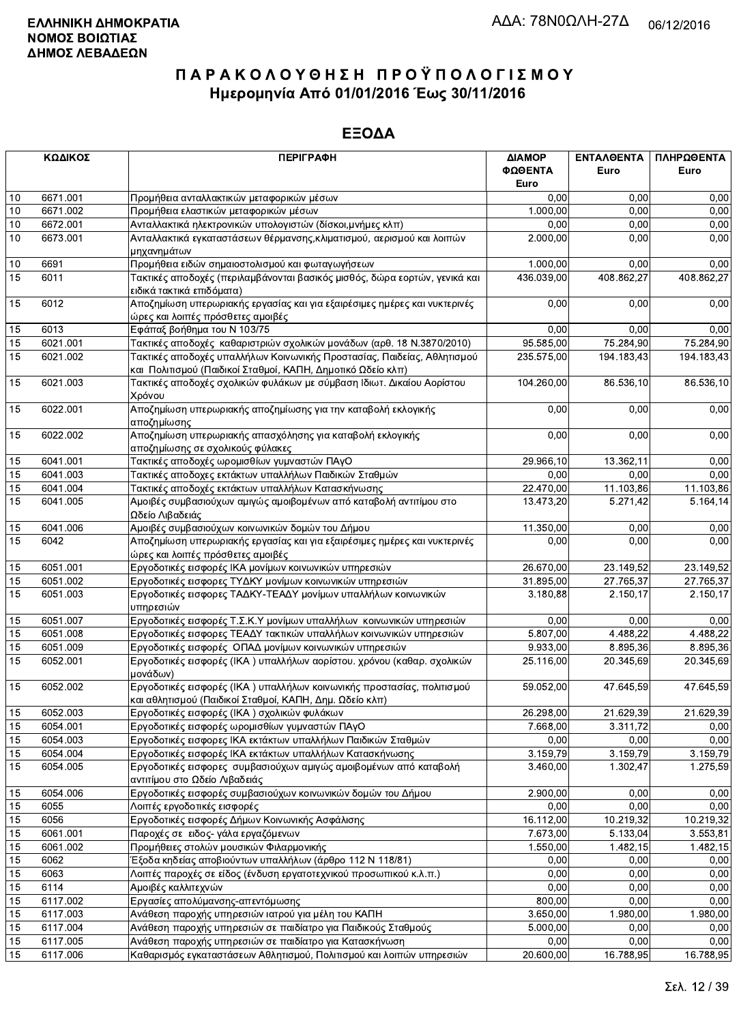|    | ΚΩΔΙΚΟΣ  | <b>ПЕРІГРАФН</b>                                                                                                                       | ΔΙΑΜΟΡ<br>ΦΩΘΕΝΤΑ | ΕΝΤΑΛΘΕΝΤΑ<br>Euro | ΠΛΗΡΩΘΕΝΤΑ<br>Euro |
|----|----------|----------------------------------------------------------------------------------------------------------------------------------------|-------------------|--------------------|--------------------|
|    |          |                                                                                                                                        | Euro              |                    |                    |
| 10 | 6671.001 | Προμήθεια ανταλλακτικών μεταφορικών μέσων                                                                                              | 0,00              | 0,00               | 0,00               |
| 10 | 6671.002 | Προμήθεια ελαστικών μεταφορικών μέσων                                                                                                  | 1.000,00          | 0.00               | 0,00               |
| 10 | 6672.001 | Ανταλλακτικά ηλεκτρονικών υπολογιστών (δίσκοι,μνήμες κλπ)                                                                              | 0,00              | 0.00               | 0,00               |
| 10 | 6673.001 | Ανταλλακτικά εγκαταστάσεων θέρμανσης, κλιματισμού, αερισμού και λοιπών<br>μηχανημάτων                                                  | 2.000.00          | 0,00               | 0,00               |
| 10 | 6691     | Προμήθεια ειδών σημαιοστολισμού και φωταγωγήσεων                                                                                       | 1.000,00          | 0,00               | 0,00               |
| 15 | 6011     | Τακτικές αποδοχές (περιλαμβάνονται βασικός μισθός, δώρα εορτών, γενικά και<br>ειδικά τακτικά επιδόματα)                                | 436.039,00        | 408.862,27         | 408.862,27         |
| 15 | 6012     | Αποζημίωση υπερωριακής εργασίας και για εξαιρέσιμες ημέρες και νυκτερινές<br>ώρες και λοιπές πρόσθετες αμοιβές                         | 0,00              | 0,00               | 0,00               |
| 15 | 6013     | Εφάπαξ βοήθημα του Ν 103/75                                                                                                            | 0,00              | 0,00               | 0,00               |
| 15 | 6021.001 | Τακτικές αποδοχές καθαριστριών σχολικών μονάδων (αρθ. 18 Ν.3870/2010)                                                                  | 95.585,00         | 75.284,90          | 75.284,90          |
| 15 | 6021.002 | Τακτικές αποδοχές υπαλλήλων Κοινωνικής Προστασίας, Παιδείας, Αθλητισμού<br>και Πολιτισμού (Παιδικοί Σταθμοί, ΚΑΠΗ, Δημοτικό Ωδείο κλπ) | 235.575,00        | 194.183,43         | 194.183,43         |
| 15 | 6021.003 | Τακτικές αποδοχές σχολικών φυλάκων με σύμβαση Ιδιωτ. Δικαίου Αορίστου<br>Χρόνου                                                        | 104.260,00        | 86.536,10          | 86.536,10          |
| 15 | 6022.001 | Αποζημίωση υπερωριακής αποζημίωσης για την καταβολή εκλογικής<br>αποζημίωσης                                                           | 0,00              | 0,00               | 0,00               |
| 15 | 6022.002 | Αποζημίωση υπερωριακής απασχόλησης για καταβολή εκλογικής<br>αποζημίωσης σε σχολικούς φύλακες                                          | 0,00              | 0,00               | 0,00               |
| 15 | 6041.001 | Τακτικές αποδοχές ωρομισθίων γυμναστών ΠΑγΟ                                                                                            | 29.966,10         | 13.362,11          | 0,00               |
| 15 | 6041.003 | Τακτικές αποδοχες εκτάκτων υπαλλήλων Παιδικών Σταθμών                                                                                  | 0,00              | 0.00               | 0,00               |
| 15 | 6041.004 | Τακτικές αποδοχές εκτάκτων υπαλλήλων Κατασκήνωσης                                                                                      | 22.470,00         | 11.103,86          | 11.103,86          |
| 15 | 6041.005 | Αμοιβές συμβασιούχων αμιγώς αμοιβομένων από καταβολή αντιτίμου στο<br>Ωδείο Λιβαδειάς                                                  | 13.473,20         | 5.271,42           | 5.164,14           |
| 15 | 6041.006 | Αμοιβές συμβασιούχων κοινωνικών δομών του Δήμου                                                                                        | 11.350,00         | 0,00               | 0,00               |
| 15 | 6042     | Αποζημίωση υπερωριακής εργασίας και για εξαιρέσιμες ημέρες και νυκτερινές<br>ώρες και λοιπές πρόσθετες αμοιβές                         | 0,00              | 0,00               | 0,00               |
| 15 | 6051.001 | Εργοδοτικές εισφορές ΙΚΑ μονίμων κοινωνικών υπηρεσιών                                                                                  | 26.670,00         | 23.149,52          | 23.149,52          |
| 15 | 6051.002 | Εργοδοτικές εισφορες ΤΥΔΚΥ μονίμων κοινωνικών υπηρεσιών                                                                                | 31.895,00         | 27.765,37          | 27.765,37          |
| 15 | 6051.003 | Εργοδοτικές εισφορες ΤΑΔΚΥ-ΤΕΑΔΥ μονίμων υπαλλήλων κοινωνικών<br>υπηρεσιών                                                             | 3.180,88          | 2.150,17           | 2.150,17           |
| 15 | 6051.007 | Εργοδοτικές εισφορές Τ.Σ.Κ.Υ μονίμων υπαλλήλων κοινωνικών υπηρεσιών                                                                    | 0.00              | 0,00               | 0,00               |
| 15 | 6051.008 | Εργοδοτικές εισφορες ΤΕΑΔΥ τακτικών υπαλλήλων κοινωνικών υπηρεσιών                                                                     | 5.807,00          | 4.488,22           | 4.488,22           |
| 15 | 6051.009 | Εργοδοτικές εισφορές ΟΠΑΔ μονίμων κοινωνικών υπηρεσιών                                                                                 | 9.933,00          | 8.895,36           | 8.895,36           |
| 15 | 6052.001 | Εργοδοτικές εισφορές (ΙΚΑ) υπαλλήλων αορίστου. χρόνου (καθαρ. σχολικών<br>μονάδων)                                                     | 25.116,00         | 20.345,69          | 20.345,69          |
| 15 | 6052.002 | Εργοδοτικές εισφορές (ΙΚΑ) υπαλλήλων κοινωνικής προστασίας, πολιτισμού<br>και αθλητισμού (Παιδικοί Σταθμοί, ΚΑΠΗ, Δημ. Ωδείο κλπ)      | 59.052,00         | 47.645,59          | 47.645,59          |
| 15 | 6052.003 | Εργοδοτικές εισφορές (ΙΚΑ) σχολικών φυλάκων                                                                                            | 26.298,00         | 21.629,39          | 21.629,39          |
| 15 | 6054.001 | Εργοδοτικές εισφορές ωρομισθίων γυμναστών ΠΑγΟ                                                                                         | 7.668,00          | 3.311,72           | 0,00               |
| 15 | 6054.003 | Εργοδοτικές εισφορες ΙΚΑ εκτάκτων υπαλλήλων Παιδικών Σταθμών                                                                           | 0,00              | 0,00               | 0,00               |
| 15 | 6054.004 | Εργοδοτικές εισφορές ΙΚΑ εκτάκτων υπαλλήλων Κατασκήνωσης                                                                               | 3.159,79          | 3.159,79           | 3.159,79           |
| 15 | 6054.005 | Εργοδοτικές εισφορες συμβασιούχων αμιγώς αμοιβομένων από καταβολή<br>αντιτίμου στο Ωδείο Λιβαδειάς                                     | 3.460,00          | 1.302,47           | 1.275,59           |
| 15 | 6054.006 | Εργοδοτικές εισφορές συμβασιούχων κοινωνικών δομών του Δήμου                                                                           | 2.900,00          | 0,00               | 0,00               |
| 15 | 6055     | Λοιπές εργοδοτικές εισφορές                                                                                                            | 0,00              | 0,00               | 0,00               |
| 15 | 6056     | Εργοδοτικές εισφορές Δήμων Κοινωνικής Ασφάλισης                                                                                        | 16.112,00         | 10.219,32          | 10.219,32          |
| 15 | 6061.001 | Παροχές σε ειδος- γάλα εργαζόμενων                                                                                                     | 7.673,00          | 5.133,04           | 3.553,81           |
| 15 | 6061.002 | Προμήθειες στολών μουσικών Φιλαρμονικής                                                                                                | 1.550,00          | 1.482,15           | 1.482,15           |
| 15 | 6062     | Έξοδα κηδείας αποβιούντων υπαλλήλων (άρθρο 112 Ν 118/81)                                                                               | 0,00              | 0,00               | 0,00               |
| 15 | 6063     | Λοιπές παροχές σε είδος (ένδυση εργατοτεχνικού προσωπικού κ.λ.π.)                                                                      | 0,00              | 0,00               | 0,00               |
| 15 | 6114     | Αμοιβές καλλιτεχνών                                                                                                                    | 0,00              | 0,00               | 0,00               |
| 15 | 6117.002 | Εργασίες απολύμανσης-απεντόμωσης                                                                                                       | 800,00            | 0,00               | 0,00               |
| 15 | 6117.003 | Ανάθεση παροχής υπηρεσιών ιατρού για μέλη του ΚΑΠΗ                                                                                     | 3.650,00          | 1.980,00           | 1.980,00           |
| 15 | 6117.004 | Ανάθεση παροχής υπηρεσιών σε παιδίατρο για Παιδικούς Σταθμούς                                                                          | 5.000,00          | 0,00               | 0,00               |
| 15 | 6117.005 | Ανάθεση παροχής υπηρεσιών σε παιδίατρο για Κατασκήνωση                                                                                 | 0,00              | 0,00               | 0,00               |
| 15 | 6117.006 | Καθαρισμός εγκαταστάσεων Αθλητισμού, Πολιτισμού και λοιπών υπηρεσιών                                                                   | 20.600,00         | 16.788,95          | 16.788,95          |
|    |          |                                                                                                                                        |                   |                    |                    |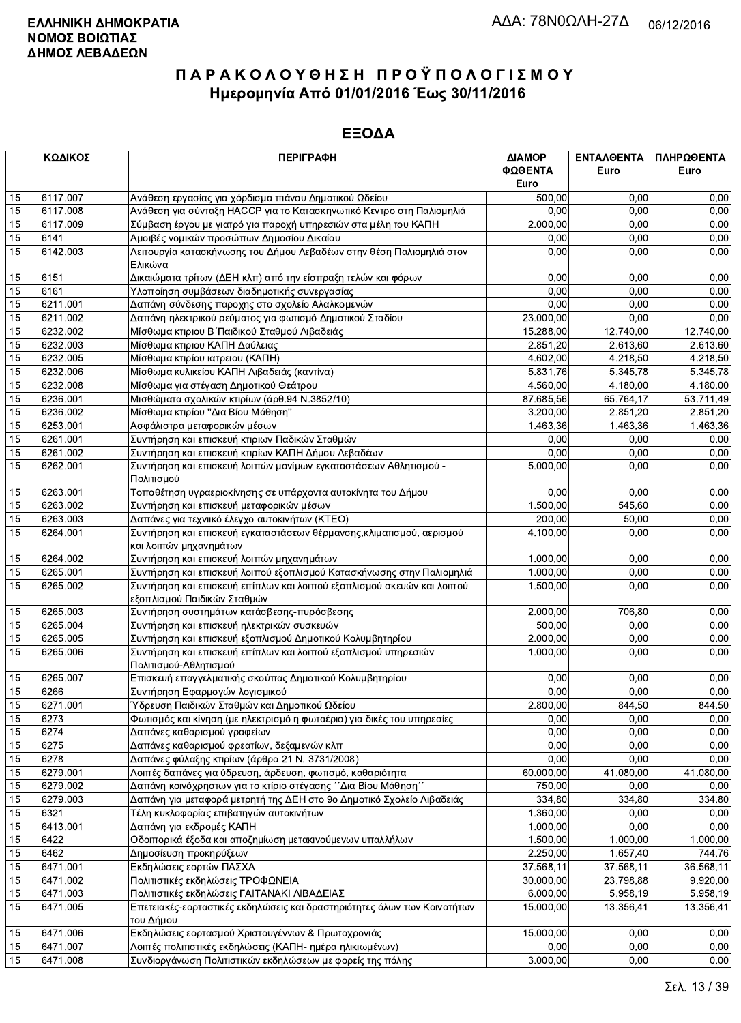|    | ΚΩΔΙΚΟΣ  | <b>ПЕРІГРАФН</b>                                                                                      | ΔΙΑΜΟΡ<br>ΦΩΘΕΝΤΑ<br>Euro | <b>ENTAAGENTA</b><br>Euro | ΠΛΗΡΩΘΕΝΤΑ<br>Euro |
|----|----------|-------------------------------------------------------------------------------------------------------|---------------------------|---------------------------|--------------------|
| 15 | 6117.007 | Ανάθεση εργασίας για χόρδισμα πιάνου Δημοτικού Ωδείου                                                 | 500,00                    | 0,00                      | 0,00               |
| 15 | 6117.008 | Ανάθεση για σύνταξη ΗΑCCP για το Κατασκηνωτικό Κεντρο στη Παλιομηλιά                                  | 0.00                      | 0.00                      | 0,00               |
| 15 | 6117.009 | Σύμβαση έργου με γιατρό για παροχή υπηρεσιών στα μέλη του ΚΑΠΗ                                        | 2.000,00                  | 0,00                      | 0,00               |
| 15 | 6141     | Αμοιβές νομικών προσώπων Δημοσίου Δικαίου                                                             | 0,00                      | 0,00                      | 0,00               |
| 15 | 6142.003 | Λειτουργία κατασκήνωσης του Δήμου Λεβαδέων στην θέση Παλιομηλιά στον                                  | 0,00                      | 0,00                      | 0,00               |
|    |          | Ελικώνα                                                                                               |                           |                           |                    |
| 15 | 6151     | Δικαιώματα τρίτων (ΔΕΗ κλπ) από την είσπραξη τελών και φόρων                                          | 0,00                      | 0,00                      | 0,00               |
| 15 | 6161     | Υλοποίηση συμβάσεων διαδημοτικής συνεργασίας                                                          | 0,00                      | 0,00                      | 0,00               |
| 15 | 6211.001 | Δαπάνη σύνδεσης παροχης στο σχολείο Αλαλκομενών                                                       | 0,00                      | 0,00                      | 0,00               |
| 15 | 6211.002 | Δαπάνη ηλεκτρικού ρεύματος για φωτισμό Δημοτικού Σταδίου                                              | 23.000,00                 | 0.00                      | 0,00               |
| 15 | 6232.002 | Μίσθωμα κτιριου Β΄ Παιδικού Σταθμού Λιβαδειάς                                                         | 15.288,00                 | 12.740,00                 | 12.740,00          |
| 15 | 6232.003 | Μίσθωμα κτιριου ΚΑΠΗ Δαύλειας                                                                         | 2.851,20                  | 2.613,60                  | 2.613,60           |
| 15 | 6232.005 | Μίσθωμα κτιρίου ιατρειου (ΚΑΠΗ)                                                                       | 4.602,00                  | 4.218,50                  | 4.218,50           |
| 15 | 6232.006 | Μίσθωμα κυλικείου ΚΑΠΗ Λιβαδειάς (καντίνα)                                                            | 5.831,76                  | 5.345,78                  | 5.345,78           |
| 15 | 6232.008 | Μίσθωμα για στέγαση Δημοτικού Θεάτρου                                                                 | 4.560,00                  | 4.180,00                  | 4.180,00           |
| 15 | 6236.001 | Μισθώματα σχολικών κτιρίων (άρθ.94 Ν.3852/10)                                                         | 87.685,56                 | 65.764,17                 | 53.711.49          |
| 15 | 6236.002 | Μίσθωμα κτιρίου "Δια Βίου Μάθηση"                                                                     | 3.200,00                  | 2.851,20                  | 2.851,20           |
| 15 | 6253.001 | Ασφάλιστρα μεταφορικών μέσων                                                                          | 1.463,36                  | 1.463,36                  | 1.463,36           |
| 15 | 6261.001 | Συντήρηση και επισκευή κτιριων Παδικών Σταθμών                                                        | 0,00                      | 0,00                      | 0,00               |
| 15 | 6261.002 | Συντήρηση και επισκευή κτιρίων ΚΑΠΗ Δήμου Λεβαδέων                                                    | 0,00                      | 0,00                      | 0,00               |
| 15 | 6262.001 | Συντήρηση και επισκευή λοιπών μονίμων εγκαταστάσεων Αθλητισμού -<br>Πολιτισμού                        | 5.000.00                  | 0,00                      | 0,00               |
| 15 | 6263.001 | Τοποθέτηση υγραεριοκίνησης σε υπάρχοντα αυτοκίνητα του Δήμου                                          | 0,00                      | 0,00                      | 0,00               |
| 15 | 6263.002 | Συντήρηση και επισκευή μεταφορικών μέσων                                                              | 1.500,00                  | 545,60                    | 0,00               |
| 15 | 6263.003 | Δαπάνες για τεχνιικό έλεγχο αυτοκινήτων (ΚΤΕΟ)                                                        | 200,00                    | 50,00                     | 0,00               |
| 15 | 6264.001 | Συντήρηση και επισκευή εγκαταστάσεων θέρμανσης, κλιματισμού, αερισμού<br>και λοιπών μηχανημάτων       | 4.100,00                  | 0,00                      | 0,00               |
| 15 | 6264.002 | Συντήρηση και επισκευή λοιπών μηχανημάτων                                                             | 1.000,00                  | 0,00                      | 0,00               |
| 15 | 6265.001 | Συντήρηση και επισκευή λοιπού εξοπλισμού Κατασκήνωσης στην Παλιομηλιά                                 | 1.000,00                  | 0,00                      | 0,00               |
| 15 | 6265.002 | Συντήρηση και επισκευή επίπλων και λοιπού εξοπλισμού σκευών και λοιπού<br>εξοπλισμού Παιδικών Σταθμών | 1.500,00                  | 0,00                      | 0,00               |
| 15 | 6265.003 | Συντήρηση συστημάτων κατάσβεσης-πυρόσβεσης                                                            | 2.000,00                  | 706,80                    | 0,00               |
| 15 | 6265.004 | Συντήρηση και επισκευή ηλεκτρικών συσκευών                                                            | 500,00                    | 0,00                      | 0,00               |
| 15 | 6265.005 | Συντήρηση και επισκευή εξοπλισμού Δημοτικού Κολυμβητηρίου                                             | 2.000,00                  | 0,00                      | 0,00               |
| 15 | 6265.006 | Συντήρηση και επισκευή επίπλων και λοιπού εξοπλισμού υπηρεσιών                                        | 1.000,00                  | 0,00                      | 0,00               |
|    |          | Πολιτισμού-Αθλητισμού                                                                                 |                           |                           |                    |
| 15 | 6265.007 | Επισκευή επαγγελματικής σκούπας Δημοτικού Κολυμβητηρίου                                               | 0,00                      | 0,00                      | 0,00               |
| 15 | 6266     | Συντήρηση Εφαρμογών λογισμικού                                                                        | 0.00                      | 0.00                      | 0,00               |
| 15 | 6271.001 | Ύδρευση Παιδικών Σταθμών και Δημοτικού Ωδείου                                                         | 2.800,00                  | 844,50                    | 844,50             |
| 15 | 6273     | Φωτισμός και κίνηση (με ηλεκτρισμό η φωταέριο) για δικές του υπηρεσίες                                | 0,00                      | 0,00                      | 0,00               |
| 15 | 6274     | Δαπάνες καθαρισμού γραφείων                                                                           | 0,00                      | 0,00                      | 0,00               |
| 15 | 6275     | Δαπάνες καθαρισμού φρεατίων, δεξαμενών κλπ                                                            | 0,00                      | 0,00                      | 0,00               |
| 15 | 6278     | Δαπάνες φύλαξης κτιρίων (άρθρο 21 Ν. 3731/2008)                                                       | 0.00                      | 0,00                      | 0,00               |
| 15 | 6279.001 | Λοιπές δαπάνες για ύδρευση, άρδευση, φωτισμό, καθαριότητα                                             | 60.000,00                 | 41.080,00                 | 41.080,00          |
| 15 | 6279.002 | Δαπάνη κοινόχρηστων για το κτίριο στέγασης ΄΄Δια Βίου Μάθηση΄΄                                        | 750,00                    | 0,00                      | 0,00               |
| 15 | 6279.003 | Δαπάνη για μεταφορά μετρητή της ΔΕΗ στο 9ο Δημοτικό Σχολείο Λιβαδειάς                                 | 334,80                    | 334,80                    | 334,80             |
| 15 | 6321     | Τέλη κυκλοφορίας επιβατηγών αυτοκινήτων                                                               | 1.360,00                  | 0,00                      | 0,00               |
| 15 | 6413.001 | Δαπάνη για εκδρομές ΚΑΠΗ                                                                              | 1.000,00                  | 0,00                      | 0,00               |
| 15 | 6422     | Οδοιπορικά έξοδα και αποζημίωση μετακινούμενων υπαλλήλων                                              | 1.500,00                  | 1.000,00                  | 1.000,00           |
| 15 | 6462     | Δημοσίευση προκηρύξεων                                                                                | 2.250,00                  | 1.657,40                  | 744,76             |
| 15 | 6471.001 | Εκδηλώσεις εορτών ΠΑΣΧΑ                                                                               | 37.568,11                 | 37.568,11                 | 36.568,11          |
| 15 | 6471.002 | Πολιτιστικές εκδηλώσεις ΤΡΟΦΩΝΕΙΑ                                                                     | 30.000,00                 | 23.798,88                 | 9.920,00           |
| 15 | 6471.003 | Πολιτιστικές εκδηλώσεις ΓΑΙΤΑΝΑΚΙ ΛΙΒΑΔΕΙΑΣ                                                           | 6.000,00                  | 5.958,19                  | 5.958,19           |
| 15 | 6471.005 | Επετειακές-εορταστικές εκδηλώσεις και δραστηριότητες όλων των Κοινοτήτων<br>του Δήμου                 | 15.000,00                 | 13.356,41                 | 13.356,41          |
| 15 | 6471.006 | Εκδηλώσεις εορτασμού Χριστουγέννων & Πρωτοχρονιάς                                                     | 15.000,00                 | 0,00                      | 0,00               |
| 15 | 6471.007 | Λοιπές πολιτιστικές εκδηλώσεις (ΚΑΠΗ- ημέρα ηλικιωμένων)                                              | 0,00                      | 0,00                      | 0,00               |
| 15 | 6471.008 | Συνδιοργάνωση Πολιτιστικών εκδηλώσεων με φορείς της πόλης                                             | 3.000,00                  | 0,00                      | 0,00               |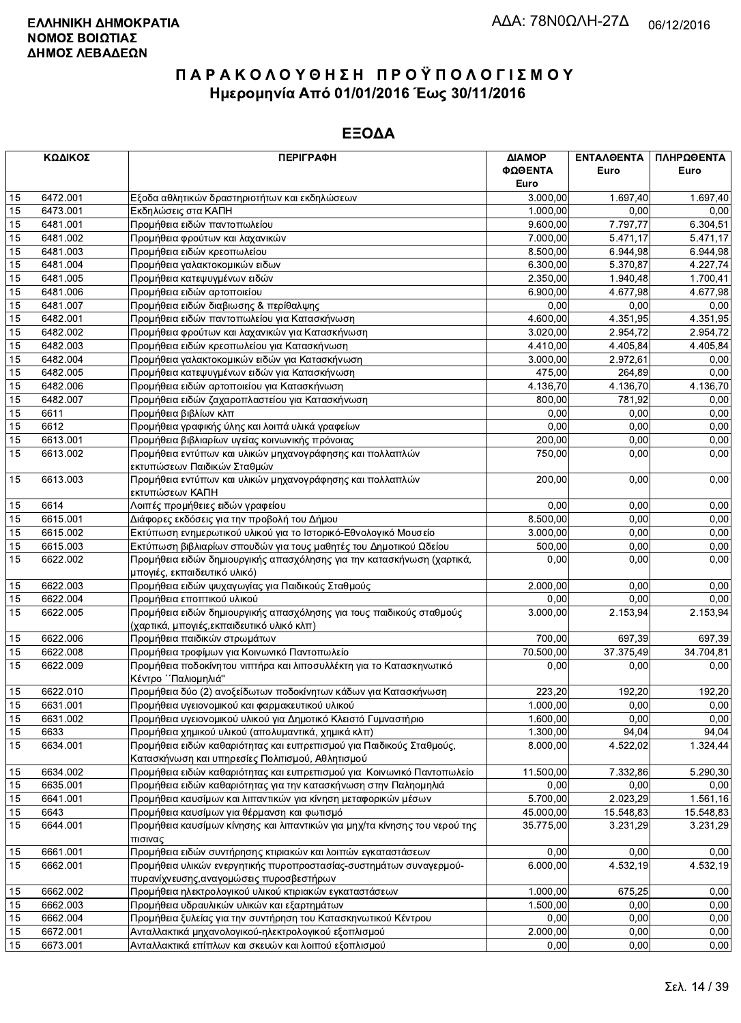|    | ΚΩΔΙΚΟΣ  | <b>ПЕРІГРАФН</b>                                                                                                         | ΔΙΑΜΟΡ<br>ΦΩΘΕΝΤΑ<br>Euro | ΕΝΤΑΛΘΕΝΤΑ<br>Euro | ΠΛΗΡΩΘΕΝΤΑ<br>Euro |
|----|----------|--------------------------------------------------------------------------------------------------------------------------|---------------------------|--------------------|--------------------|
| 15 | 6472.001 | Εξοδα αθλητικών δραστηριοτήτων και εκδηλώσεων                                                                            | 3.000,00                  | 1.697,40           | 1.697,40           |
| 15 | 6473.001 | Εκδηλώσεις στα ΚΑΠΗ                                                                                                      | 1.000,00                  | 0,00               | 0,00               |
| 15 | 6481.001 | Προμήθεια ειδών παντοπωλείου                                                                                             | 9.600,00                  | 7.797,77           | 6.304,51           |
| 15 | 6481.002 | Προμήθεια φρούτων και λαχανικών                                                                                          | 7.000,00                  | 5.471,17           | 5.471,17           |
| 15 | 6481.003 | Προμήθεια ειδών κρεοπωλείου                                                                                              | 8.500,00                  | 6.944,98           | 6.944,98           |
| 15 | 6481.004 | Προμήθεια γαλακτοκομικών ειδων                                                                                           | 6.300,00                  | 5.370,87           | 4.227,74           |
| 15 | 6481.005 | Προμήθεια κατεψυγμένων ειδών                                                                                             | 2.350,00                  | 1.940,48           | 1.700,41           |
| 15 | 6481.006 | Προμήθεια ειδών αρτοποιείου                                                                                              | 6.900,00                  | 4.677,98           | 4.677,98           |
| 15 | 6481.007 | Προμήθεια ειδών διαβιωσης & περίθαλψης                                                                                   | 0,00                      | 0.00               | 0,00               |
| 15 | 6482.001 | Προμήθεια ειδών παντοπωλείου για Κατασκήνωση                                                                             | 4.600,00                  | 4.351,95           | 4.351,95           |
| 15 | 6482.002 | Προμήθεια φρούτων και λαχανικών για Κατασκήνωση                                                                          | 3.020,00                  | 2.954,72           | 2.954,72           |
| 15 | 6482.003 | Προμήθεια ειδών κρεοπωλείου για Κατασκήνωση                                                                              | 4.410,00                  | 4.405,84           | 4.405,84           |
| 15 | 6482.004 | Προμήθεια γαλακτοκομικών ειδών για Κατασκήνωση                                                                           | 3.000,00                  | 2.972,61           | 0,00               |
| 15 | 6482.005 | Προμήθεια κατεψυγμένων ειδών για Κατασκήνωση                                                                             | 475,00                    | 264,89             | 0,00               |
| 15 | 6482.006 | Προμήθεια ειδών αρτοποιείου για Κατασκήνωση                                                                              | 4.136,70                  | 4.136,70           | 4.136,70           |
| 15 | 6482.007 | Προμήθεια ειδών ζαχαροπλαστείου για Κατασκήνωση                                                                          | 800,00                    | 781,92             | 0,00               |
| 15 | 6611     |                                                                                                                          | 0,00                      |                    |                    |
|    |          | Προμήθεια βιβλίων κλπ                                                                                                    |                           | 0,00               | 0,00               |
| 15 | 6612     | Προμήθεια γραφικής ύλης και λοιπά υλικά γραφείων                                                                         | 0,00                      | 0,00               | 0,00               |
| 15 | 6613.001 | Προμήθεια βιβλιαρίων υγείας κοινωνικής πρόνοιας                                                                          | 200,00                    | 0,00               | 0,00               |
| 15 | 6613.002 | Προμήθεια εντύπων και υλικών μηχανογράφησης και πολλαπλών<br>εκτυπώσεων Παιδικών Σταθμών                                 | 750,00                    | 0,00               | 0,00               |
| 15 | 6613.003 | Προμήθεια εντύπων και υλικών μηχανογράφησης και πολλαπλών<br>εκτυπώσεων ΚΑΠΗ                                             | 200,00                    | 0,00               | 0,00               |
| 15 | 6614     | Λοιπές προμήθειες ειδών γραφείου                                                                                         | 0,00                      | 0,00               | 0,00               |
| 15 | 6615.001 | Διάφορες εκδόσεις για την προβολή του Δήμου                                                                              | 8.500,00                  | 0.00               | 0,00               |
| 15 | 6615.002 | Εκτύπωση ενημερωτικού υλικού για το Ιστορικό-Εθνολογικό Μουσείο                                                          | 3.000,00                  | 0,00               | 0,00               |
| 15 | 6615.003 | Εκτύπωση βιβλιαρίων σπουδών για τους μαθητές του Δημοτικού Ωδείου                                                        | 500,00                    | 0,00               | 0,00               |
| 15 | 6622.002 | Προμήθεια ειδών δημιουργικής απασχόλησης για την κατασκήνωση (χαρτικά,<br>μπογιές, εκπαιδευτικό υλικό)                   | 0,00                      | 0,00               | 0,00               |
| 15 | 6622.003 | Προμήθεια ειδών ψυχαγωγίας για Παιδικούς Σταθμούς                                                                        | 2.000,00                  | 0,00               | 0,00               |
| 15 | 6622.004 | Προμήθεια εποπτικού υλικού                                                                                               | 0,00                      | 0,00               | 0,00               |
| 15 | 6622.005 | Προμήθεια ειδών δημιουργικής απασχόλησης για τους παιδικούς σταθμούς                                                     | 3.000,00                  | 2.153,94           | 2.153,94           |
|    |          | (χαρτικά, μπογιές, εκπαιδευτικό υλικό κλπ)                                                                               |                           |                    |                    |
| 15 | 6622.006 | Προμήθεια παιδικών στρωμάτων                                                                                             | 700,00                    | 697,39             | 697,39             |
| 15 | 6622.008 | Προμήθεια τροφίμων για Κοινωνικό Παντοπωλείο                                                                             | 70.500,00                 | 37.375,49          | 34.704,81          |
| 15 | 6622.009 | Προμήθεια ποδοκίνητου νιπτήρα και λιποσυλλέκτη για το Κατασκηνωτικό<br>Κέντρο ΄΄ Παλιομηλιά"                             | 0,00                      | 0,00               | 0,00               |
| 15 | 6622.010 | Προμήθεια δύο (2) ανοξείδωτων ποδοκίνητων κάδων για Κατασκήνωση                                                          | 223,20                    | 192,20             | 192,20             |
| 15 | 6631.001 | Προμήθεια υγειονομικού και φαρμακευτικού υλικού                                                                          | 1.000,00                  | 0.00               | 0,00               |
| 15 | 6631.002 | Προμήθεια υγειονομικού υλικού για Δημοτικό Κλειστό Γυμναστήριο                                                           | 1.600,00                  | 0,00               | 0,00               |
| 15 | 6633     | Προμήθεια χημικού υλικού (απολυμαντικά, χημικά κλπ)                                                                      | 1.300,00                  | 94,04              | 94,04              |
| 15 | 6634.001 | Προμήθεια ειδών καθαριότητας και ευπρεπισμού για Παιδικούς Σταθμούς,<br>Κατασκήνωση και υπηρεσίες Πολιτισμού, Αθλητισμού | 8.000,00                  | 4.522,02           | 1.324,44           |
| 15 | 6634.002 | Προμήθεια ειδών καθαριότητας και ευπρεπισμού για Κοινωνικό Παντοπωλείο                                                   | 11.500,00                 | 7.332,86           | 5.290,30           |
| 15 | 6635.001 | Προμήθεια ειδών καθαριότητας για την κατασκήνωση στην Παληομηλιά                                                         | 0,00                      | 0,00               | 0,00               |
| 15 | 6641.001 | Προμήθεια καυσίμων και λιπαντικών για κίνηση μεταφορικών μέσων                                                           | 5.700,00                  | 2.023,29           | 1.561,16           |
| 15 | 6643     | Προμήθεια καυσίμων για θέρμανση και φωτισμό                                                                              | 45.000,00                 | 15.548,83          | 15.548,83          |
| 15 | 6644.001 | Προμήθεια καυσίμων κίνησης και λιπαντικών για μηχ/τα κίνησης του νερού της                                               | 35.775,00                 | 3.231,29           | 3.231,29           |
| 15 | 6661.001 | πισινας<br>Προμήθεια ειδών συντήρησης κτιριακών και λοιπών εγκαταστάσεων                                                 | 0,00                      | 0,00               | 0,00               |
| 15 | 6662.001 | Προμήθεια υλικών ενεργητικής πυροπροστασίας-συστημάτων συναγερμού-                                                       | 6.000,00                  | 4.532,19           |                    |
|    |          | πυρανίχνευσης, αναγομώσεις πυροσβεστήρων                                                                                 |                           |                    | 4.532,19           |
| 15 | 6662.002 | Προμήθεια ηλεκτρολογικού υλικού κτιριακών εγκαταστάσεων                                                                  | 1.000,00                  | 675,25             | 0,00               |
| 15 | 6662.003 | Προμήθεια υδραυλικών υλικών και εξαρτημάτων                                                                              | 1.500,00                  | 0,00               | 0,00               |
| 15 | 6662.004 | Προμήθεια ξυλείας για την συντήρηση του Κατασκηνωτικού Κέντρου                                                           | 0,00                      | 0,00               | 0,00               |
| 15 | 6672.001 | Ανταλλακτικά μηχανολογικού-ηλεκτρολογικού εξοπλισμού                                                                     | 2.000,00                  | 0,00               | 0,00               |
| 15 | 6673.001 | Ανταλλακτικά επίπλων και σκευών και λοιπού εξοπλισμού                                                                    | 0,00                      | 0,00               | 0,00               |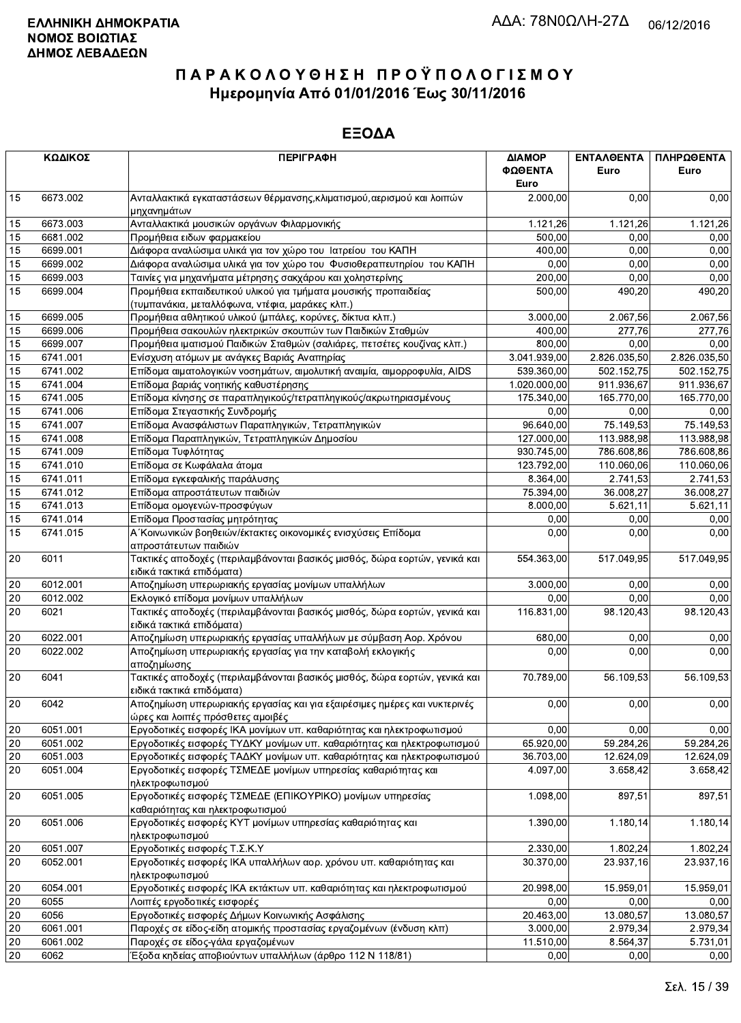|                 | ΚΩΔΙΚΟΣ  | <b>ПЕРІГРАФН</b>                                                                                               | ΔΙΑΜΟΡ<br>ΦΩΘΕΝΤΑ<br>Euro | ΕΝΤΑΛΘΕΝΤΑ<br>Euro | ΠΛΗΡΩΘΕΝΤΑ<br>Euro |
|-----------------|----------|----------------------------------------------------------------------------------------------------------------|---------------------------|--------------------|--------------------|
| 15              | 6673.002 | Ανταλλακτικά εγκαταστάσεων θέρμανσης, κλιματισμού, αερισμού και λοιπών<br>μηχανημάτων                          | 2.000,00                  | 0,00               | 0,00               |
| 15              | 6673.003 | Ανταλλακτικά μουσικών οργάνων Φιλαρμονικής                                                                     | 1.121,26                  | 1.121,26           | 1.121,26           |
| 15              | 6681.002 | Προμήθεια ειδων φαρμακείου                                                                                     | 500,00                    | 0,00               | 0,00               |
| 15              | 6699.001 | Διάφορα αναλώσιμα υλικά για τον χώρο του Ιατρείου του ΚΑΠΗ                                                     | 400,00                    | 0.00               | 0,00               |
| 15              | 6699.002 | Διάφορα αναλώσιμα υλικά για τον χώρο του Φυσιοθεραπευτηρίου του ΚΑΠΗ                                           | 0,00                      | 0,00               | 0,00               |
| 15              | 6699.003 | Ταινίες για μηχανήματα μέτρησης σακχάρου και χοληστερίνης                                                      | 200.00                    | 0,00               | 0,00               |
| 15              | 6699.004 | Προμήθεια εκπαιδευτικού υλικού για τμήματα μουσικής προπαιδείας                                                | 500.00                    | 490,20             | 490,20             |
|                 |          | (τυμπανάκια, μεταλλόφωνα, ντέφια, μαράκες κλπ.)                                                                |                           |                    |                    |
| 15              | 6699.005 | Προμήθεια αθλητικού υλικού (μπάλες, κορύνες, δίκτυα κλπ.)                                                      | 3.000,00                  | 2.067,56           | 2.067,56           |
| 15              | 6699.006 | Προμήθεια σακουλών ηλεκτρικών σκουπών των Παιδικών Σταθμών                                                     | 400,00                    | 277.76             | 277,76             |
| 15              | 6699.007 | Προμήθεια ιματισμού Παιδικών Σταθμών (σαλιάρες, πετσέτες κουζίνας κλπ.)                                        | 800,00                    | 0,00               | 0,00               |
| 15              | 6741.001 | Ενίσχυση ατόμων με ανάγκες Βαριάς Αναπηρίας                                                                    | 3.041.939,00              | 2.826.035,50       | 2.826.035,50       |
| 15              | 6741.002 | Επίδομα αιματολογικών νοσημάτων, αιμολυτική αναιμία, αιμορροφυλία, AIDS                                        | 539.360,00                | 502.152,75         | 502.152,75         |
| 15              | 6741.004 | Επίδομα βαριάς νοητικής καθυστέρησης                                                                           | 1.020.000,00              | 911.936,67         | 911.936,67         |
| 15              | 6741.005 | Επίδομα κίνησης σε παραπληγικούς/τετραπληγικούς/ακρωτηριασμένους                                               | 175.340,00                | 165.770,00         | 165.770,00         |
| 15              | 6741.006 | Επίδομα Στεγαστικής Συνδρομής                                                                                  | 0,00                      | 0,00               | 0,00               |
| 15              | 6741.007 | Επίδομα Ανασφάλιστων Παραπληγικών, Τετραπληγικών                                                               | 96.640,00                 | 75.149,53          | 75.149,53          |
| 15              | 6741.008 | Επίδομα Παραπληγικών, Τετραπληγικών Δημοσίου                                                                   | 127.000,00                | 113.988,98         | 113.988,98         |
| 15              | 6741.009 | Επίδομα Τυφλότητας                                                                                             | 930.745,00                | 786.608,86         | 786.608,86         |
| 15              | 6741.010 | Επίδομα σε Κωφάλαλα άτομα                                                                                      | 123.792,00                | 110.060,06         | 110.060,06         |
| 15              | 6741.011 | Επίδομα εγκεφαλικής παράλυσης                                                                                  | 8.364,00                  | 2.741,53           | 2.741,53           |
| 15              | 6741.012 | Επίδομα απροστάτευτων παιδιών                                                                                  | 75.394,00                 | 36.008,27          | 36.008,27          |
| 15              | 6741.013 | Επίδομα ομογενών-προσφύγων                                                                                     | 8.000,00                  | 5.621,11           | 5.621,11           |
| 15              | 6741.014 | Επίδομα Προστασίας μητρότητας                                                                                  | 0,00                      | 0,00               | 0,00               |
| 15              | 6741.015 | Α΄ Κοινωνικών βοηθειών/έκτακτες οικονομικές ενισχύσεις Επίδομα<br>απροστάτευτων παιδιών                        | 0,00                      | 0,00               | 0,00               |
| 20              | 6011     | Τακτικές αποδοχές (περιλαμβάνονται βασικός μισθός, δώρα εορτών, γενικά και<br>ειδικά τακτικά επιδόματα)        | 554.363,00                | 517.049,95         | 517.049,95         |
| 20              | 6012.001 | Αποζημίωση υπερωριακής εργασίας μονίμων υπαλλήλων                                                              | 3.000,00                  | 0,00               | 0,00               |
| 20              | 6012.002 | Εκλογικό επίδομα μονίμων υπαλλήλων                                                                             | 0,00                      | 0,00               | 0,00               |
| $\overline{20}$ | 6021     | Τακτικές αποδοχές (περιλαμβάνονται βασικός μισθός, δώρα εορτών, γενικά και                                     | 116.831,00                | 98.120,43          | 98.120,43          |
| 20              | 6022.001 | ειδικά τακτικά επιδόματα)<br>Αποζημίωση υπερωριακής εργασίας υπαλλήλων με σύμβαση Αορ. Χρόνου                  | 680,00                    | 0,00               | 0,00               |
| 20              | 6022.002 | Αποζημίωση υπερωριακής εργασίας για την καταβολή εκλογικής                                                     | 0,00                      | 0,00               | 0,00               |
|                 |          | αποζημίωσης                                                                                                    |                           |                    |                    |
| 20              | 6041     | Τακτικές αποδοχές (περιλαμβάνονται βασικός μισθός, δώρα εορτών, γενικά και<br>ειδικά τακτικά επιδόματα)        | 70.789,00                 | 56.109,53          | 56.109,53          |
| 20              | 6042     | Αποζημίωση υπερωριακής εργασίας και για εξαιρέσιμες ημέρες και νυκτερινές<br>ώρες και λοιπές πρόσθετες αμοιβές | 0,00                      | 0,00               | 0,00               |
| 20              | 6051.001 | Εργοδοτικές εισφορές ΙΚΑ μονίμων υπ. καθαριότητας και ηλεκτροφωτισμού                                          | 0,00                      | 0,00               | 0,00               |
| 20              | 6051.002 | Εργοδοτικές εισφορές ΤΥΔΚΥ μονίμων υπ. καθαριότητας και ηλεκτροφωτισμού                                        | 65.920,00                 | 59.284,26          | 59.284,26          |
| $20\,$          | 6051.003 | Εργοδοτικές εισφορές ΤΑΔΚΥ μονίμων υπ. καθαριότητας και ηλεκτροφωτισμού                                        | 36.703,00                 | 12.624,09          | 12.624,09          |
| 20              | 6051.004 | Εργοδοτικές εισφορές ΤΣΜΕΔΕ μονίμων υπηρεσίας καθαριότητας και<br>ηλεκτροφωτισμού                              | 4.097,00                  | 3.658,42           | 3.658,42           |
| 20              | 6051.005 | Εργοδοτικές εισφορές ΤΣΜΕΔΕ (ΕΠΙΚΟΥΡΙΚΟ) μονίμων υπηρεσίας<br>καθαριότητας και ηλεκτροφωτισμού                 | 1.098,00                  | 897,51             | 897,51             |
| 20              | 6051.006 | Εργοδοτικές εισφορές ΚΥΤ μονίμων υπηρεσίας καθαριότητας και                                                    | 1.390,00                  | 1.180,14           | 1.180,14           |
|                 | 6051.007 | ηλεκτροφωτισμού<br>Εργοδοτικές εισφορές Τ.Σ.Κ.Υ                                                                | 2.330,00                  | 1.802,24           | 1.802,24           |
| 20<br>20        | 6052.001 | Εργοδοτικές εισφορές ΙΚΑ υπαλλήλων αορ. χρόνου υπ. καθαριότητας και                                            | 30.370,00                 | 23.937,16          | 23.937,16          |
|                 |          | ηλεκτροφωτισμού                                                                                                |                           |                    |                    |
| 20              | 6054.001 | Εργοδοτικές εισφορές ΙΚΑ εκτάκτων υπ. καθαριότητας και ηλεκτροφωτισμού                                         | 20.998,00                 | 15.959,01          | 15.959,01          |
| 20              | 6055     | Λοιπές εργοδοτικές εισφορές                                                                                    | 0,00                      | 0,00               | 0,00               |
| 20              | 6056     | Εργοδοτικές εισφορές Δήμων Κοινωνικής Ασφάλισης                                                                | 20.463,00                 | 13.080,57          | 13.080,57          |
| 20              | 6061.001 | Παροχές σε είδος-είδη ατομικής προστασίας εργαζομένων (ένδυση κλπ)                                             | 3.000,00                  | 2.979,34           | 2.979,34           |
| 20              | 6061.002 | Παροχές σε είδος-γάλα εργαζομένων                                                                              | 11.510,00                 | 8.564,37           | 5.731,01           |
| 20              | 6062     | Έξοδα κηδείας αποβιούντων υπαλλήλων (άρθρο 112 Ν 118/81)                                                       | 0,00                      | 0,00               | 0,00               |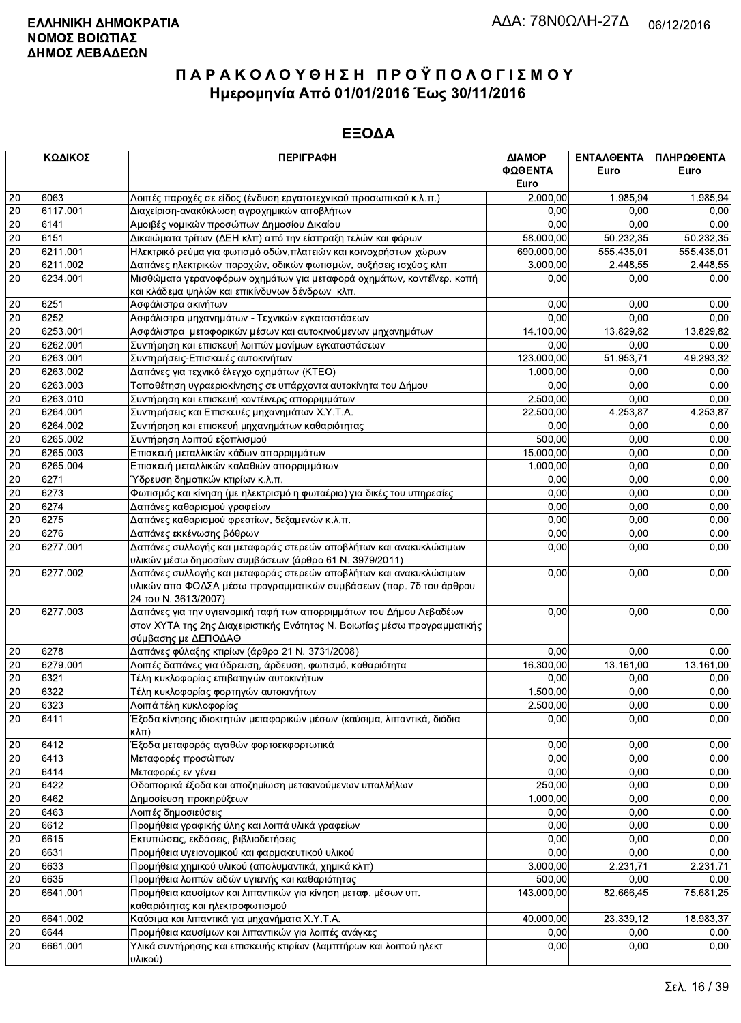|                 | ΚΩΔΙΚΟΣ  | <b>ПЕРІГРАФН</b>                                                          | ΔΙΑΜΟΡ          | ΕΝΤΑΛΘΕΝΤΑ | ΠΛΗΡΩΘΕΝΤΑ |
|-----------------|----------|---------------------------------------------------------------------------|-----------------|------------|------------|
|                 |          |                                                                           | ΦΩΘΕΝΤΑ<br>Euro | Euro       | Euro       |
| 20              | 6063     | Λοιπές παροχές σε είδος (ένδυση εργατοτεχνικού προσωπικού κ.λ.π.)         | 2.000,00        | 1.985,94   | 1.985,94   |
| 20              | 6117.001 | Διαχείριση-ανακύκλωση αγροχημικών αποβλήτων                               | 0,00            | 0.00       | 0,00       |
| 20              | 6141     | Αμοιβές νομικών προσώπων Δημοσίου Δικαίου                                 | 0,00            | 0.00       | 0,00       |
| $\overline{20}$ | 6151     | Δικαιώματα τρίτων (ΔΕΗ κλπ) από την είσπραξη τελών και φόρων              | 58.000,00       | 50.232,35  | 50.232,35  |
| 20              | 6211.001 | Ηλεκτρικό ρεύμα για φωτισμό οδών, πλατειών και κοινοχρήστων χώρων         | 690.000,00      | 555.435,01 | 555.435,01 |
| 20              | 6211.002 | Δαπάνες ηλεκτρικών παροχών, οδικών φωτισμών, αυξήσεις ισχύος κλπ          | 3.000,00        | 2.448,55   | 2.448,55   |
| 20              | 6234.001 | Μισθώματα γερανοφόρων οχημάτων για μεταφορά οχημάτων, κοντέϊνερ, κοπή     | 0,00            | 0,00       | 0,00       |
|                 |          | και κλάδεμα ψηλών και επικίνδυνων δένδρων κλπ.                            |                 |            |            |
| 20              | 6251     | Ασφάλιστρα ακινήτων                                                       | 0,00            | 0,00       | 0,00       |
| 20              | 6252     | Ασφάλιστρα μηχανημάτων - Τεχνικών εγκαταστάσεων                           | 0.00            | 0,00       | 0,00       |
| 20              | 6253.001 | Ασφάλιστρα μεταφορικών μέσων και αυτοκινούμενων μηχανημάτων               | 14.100,00       | 13.829,82  | 13.829,82  |
| 20              | 6262.001 | Συντήρηση και επισκευή λοιπών μονίμων εγκαταστάσεων                       | 0,00            | 0,00       | 0,00       |
| $\overline{20}$ | 6263.001 | Συντηρήσεις-Επισκευές αυτοκινήτων                                         | 123.000,00      | 51.953,71  | 49.293,32  |
| 20              | 6263.002 | Δαπάνες για τεχνικό έλεγχο οχημάτων (KTEO)                                | 1.000,00        | 0,00       | 0,00       |
| 20              | 6263.003 | Τοποθέτηση υγραεριοκίνησης σε υπάρχοντα αυτοκίνητα του Δήμου              | 0,00            | 0,00       | 0,00       |
| 20              | 6263.010 | Συντήρηση και επισκευή κοντέινερς απορριμμάτων                            | 2.500,00        | 0,00       | 0,00       |
| 20              | 6264.001 | Συντηρήσεις και Επισκευές μηχανημάτων Χ.Υ.Τ.Α.                            | 22.500,00       | 4.253,87   | 4.253,87   |
| 20              | 6264.002 | Συντήρηση και επισκευή μηχανημάτων καθαριότητας                           | 0,00            | 0.00       | 0,00       |
| 20              | 6265.002 | Συντήρηση λοιπού εξοπλισμού                                               | 500,00          | 0,00       | 0,00       |
| 20              | 6265.003 | Επισκευή μεταλλικών κάδων απορριμμάτων                                    | 15.000,00       | 0,00       | 0,00       |
| 20              | 6265.004 | Επισκευή μεταλλικών καλαθιών απορριμμάτων                                 | 1.000.00        | 0,00       | 0,00       |
| 20              | 6271     | Ύδρευση δημοτικών κτιρίων κ.λ.π.                                          | 0,00            | 0,00       | 0,00       |
| 20              | 6273     | Φωτισμός και κίνηση (με ηλεκτρισμό η φωταέριο) για δικές του υπηρεσίες    | 0.00            | 0,00       | 0,00       |
| 20              | 6274     | Δαπάνες καθαρισμού γραφείων                                               | 0,00            | 0,00       | 0,00       |
| 20              | 6275     | Δαπάνες καθαρισμού φρεατίων, δεξαμενών κ.λ.π.                             | 0,00            | 0,00       | 0,00       |
| 20              | 6276     | Δαπάνες εκκένωσης βόθρων                                                  | 0,00            | 0,00       | 0,00       |
| 20              | 6277.001 | Δαπάνες συλλογής και μεταφοράς στερεών αποβλήτων και ανακυκλώσιμων        | 0,00            | 0,00       | 0,00       |
|                 |          | υλικών μέσω δημοσίων συμβάσεων (άρθρο 61 Ν. 3979/2011)                    |                 |            |            |
| 20              | 6277.002 | Δαπάνες συλλογής και μεταφοράς στερεών αποβλήτων και ανακυκλώσιμων        | 0,00            | 0,00       | 0,00       |
|                 |          | υλικών απο ΦΟΔΣΑ μέσω προγραμματικών συμβάσεων (παρ. 7δ του άρθρου        |                 |            |            |
|                 |          | 24 TOU N. 3613/2007)                                                      |                 |            |            |
| 20              | 6277.003 | Δαπάνες για την υγιεινομική ταφή των απορριμμάτων του Δήμου Λεβαδέων      | 0,00            | 0,00       | 0,00       |
|                 |          | στον ΧΥΤΑ της 2ης Διαχειριστικής Ενότητας Ν. Βοιωτίας μέσω προγραμματικής |                 |            |            |
|                 |          | σύμβασης με ΔΕΠΟΔΑΘ                                                       |                 |            |            |
| 20              | 6278     | Δαπάνες φύλαξης κτιρίων (άρθρο 21 Ν. 3731/2008)                           | 0,00            | 0,00       | 0,00       |
| 20              | 6279.001 | Λοιπές δαπάνες για ύδρευση, άρδευση, φωτισμό, καθαριότητα                 | 16.300,00       | 13.161,00  | 13.161,00  |
| 20              | 6321     | Τέλη κυκλοφορίας επιβατηγών αυτοκινήτων                                   | 0,00            | 0,00       | 0,00       |
| 20              | 6322     | Τέλη κυκλοφορίας φορτηγών αυτοκινήτων                                     | 1.500,00        | 0.00       | 0,00       |
| 20              | 6323     | Λοιπά τέλη κυκλοφορίας                                                    | 2.500,00        | 0,00       | 0,00       |
| 20              | 6411     | Έξοδα κίνησης ιδιοκτητών μεταφορικών μέσων (καύσιμα, λιπαντικά, διόδια    | 0,00            | 0,00       | 0,00       |
|                 |          | $\kappa\lambda\pi$ )                                                      |                 |            |            |
| 20              | 6412     | Έξοδα μεταφοράς αγαθών φορτοεκφορτωτικά                                   | 0,00            | 0,00       | 0,00       |
| 20              | 6413     | Μεταφορές προσώπων                                                        | 0,00            | 0,00       | 0,00       |
| 20              | 6414     | Μεταφορές εν γένει                                                        | 0,00            | 0,00       | 0,00       |
| 20              | 6422     | Οδοιπορικά έξοδα και αποζημίωση μετακινούμενων υπαλλήλων                  | 250,00          | 0,00       | 0,00       |
| 20              | 6462     | Δημοσίευση προκηρύξεων                                                    | 1.000,00        | 0,00       | 0,00       |
| 20              | 6463     | Λοιπές δημοσιεύσεις                                                       | 0,00            | 0,00       | 0,00       |
| 20              | 6612     | Προμήθεια γραφικής ύλης και λοιπά υλικά γραφείων                          | 0,00            | 0,00       | 0,00       |
| 20              | 6615     | Εκτυπώσεις, εκδόσεις, βιβλιοδετήσεις                                      | 0,00            | 0,00       | 0,00       |
| 20              | 6631     | Προμήθεια υγειονομικού και φαρμακευτικού υλικού                           | 0,00            | 0,00       | 0,00       |
| 20              | 6633     | Προμήθεια χημικού υλικού (απολυμαντικά, χημικά κλπ)                       | 3.000,00        | 2.231,71   | 2.231,71   |
| 20              | 6635     | Προμήθεια λοιπών ειδών υγιεινής και καθαριότητας                          | 500,00          | 0,00       | 0,00       |
| 20              | 6641.001 | Προμήθεια καυσίμων και λιπαντικών για κίνηση μεταφ. μέσων υπ.             | 143.000,00      | 82.666,45  | 75.681,25  |
|                 |          | καθαριότητας και ηλεκτροφωτισμού                                          |                 |            |            |
| 20              | 6641.002 | Καύσιμα και λιπαντικά για μηχανήματα Χ.Υ.Τ.Α.                             | 40.000,00       | 23.339,12  | 18.983,37  |
| 20              | 6644     | Προμήθεια καυσίμων και λιπαντικών για λοιπές ανάγκες                      | 0,00            | 0,00       | 0,00       |
| 20              | 6661.001 | Υλικά συντήρησης και επισκευής κτιρίων (λαμπτήρων και λοιπού ηλεκτ        | 0,00            | 0,00       | 0,00       |
|                 |          | υλικού)                                                                   |                 |            |            |
|                 |          |                                                                           |                 |            |            |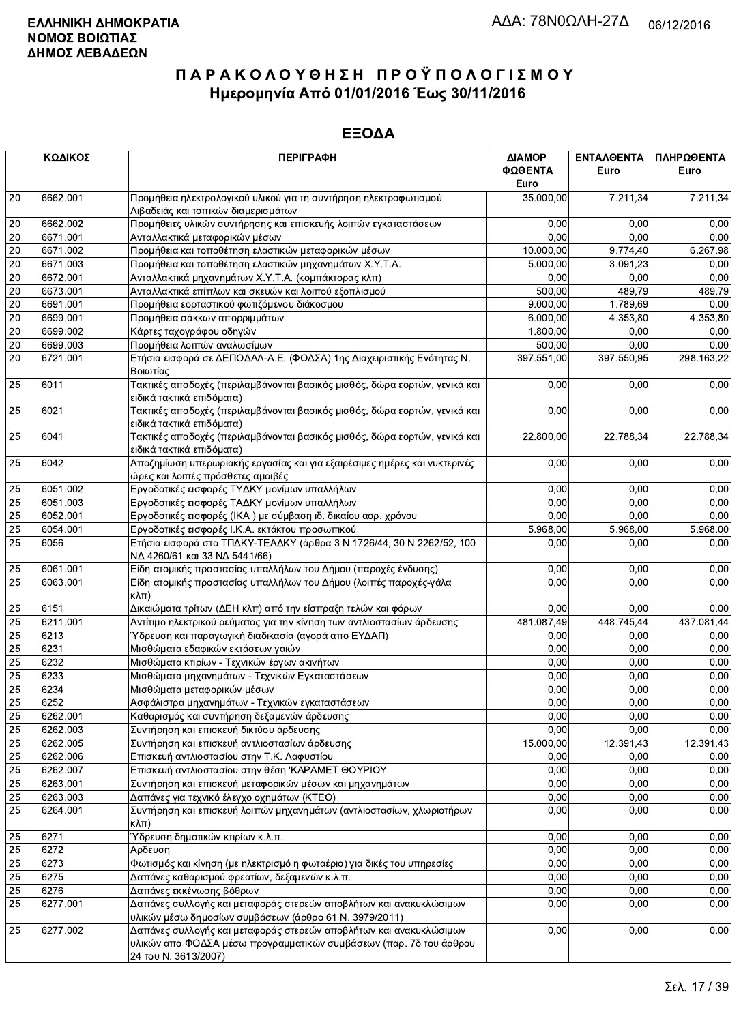|                 | ΚΩΔΙΚΟΣ  | <b>ПЕРІГРАФН</b>                                                                                                                                                 | ΔΙΑΜΟΡ          | ΕΝΤΑΛΘΕΝΤΑ | ΠΛΗΡΩΘΕΝΤΑ |
|-----------------|----------|------------------------------------------------------------------------------------------------------------------------------------------------------------------|-----------------|------------|------------|
|                 |          |                                                                                                                                                                  | ΦΩΘΕΝΤΑ<br>Euro | Euro       | Euro       |
| 20              | 6662.001 | Προμήθεια ηλεκτρολογικού υλικού για τη συντήρηση ηλεκτροφωτισμού                                                                                                 | 35.000,00       | 7.211,34   | 7.211,34   |
|                 |          | Λιβαδειάς και τοπικών διαμερισμάτων                                                                                                                              |                 |            |            |
| 20              | 6662.002 | Προμήθειες υλικών συντήρησης και επισκευής λοιπών εγκαταστάσεων                                                                                                  | 0,00            | 0,00       | 0,00       |
| 20              | 6671.001 | Ανταλλακτικά μεταφορικών μέσων                                                                                                                                   | 0,00            | 0,00       | 0,00       |
| 20              | 6671.002 | Προμήθεια και τοποθέτηση ελαστικών μεταφορικών μέσων                                                                                                             | 10.000,00       | 9.774,40   | 6.267,98   |
| 20              | 6671.003 | Προμήθεια και τοποθέτηση ελαστικών μηχανημάτων Χ.Υ.Τ.Α.                                                                                                          | 5.000,00        | 3.091.23   | 0,00       |
| 20              | 6672.001 | Ανταλλακτικά μηχανημάτων Χ.Υ.Τ.Α. (κομπάκτορας κλπ)                                                                                                              | 0,00            | 0,00       | 0,00       |
| 20              | 6673.001 | Ανταλλακτικά επίπλων και σκευών και λοιπού εξοπλισμού                                                                                                            | 500,00          | 489,79     | 489,79     |
| 20              | 6691.001 | Προμήθεια εορταστικού φωτιζόμενου διάκοσμου                                                                                                                      | 9.000,00        | 1.789,69   | 0,00       |
| 20              | 6699.001 | Προμήθεια σάκκων απορριμμάτων                                                                                                                                    | 6.000,00        | 4.353,80   | 4.353,80   |
| 20              | 6699.002 | Κάρτες ταχογράφου οδηγών                                                                                                                                         | 1.800,00        | 0,00       | 0,00       |
| 20              | 6699.003 | Προμήθεια λοιπών αναλωσίμων                                                                                                                                      | 500,00          | 0,00       | 0,00       |
| 20              | 6721.001 | Ετήσια εισφορά σε ΔΕΠΟΔΑΛ-Α.Ε. (ΦΟΔΣΑ) 1ης Διαχειριστικής Ενότητας Ν.<br>Βοιωτίας                                                                                | 397.551,00      | 397.550,95 | 298.163,22 |
| 25              | 6011     | Τακτικές αποδοχές (περιλαμβάνονται βασικός μισθός, δώρα εορτών, γενικά και<br>ειδικά τακτικά επιδόματα)                                                          | 0,00            | 0,00       | 0,00       |
| 25              | 6021     | Τακτικές αποδοχές (περιλαμβάνονται βασικός μισθός, δώρα εορτών, γενικά και<br>ειδικά τακτικά επιδόματα)                                                          | 0,00            | 0,00       | 0,00       |
| 25              | 6041     | Τακτικές αποδοχές (περιλαμβάνονται βασικός μισθός, δώρα εορτών, γενικά και<br>ειδικά τακτικά επιδόματα)                                                          | 22.800,00       | 22.788,34  | 22.788,34  |
| 25              | 6042     | Αποζημίωση υπερωριακής εργασίας και για εξαιρέσιμες ημέρες και νυκτερινές<br>ώρες και λοιπές πρόσθετες αμοιβές                                                   | 0,00            | 0,00       | 0,00       |
| 25              | 6051.002 | Εργοδοτικές εισφορές ΤΥΔΚΥ μονίμων υπαλλήλων                                                                                                                     | 0,00            | 0,00       | 0,00       |
| 25              | 6051.003 | Εργοδοτικές εισφορές ΤΑΔΚΥ μονίμων υπαλλήλων                                                                                                                     | 0.00            | 0.00       | 0,00       |
| 25              | 6052.001 | Εργοδοτικές εισφορές (ΙΚΑ) με σύμβαση ιδ. δικαίου αορ. χρόνου                                                                                                    | 0,00            | 0,00       | 0,00       |
| 25              | 6054.001 | Εργοδοτικές εισφορές Ι.Κ.Α. εκτάκτου προσωπικού                                                                                                                  | 5.968,00        | 5.968,00   | 5.968,00   |
| $\overline{25}$ | 6056     | Ετήσια εισφορά στο ΤΠΔΚΥ-ΤΕΑΔΚΥ (άρθρα 3 Ν 1726/44, 30 Ν 2262/52, 100<br>ΝΔ 4260/61 και 33 ΝΔ 5441/66)                                                           | 0,00            | 0.00       | 0,00       |
| 25              | 6061.001 | Είδη ατομικής προστασίας υπαλλήλων του Δήμου (παροχές ένδυσης)                                                                                                   | 0,00            | 0.00       | 0,00       |
| 25              | 6063.001 | Είδη ατομικής προστασίας υπαλλήλων του Δήμου (λοιπές παροχές-γάλα<br>$\kappa\lambda\pi$                                                                          | 0,00            | 0,00       | 0,00       |
| 25              | 6151     | Δικαιώματα τρίτων (ΔΕΗ κλπ) από την είσπραξη τελών και φόρων                                                                                                     | 0,00            | 0,00       | 0,00       |
| 25              | 6211.001 | Αντίτιμο ηλεκτρικού ρεύματος για την κίνηση των αντλιοστασίων άρδευσης                                                                                           | 481.087,49      | 448.745,44 | 437.081,44 |
| 25              | 6213     | Ύδρευση και παραγωγική διαδικασία (αγορά απο ΕΥΔΑΠ)                                                                                                              | 0,00            | 0,00       | 0,00       |
| 25              | 6231     | Μισθώματα εδαφικών εκτάσεων γαιών                                                                                                                                | 0,00            | 0,00       | 0,00       |
| $\overline{25}$ | 6232     | Μισθώματα κτιρίων - Τεχνικών έργων ακινήτων                                                                                                                      | 0,00            | 0,00       | 0,00       |
| 25              | 6233     | Μισθώματα μηχανημάτων - Τεχνικών Εγκαταστάσεων                                                                                                                   | 0,00            | 0,00       | 0,00       |
| 25              | 6234     | Μισθώματα μεταφορικών μέσων                                                                                                                                      | 0,00            | 0,00       | 0,00       |
| 25              | 6252     | Ασφάλιστρα μηχανημάτων - Τεχνικών εγκαταστάσεων                                                                                                                  | 0,00            | 0,00       | 0,00       |
| 25              | 6262.001 | Καθαρισμός και συντήρηση δεξαμενών άρδευσης                                                                                                                      | 0,00            | 0,00       | 0,00       |
| 25              | 6262.003 | Συντήρηση και επισκευή δικτύου άρδευσης                                                                                                                          | 0,00            | 0,00       | 0,00       |
| 25              | 6262.005 | Συντήρηση και επισκευή αντλιοστασίων άρδευσης                                                                                                                    | 15.000,00       | 12.391,43  | 12.391,43  |
| 25              | 6262.006 | Επισκευή αντλιοστασίου στην Τ.Κ. Λαφυστίου                                                                                                                       | 0,00            | 0,00       | 0,00       |
| 25              | 6262.007 | Επισκευή αντλιοστασίου στην θέση 'ΚΑΡΑΜΕΤ ΘΟΥΡΙΟΥ                                                                                                                | 0,00            | 0,00       | 0,00       |
| 25              | 6263.001 | Συντήρηση και επισκευή μεταφορικών μέσων και μηχανημάτων                                                                                                         | 0,00            | 0,00       | 0,00       |
| $\overline{25}$ | 6263.003 | Δαπάνες για τεχνικό έλεγχο οχημάτων (ΚΤΕΟ)                                                                                                                       | 0,00            | 0,00       | 0,00       |
| 25              | 6264.001 | Συντήρηση και επισκευή λοιπών μηχανημάτων (αντλιοστασίων, χλωριοτήρων<br>$\kappa\lambda\pi$ )                                                                    | 0,00            | 0,00       | 0,00       |
| 25              | 6271     | Ύδρευση δημοτικών κτιρίων κ.λ.π.                                                                                                                                 | 0,00            | 0,00       | 0,00       |
| 25              | 6272     | Αρδευση                                                                                                                                                          | 0,00            | 0,00       | 0,00       |
| 25              | 6273     | Φωτισμός και κίνηση (με ηλεκτρισμό η φωταέριο) για δικές του υπηρεσίες                                                                                           | 0,00            | 0,00       | 0,00       |
| 25              | 6275     | Δαπάνες καθαρισμού φρεατίων, δεξαμενών κ.λ.π.                                                                                                                    | 0,00            | 0,00       | 0,00       |
| 25              | 6276     | Δαπάνες εκκένωσης βόθρων                                                                                                                                         | 0,00            | 0,00       | 0,00       |
| 25              | 6277.001 | Δαπάνες συλλογής και μεταφοράς στερεών αποβλήτων και ανακυκλώσιμων<br>υλικών μέσω δημοσίων συμβάσεων (άρθρο 61 Ν. 3979/2011)                                     | 0,00            | 0,00       | 0,00       |
| 25              | 6277.002 | Δαπάνες συλλογής και μεταφοράς στερεών αποβλήτων και ανακυκλώσιμων<br>υλικών απο ΦΟΔΣΑ μέσω προγραμματικών συμβάσεων (παρ. 7δ του άρθρου<br>24 TOU N. 3613/2007) | 0,00            | 0,00       | 0,00       |
|                 |          |                                                                                                                                                                  |                 |            |            |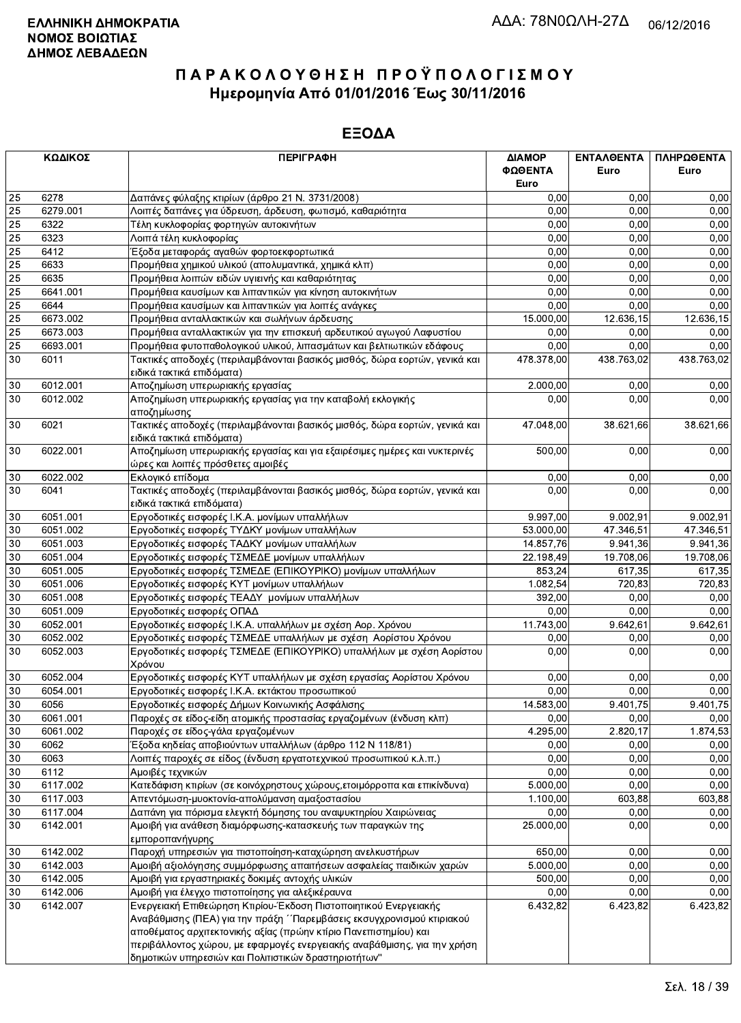|    | ΚΩΔΙΚΟΣ  | <b>ПЕРІГРАФН</b>                                                                                                                                                                                                                                                                          | ΔΙΑΜΟΡ<br>ΦΩΘΕΝΤΑ<br>Euro | <b>ENTAAOENTA</b><br>Euro | ΠΛΗΡΩΘΕΝΤΑ<br>Euro |
|----|----------|-------------------------------------------------------------------------------------------------------------------------------------------------------------------------------------------------------------------------------------------------------------------------------------------|---------------------------|---------------------------|--------------------|
| 25 | 6278     | Δαπάνες φύλαξης κτιρίων (άρθρο 21 Ν. 3731/2008)                                                                                                                                                                                                                                           | 0,00                      | 0,00                      | 0,00               |
| 25 | 6279.001 | Λοιπές δαπάνες για ύδρευση, άρδευση, φωτισμό, καθαριότητα                                                                                                                                                                                                                                 | 0,00                      | 0.00                      | 0,00               |
| 25 | 6322     | Τέλη κυκλοφορίας φορτηγών αυτοκινήτων                                                                                                                                                                                                                                                     | 0,00                      | 0,00                      | 0,00               |
| 25 | 6323     | Λοιπά τέλη κυκλοφορίας                                                                                                                                                                                                                                                                    | 0,00                      | 0,00                      | 0,00               |
| 25 | 6412     | Έξοδα μεταφοράς αγαθών φορτοεκφορτωτικά                                                                                                                                                                                                                                                   | 0,00                      | 0,00                      | 0,00               |
| 25 | 6633     | Προμήθεια χημικού υλικού (απολυμαντικά, χημικά κλπ)                                                                                                                                                                                                                                       | 0,00                      | 0.00                      | 0,00               |
| 25 | 6635     | Προμήθεια λοιπών ειδών υγιεινής και καθαριότητας                                                                                                                                                                                                                                          | 0,00                      | 0,00                      | 0,00               |
| 25 | 6641.001 | Προμήθεια καυσίμων και λιπαντικών για κίνηση αυτοκινήτων                                                                                                                                                                                                                                  | 0,00                      | 0,00                      | 0,00               |
| 25 | 6644     | Προμήθεια καυσίμων και λιπαντικών για λοιπές ανάγκες                                                                                                                                                                                                                                      | 0,00                      | 0.00                      | 0,00               |
| 25 | 6673.002 | Προμήθεια ανταλλακτικών και σωλήνων άρδευσης                                                                                                                                                                                                                                              | 15.000,00                 | 12.636,15                 | 12.636,15          |
| 25 | 6673.003 | Προμήθεια ανταλλακτικών για την επισκευή αρδευτικού αγωγού Λαφυστίου                                                                                                                                                                                                                      | 0,00                      | 0,00                      | 0,00               |
| 25 | 6693.001 | Προμήθεια φυτοπαθολογικού υλικού, λιπασμάτων και βελτιωτικών εδάφους                                                                                                                                                                                                                      | 0,00                      | 0,00                      | 0,00               |
| 30 | 6011     | Τακτικές αποδοχές (περιλαμβάνονται βασικός μισθός, δώρα εορτών, γενικά και<br>ειδικά τακτικά επιδόματα)                                                                                                                                                                                   | 478.378,00                | 438.763,02                | 438.763,02         |
| 30 | 6012.001 | Αποζημίωση υπερωριακής εργασίας                                                                                                                                                                                                                                                           | 2.000,00                  | 0,00                      | 0,00               |
| 30 | 6012.002 | Αποζημίωση υπερωριακής εργασίας για την καταβολή εκλογικής<br>αποζημίωσης                                                                                                                                                                                                                 | 0.00                      | 0,00                      | 0,00               |
| 30 | 6021     | Τακτικές αποδοχές (περιλαμβάνονται βασικός μισθός, δώρα εορτών, γενικά και<br>ειδικά τακτικά επιδόματα)                                                                                                                                                                                   | 47.048,00                 | 38.621,66                 | 38.621,66          |
| 30 | 6022.001 | Αποζημίωση υπερωριακής εργασίας και για εξαιρέσιμες ημέρες και νυκτερινές<br>ώρες και λοιπές πρόσθετες αμοιβές                                                                                                                                                                            | 500,00                    | 0,00                      | 0,00               |
| 30 | 6022.002 | Εκλογικό επίδομα                                                                                                                                                                                                                                                                          | 0,00                      | 0,00                      | 0,00               |
| 30 | 6041     | Τακτικές αποδοχές (περιλαμβάνονται βασικός μισθός, δώρα εορτών, γενικά και<br>ειδικά τακτικά επιδόματα)                                                                                                                                                                                   | 0,00                      | 0.00                      | 0,00               |
| 30 | 6051.001 | Εργοδοτικές εισφορές Ι.Κ.Α. μονίμων υπαλλήλων                                                                                                                                                                                                                                             | 9.997,00                  | 9.002,91                  | 9.002,91           |
| 30 | 6051.002 | Εργοδοτικές εισφορές ΤΥΔΚΥ μονίμων υπαλλήλων                                                                                                                                                                                                                                              | 53.000,00                 | 47.346,51                 | 47.346,51          |
| 30 | 6051.003 | Εργοδοτικές εισφορές ΤΑΔΚΥ μονίμων υπαλλήλων                                                                                                                                                                                                                                              | 14.857,76                 | 9.941,36                  | 9.941,36           |
| 30 | 6051.004 | Εργοδοτικές εισφορές ΤΣΜΕΔΕ μονίμων υπαλλήλων                                                                                                                                                                                                                                             | 22.198,49                 | 19.708,06                 | 19.708,06          |
| 30 | 6051.005 | Εργοδοτικές εισφορές ΤΣΜΕΔΕ (ΕΠΙΚΟΥΡΙΚΟ) μονίμων υπαλλήλων                                                                                                                                                                                                                                | 853,24                    | 617,35                    | 617,35             |
| 30 | 6051.006 | Εργοδοτικές εισφορές ΚΥΤ μονίμων υπαλλήλων                                                                                                                                                                                                                                                | 1.082,54                  | 720,83                    | 720,83             |
| 30 | 6051.008 | Εργοδοτικές εισφορές ΤΕΑΔΥ μονίμων υπαλλήλων                                                                                                                                                                                                                                              | 392,00                    | 0,00                      | 0,00               |
| 30 | 6051.009 | Εργοδοτικές εισφορές ΟΠΑΔ                                                                                                                                                                                                                                                                 | 0,00                      | 0.00                      | 0,00               |
| 30 | 6052.001 | Εργοδοτικές εισφορές Ι.Κ.Α. υπαλλήλων με σχέση Αορ. Χρόνου                                                                                                                                                                                                                                | 11.743,00                 | 9.642,61                  | 9.642,61           |
| 30 | 6052.002 | Εργοδοτικές εισφορές ΤΣΜΕΔΕ υπαλλήλων με σχέση Αορίστου Χρόνου                                                                                                                                                                                                                            | 0,00                      | 0,00                      | 0,00               |
| 30 | 6052.003 | Εργοδοτικές εισφορές ΤΣΜΕΔΕ (ΕΠΙΚΟΥΡΙΚΟ) υπαλλήλων με σχέση Αορίστου<br>Χρόνου                                                                                                                                                                                                            | 0,00                      | 0,00                      | 0,00               |
| 30 | 6052.004 | Εργοδοτικές εισφορές ΚΥΤ υπαλλήλων με σχέση εργασίας Αορίστου Χρόνου                                                                                                                                                                                                                      | 0,00                      | 0,00                      | 0,00               |
| 30 | 6054.001 | Εργοδοτικές εισφορές Ι.Κ.Α. εκτάκτου προσωπικού                                                                                                                                                                                                                                           | 0,00                      | 0,00                      | 0,00               |
| 30 | 6056     | Εργοδοτικές εισφορές Δήμων Κοινωνικής Ασφάλισης                                                                                                                                                                                                                                           | 14.583.00                 | 9.401.75                  | 9.401,75           |
| 30 | 6061.001 | Παροχές σε είδος-είδη ατομικής προστασίας εργαζομένων (ένδυση κλπ)                                                                                                                                                                                                                        | 0,00                      | 0,00                      | 0,00               |
| 30 | 6061.002 | Παροχές σε είδος-γάλα εργαζομένων                                                                                                                                                                                                                                                         | 4.295,00                  | 2.820,17                  | 1.874,53           |
| 30 | 6062     | Έξοδα κηδείας αποβιούντων υπαλλήλων (άρθρο 112 Ν 118/81)                                                                                                                                                                                                                                  | 0,00                      | 0,00                      | 0,00               |
| 30 | 6063     | Λοιπές παροχές σε είδος (ένδυση εργατοτεχνικού προσωπικού κ.λ.π.)                                                                                                                                                                                                                         | 0,00                      | 0,00                      | 0,00               |
| 30 | 6112     | Αμοιβές τεχνικών                                                                                                                                                                                                                                                                          | 0,00                      | 0,00                      | 0,00               |
| 30 | 6117.002 | Κατεδάφιση κτιρίων (σε κοινόχρηστους χώρους,ετοιμόρροπα και επικίνδυνα)                                                                                                                                                                                                                   | 5.000,00                  | 0,00                      | 0,00               |
| 30 | 6117.003 | Απεντόμωση-μυοκτονία-απολύμανση αμαξοστασίου                                                                                                                                                                                                                                              | 1.100,00                  | 603,88                    | 603,88             |
| 30 | 6117.004 | Δαπάνη για πόρισμα ελεγκτή δόμησης του αναψυκτηρίου Χαιρώνειας                                                                                                                                                                                                                            | 0,00                      | 0,00                      | 0,00               |
| 30 | 6142.001 | Αμοιβή για ανάθεση διαμόρφωσης-κατασκευής των παραγκών της<br>εμποροπανήγυρης                                                                                                                                                                                                             | 25.000,00                 | 0,00                      | 0,00               |
| 30 | 6142.002 | Παροχή υπηρεσιών για πιστοποίηση-καταχώρηση ανελκυστήρων                                                                                                                                                                                                                                  | 650,00                    | 0,00                      | 0,00               |
| 30 | 6142.003 | Αμοιβή αξιολόγησης συμμόρφωσης απαιτήσεων ασφαλείας παιδικών χαρών                                                                                                                                                                                                                        | 5.000,00                  | 0,00                      | 0,00               |
| 30 | 6142.005 | Αμοιβή για εργαστηριακές δοκιμές αντοχής υλικών                                                                                                                                                                                                                                           | 500,00                    | 0,00                      | 0,00               |
| 30 | 6142.006 | Αμοιβή για έλεγχο πιστοποίησης για αλεξικέραυνα                                                                                                                                                                                                                                           | 0,00                      | 0,00                      | 0,00               |
| 30 | 6142.007 | Ενεργειακή Επιθεώρηση Κτιρίου-Έκδοση Πιστοποιητικού Ενεργειακής<br>Αναβάθμισης (ΠΕΑ) για την πράξη ΄΄Παρεμβάσεις εκσυγχρονισμού κτιριακού<br>αποθέματος αρχιτεκτονικής αξίας (πρώην κτίριο Πανεπιστημίου) και<br>περιβάλλοντος χώρου, με εφαρμογές ενεργειακής αναβάθμισης, για την χρήση | 6.432,82                  | 6.423,82                  | 6.423,82           |
|    |          | δημοτικών υπηρεσιών και Πολιτιστικών δραστηριοτήτων"                                                                                                                                                                                                                                      |                           |                           |                    |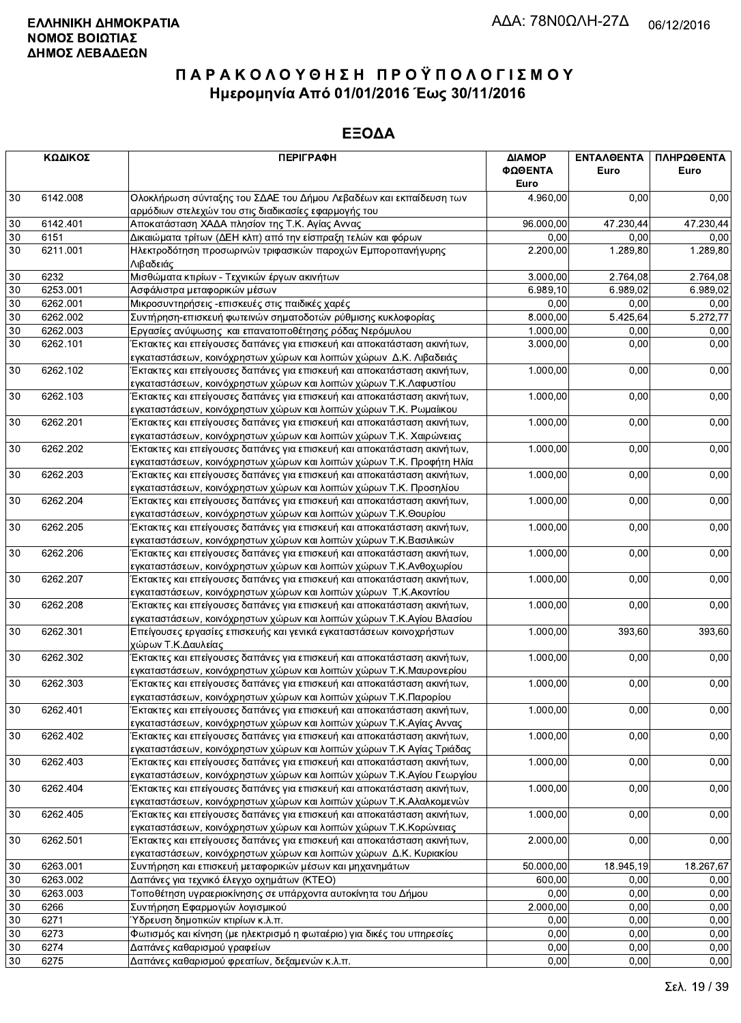|        | ΚΩΔΙΚΟΣ  | <b>ПЕРІГРАФН</b>                                                                                                                                | ΔΙΑΜΟΡ<br>ΦΩΘΕΝΤΑ<br>Euro | <b>ENTAAGENTA</b><br>Euro | ΠΛΗΡΩΘΕΝΤΑ<br>Euro |
|--------|----------|-------------------------------------------------------------------------------------------------------------------------------------------------|---------------------------|---------------------------|--------------------|
| 30     | 6142.008 | Ολοκλήρωση σύνταξης του ΣΔΑΕ του Δήμου Λεβαδέων και εκπαίδευση των                                                                              | 4.960,00                  | 0,00                      | 0,00               |
|        |          | αρμόδιων στελεχών του στις διαδικασίες εφαρμογής του                                                                                            |                           |                           |                    |
| $30\,$ | 6142.401 | Αποκατάσταση ΧΑΔΑ πλησίον της Τ.Κ. Αγίας Αννας                                                                                                  | 96.000,00                 | 47.230,44                 | 47.230,44          |
| $30\,$ | 6151     | Δικαιώματα τρίτων (ΔΕΗ κλπ) από την είσπραξη τελών και φόρων                                                                                    | 0,00                      | 0,00                      | 0,00               |
| 30     | 6211.001 | Ηλεκτροδότηση προσωρινών τριφασικών παροχών Εμποροπανήγυρης<br>Λιβαδειάς                                                                        | 2.200,00                  | 1.289,80                  | 1.289,80           |
| 30     | 6232     | Μισθώματα κτιρίων - Τεχνικών έργων ακινήτων                                                                                                     | 3.000,00                  | 2.764,08                  | 2.764,08           |
| $30\,$ | 6253.001 | Ασφάλιστρα μεταφορικών μέσων                                                                                                                    | 6.989, 10                 | 6.989,02                  | 6.989,02           |
| $30\,$ | 6262.001 | Μικροσυντηρήσεις - επισκευές στις παιδικές χαρές                                                                                                | 0,00                      | 0,00                      | 0,00               |
| $30\,$ | 6262.002 | Συντήρηση-επισκευή φωτεινών σηματοδοτών ρύθμισης κυκλοφορίας                                                                                    | 8.000,00                  | 5.425,64                  | 5.272,77           |
| 30     | 6262.003 | Εργασίες ανύψωσης και επανατοποθέτησης ρόδας Νερόμυλου                                                                                          | 1.000,00                  | 0,00                      | 0,00               |
| 30     | 6262.101 | Έκτακτες και επείγουσες δαπάνες για επισκευή και αποκατάσταση ακινήτων,                                                                         | 3.000,00                  | 0,00                      | 0,00               |
|        |          | εγκαταστάσεων, κοινόχρηστων χώρων και λοιπών χώρων Δ.Κ. Λιβαδειάς                                                                               |                           |                           |                    |
| 30     | 6262.102 | Έκτακτες και επείγουσες δαπάνες για επισκευή και αποκατάσταση ακινήτων,<br>εγκαταστάσεων, κοινόχρηστων χώρων και λοιπών χώρων Τ.Κ.Λαφυστίου     | 1.000,00                  | 0,00                      | 0,00               |
| 30     | 6262.103 | Έκτακτες και επείγουσες δαπάνες για επισκευή και αποκατάσταση ακινήτων,                                                                         | 1.000,00                  | 0,00                      | 0,00               |
|        |          | εγκαταστάσεων, κοινόχρηστων χώρων και λοιπών χώρων Τ.Κ. Ρωμαίικου                                                                               |                           |                           |                    |
| 30     | 6262.201 | Έκτακτες και επείγουσες δαπάνες για επισκευή και αποκατάσταση ακινήτων,                                                                         | 1.000,00                  | 0,00                      | 0,00               |
|        |          | εγκαταστάσεων, κοινόχρηστων χώρων και λοιπών χώρων Τ.Κ. Χαιρώνειας                                                                              |                           |                           |                    |
| 30     | 6262.202 | Έκτακτες και επείγουσες δαπάνες για επισκευή και αποκατάσταση ακινήτων,                                                                         | 1.000,00                  | 0,00                      | 0,00               |
|        |          | εγκαταστάσεων, κοινόχρηστων χώρων και λοιπών χώρων Τ.Κ. Προφήτη Ηλία                                                                            |                           |                           |                    |
| 30     | 6262.203 | Έκτακτες και επείγουσες δαπάνες για επισκευή και αποκατάσταση ακινήτων,<br>εγκαταστάσεων, κοινόχρηστων χώρων και λοιπών χώρων Τ.Κ. Προσηλίου    | 1.000,00                  | 0,00                      | 0,00               |
| 30     | 6262.204 | Έκτακτες και επείγουσες δαπάνες για επισκευή και αποκατάσταση ακινήτων,                                                                         | 1.000,00                  | 0,00                      | 0,00               |
|        |          | εγκαταστάσεων, κοινόχρηστων χώρων και λοιπών χώρων Τ.Κ. Θουρίου                                                                                 |                           |                           |                    |
| 30     | 6262.205 | Έκτακτες και επείγουσες δαπάνες για επισκευή και αποκατάσταση ακινήτων,<br>εγκαταστάσεων, κοινόχρηστων χώρων και λοιπών χώρων Τ.Κ.Βασιλικών     | 1.000,00                  | 0,00                      | 0,00               |
| 30     | 6262.206 | Έκτακτες και επείγουσες δαπάνες για επισκευή και αποκατάσταση ακινήτων,                                                                         | 1.000,00                  | 0,00                      | 0,00               |
|        |          | εγκαταστάσεων, κοινόχρηστων χώρων και λοιπών χώρων Τ.Κ.Ανθοχωρίου                                                                               |                           |                           |                    |
| $30\,$ | 6262.207 | Έκτακτες και επείγουσες δαπάνες για επισκευή και αποκατάσταση ακινήτων,<br>εγκαταστάσεων, κοινόχρηστων χώρων και λοιπών χώρων Τ.Κ. Ακοντίου     | 1.000,00                  | 0,00                      | 0,00               |
| $30\,$ | 6262.208 | Έκτακτες και επείγουσες δαπάνες για επισκευή και αποκατάσταση ακινήτων,                                                                         | 1.000,00                  | 0,00                      | 0,00               |
|        |          | εγκαταστάσεων, κοινόχρηστων χώρων και λοιπών χώρων Τ.Κ.Αγίου Βλασίου                                                                            |                           |                           |                    |
| 30     | 6262.301 | Επείγουσες εργασίες επισκευής και γενικά εγκαταστάσεων κοινοχρήστων                                                                             | 1.000,00                  | 393,60                    | 393,60             |
|        |          | χώρων Τ.Κ.Δαυλείας                                                                                                                              |                           |                           |                    |
| 30     | 6262.302 | Έκτακτες και επείγουσες δαπάνες για επισκευή και αποκατάσταση ακινήτων,                                                                         | 1.000,00                  | 0,00                      | 0,00               |
|        |          | εγκαταστάσεων, κοινόχρηστων χώρων και λοιπών χώρων Τ.Κ.Μαυρονερίου                                                                              |                           |                           |                    |
| $30\,$ | 6262.303 | Έκτακτες και επείγουσες δαπάνες για επισκευή και αποκατάσταση ακινήτων,                                                                         | 1.000,00                  | 0,00                      | 0,00               |
|        |          | εγκαταστάσεων, κοινόχρηστων χώρων και λοιπών χώρων Τ.Κ.Παρορίου                                                                                 |                           |                           |                    |
| 30     | 6262.401 | Εκτακτες και επείγουσες δαπάνες για επισκευή και αποκατάσταση ακινήτων,                                                                         | 1.000,00                  | 0,00                      | 0,00               |
|        |          | εγκαταστάσεων, κοινόχρηστων χώρων και λοιπών χώρων Τ.Κ.Αγίας Αννας                                                                              |                           |                           |                    |
| 30     | 6262.402 | Έκτακτες και επείγουσες δαπάνες για επισκευή και αποκατάσταση ακινήτων,<br>εγκαταστάσεων, κοινόχρηστων χώρων και λοιπών χώρων Τ.Κ Αγίας Τριάδας | 1.000,00                  | 0,00                      | 0,00               |
| 30     | 6262.403 | Έκτακτες και επείγουσες δαπάνες για επισκευή και αποκατάσταση ακινήτων,                                                                         | 1.000,00                  | 0,00                      | 0,00               |
|        |          | εγκαταστάσεων, κοινόχρηστων χώρων και λοιπών χώρων Τ.Κ.Αγίου Γεωργίου                                                                           |                           |                           |                    |
| 30     | 6262.404 | Έκτακτες και επείγουσες δαπάνες για επισκευή και αποκατάσταση ακινήτων,                                                                         | 1.000,00                  | 0,00                      | 0,00               |
|        |          | εγκαταστάσεων, κοινόχρηστων χώρων και λοιπών χώρων Τ.Κ.Αλαλκομενών                                                                              |                           |                           |                    |
| 30     | 6262.405 | Έκτακτες και επείγουσες δαπάνες για επισκευή και αποκατάσταση ακινήτων,                                                                         | 1.000,00                  | 0,00                      | 0,00               |
|        |          | εγκαταστάσεων, κοινόχρηστων χώρων και λοιπών χώρων Τ.Κ.Κορώνειας                                                                                |                           |                           |                    |
| 30     | 6262.501 | Έκτακτες και επείγουσες δαπάνες για επισκευή και αποκατάσταση ακινήτων,                                                                         | 2.000,00                  | 0,00                      | 0,00               |
|        |          | εγκαταστάσεων, κοινόχρηστων χώρων και λοιπών χώρων Δ.Κ. Κυριακίου                                                                               |                           |                           |                    |
| 30     | 6263.001 | Συντήρηση και επισκευή μεταφορικών μέσων και μηχανημάτων                                                                                        | 50.000,00                 | 18.945,19                 | 18.267,67          |
| 30     | 6263.002 | Δαπάνες για τεχνικό έλεγχο οχημάτων (ΚΤΕΟ)                                                                                                      | 600,00                    | 0,00                      | 0,00               |
| 30     | 6263.003 | Τοποθέτηση υγραεριοκίνησης σε υπάρχοντα αυτοκίνητα του Δήμου                                                                                    | 0,00                      | 0,00                      | 0,00               |
| 30     | 6266     | Συντήρηση Εφαρμογών λογισμικού                                                                                                                  | 2.000,00                  | 0,00                      | 0,00               |
| 30     | 6271     | Ύδρευση δημοτικών κτιρίων κ.λ.π.                                                                                                                | 0,00                      | 0,00                      | 0,00               |
| 30     | 6273     | Φωτισμός και κίνηση (με ηλεκτρισμό η φωταέριο) για δικές του υπηρεσίες                                                                          | 0,00                      | 0,00                      | 0,00               |
| $30\,$ | 6274     | Δαπάνες καθαρισμού γραφείων                                                                                                                     | 0,00                      | 0,00                      | 0,00               |
| 30     | 6275     | Δαπάνες καθαρισμού φρεατίων, δεξαμενών κ.λ.π.                                                                                                   | 0.00                      | 0.00                      | 0.00               |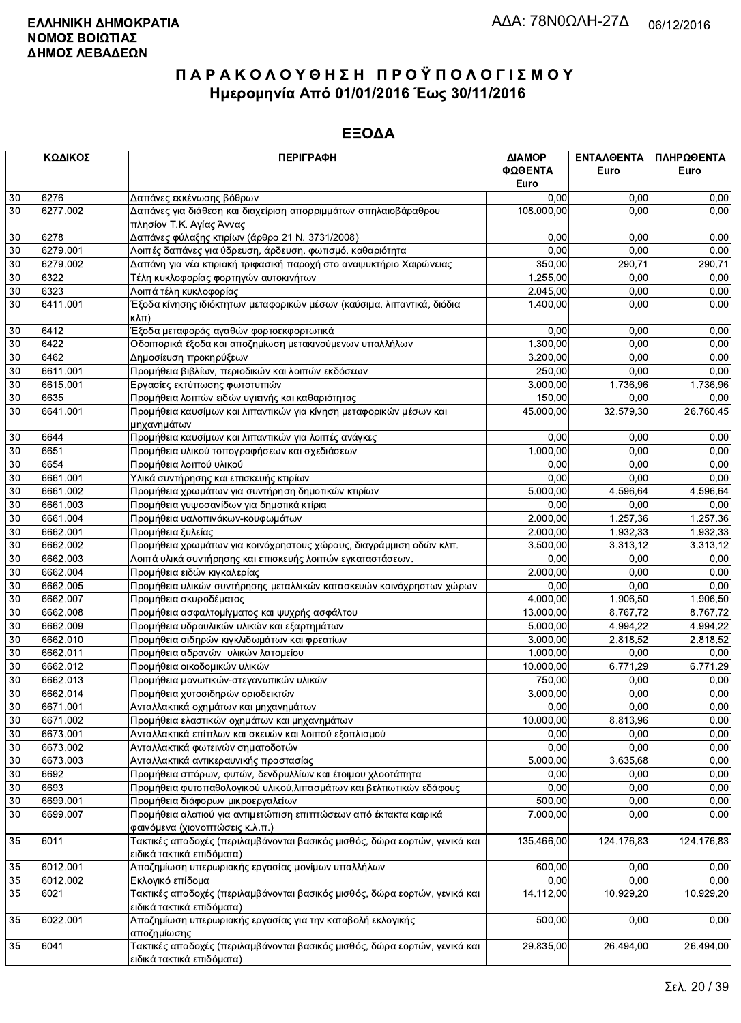|          | ΚΩΔΙΚΟΣ  | <b>ПЕРІГРАФН</b>                                                                                        | ΔΙΑΜΟΡ     | <b>ENTAAGENTA</b> | ΠΛΗΡΩΘΕΝΤΑ |
|----------|----------|---------------------------------------------------------------------------------------------------------|------------|-------------------|------------|
|          |          |                                                                                                         | ΦΩΘΕΝΤΑ    | Euro              | Euro       |
|          |          |                                                                                                         | Euro       |                   |            |
| 30       | 6276     | Δαπάνες εκκένωσης βόθρων                                                                                | 0,00       | 0,00              | 0,00       |
| 30       | 6277.002 | Δαπάνες για διάθεση και διαχείριση απορριμμάτων σπηλαιοβάραθρου                                         | 108.000,00 | 0.00              | 0,00       |
|          |          | πλησίον Τ.Κ. Αγίας Άννας                                                                                |            |                   |            |
| 30       | 6278     | Δαπάνες φύλαξης κτιρίων (άρθρο 21 Ν. 3731/2008)                                                         | 0,00       | 0.00              | 0,00       |
| 30       | 6279.001 | Λοιπές δαπάνες για ύδρευση, άρδευση, φωτισμό, καθαριότητα                                               | 0,00       | 0,00              | 0,00       |
| 30       | 6279.002 | Δαπάνη για νέα κτιριακή τριφασική παροχή στο αναψυκτήριο Χαιρώνειας                                     | 350,00     | 290,71            | 290,71     |
| 30       | 6322     | Τέλη κυκλοφορίας φορτηγών αυτοκινήτων                                                                   | 1.255,00   | 0,00              | 0,00       |
| 30       | 6323     | Λοιπά τέλη κυκλοφορίας                                                                                  | 2.045,00   | 0,00              | 0,00       |
| 30       | 6411.001 | Έξοδα κίνησης ιδιόκτητων μεταφορικών μέσων (καύσιμα, λιπαντικά, διόδια                                  | 1.400,00   | 0,00              | 0,00       |
|          |          | $\kappa\lambda\pi$ )                                                                                    |            |                   |            |
| 30       | 6412     | Έξοδα μεταφοράς αγαθών φορτοεκφορτωτικά                                                                 | 0,00       | 0,00              | 0,00       |
| 30       | 6422     | Οδοιπορικά έξοδα και αποζημίωση μετακινούμενων υπαλλήλων                                                | 1.300,00   | 0.00              | 0,00       |
| 30       | 6462     | Δημοσίευση προκηρύξεων                                                                                  | 3.200,00   | 0,00              | 0,00       |
| 30       | 6611.001 | Προμήθεια βιβλίων, περιοδικών και λοιπών εκδόσεων                                                       | 250,00     | 0,00              | 0,00       |
| 30       | 6615.001 | Εργασίες εκτύπωσης φωτοτυπιών                                                                           | 3.000,00   | 1.736,96          | 1.736,96   |
| 30       | 6635     | Προμήθεια λοιπών ειδών υγιεινής και καθαριότητας                                                        | 150,00     | 0,00              | 0,00       |
| 30       | 6641.001 | Προμήθεια καυσίμων και λιπαντικών για κίνηση μεταφορικών μέσων και                                      | 45.000,00  | 32.579,30         | 26.760,45  |
|          |          | μηχανημάτων                                                                                             |            |                   |            |
| 30       | 6644     | Προμήθεια καυσίμων και λιπαντικών για λοιπές ανάγκες                                                    | 0.00       | 0,00              | 0,00       |
| 30       | 6651     | Προμήθεια υλικού τοπογραφήσεων και σχεδιάσεων                                                           | 1.000,00   | 0,00              | 0,00       |
| 30       | 6654     |                                                                                                         | 0,00       | 0,00              | 0,00       |
|          |          | Προμήθεια λοιπού υλικού                                                                                 | 0,00       |                   |            |
| 30       | 6661.001 | Υλικά συντήρησης και επισκευής κτιρίων                                                                  |            | 0,00              | 0,00       |
| 30       | 6661.002 | Προμήθεια χρωμάτων για συντήρηση δημοτικών κτιρίων                                                      | 5.000,00   | 4.596,64          | 4.596,64   |
| 30       | 6661.003 | Προμήθεια γυψοσανίδων για δημοτικά κτίρια                                                               | 0,00       | 0,00              | 0,00       |
| 30       | 6661.004 | Προμήθεια υαλοπινάκων-κουφωμάτων                                                                        | 2.000,00   | 1.257,36          | 1.257,36   |
| 30       | 6662.001 | Προμήθεια ξυλείας                                                                                       | 2.000,00   | 1.932,33          | 1.932,33   |
| 30       | 6662.002 | Προμήθεια χρωμάτων για κοινόχρηστους χώρους, διαγράμμιση οδών κλπ.                                      | 3.500,00   | 3.313,12          | 3.313,12   |
| 30       | 6662.003 | Λοιπά υλικά συντήρησης και επισκευής λοιπών εγκαταστάσεων.                                              | 0,00       | 0.00              | 0,00       |
| 30       | 6662.004 | Προμήθεια ειδών κιγκαλερίας                                                                             | 2.000,00   | 0,00              | 0,00       |
| 30       | 6662.005 | Προμήθεια υλικών συντήρησης μεταλλικών κατασκευών κοινόχρηστων χώρων                                    | 0,00       | 0,00              | 0,00       |
| 30       | 6662.007 | Προμήθεια σκυροδέματος                                                                                  | 4.000,00   | 1.906,50          | 1.906,50   |
| 30       | 6662.008 | Προμήθεια ασφαλτομίγματος και ψυχρής ασφάλτου                                                           | 13.000,00  | 8.767,72          | 8.767,72   |
| 30       | 6662.009 | Προμήθεια υδραυλικών υλικών και εξαρτημάτων                                                             | 5.000,00   | 4.994,22          | 4.994,22   |
| 30       | 6662.010 | Προμήθεια σιδηρών κιγκλιδωμάτων και φρεατίων                                                            | 3.000,00   | 2.818,52          | 2.818,52   |
| 30       | 6662.011 | Προμήθεια αδρανών υλικών λατομείου                                                                      | 1.000,00   | 0,00              | 0,00       |
| 30       | 6662.012 | Προμήθεια οικοδομικών υλικών                                                                            | 10.000,00  | 6.771,29          | 6.771,29   |
| 30       | 6662.013 | Προμήθεια μονωτικών-στεγανωτικών υλικών                                                                 | 750,00     | 0,00              | 0,00       |
| 30       | 6662.014 | Προμήθεια χυτοσιδηρών οριοδεικτών                                                                       | 3.000.00   | 0,00              | 0,00       |
| $30\,$   | 6671.001 | Ανταλλακτικά οχημάτων και μηχανημάτων                                                                   | 0,00       | 0,00              | 0,00       |
| 30       | 6671.002 | Προμήθεια ελαστικών οχημάτων και μηχανημάτων                                                            | 10.000,00  | 8.813,96          | 0,00       |
| 30       | 6673.001 | Ανταλλακτικά επίπλων και σκευών και λοιπού εξοπλισμού                                                   | 0,00       | 0,00              | 0,00       |
| 30       | 6673.002 | Ανταλλακτικά φωτεινών σηματοδοτών                                                                       | 0,00       | 0,00              | 0,00       |
| 30       | 6673.003 | Ανταλλακτικά αντικεραυνικής προστασίας                                                                  | 5.000,00   | 3.635,68          | 0,00       |
| 30       | 6692     | Προμήθεια σπόρων, φυτών, δενδρυλλίων και έτοιμου χλοοτάπητα                                             | 0,00       | 0,00              | 0,00       |
| 30       | 6693     | Προμήθεια φυτοπαθολογικού υλικού, λιπασμάτων και βελτιωτικών εδάφους                                    | 0,00       | 0,00              | 0,00       |
|          | 6699.001 |                                                                                                         | 500,00     | 0,00              | 0,00       |
| 30<br>30 | 6699.007 | Προμήθεια διάφορων μικροεργαλείων                                                                       |            |                   |            |
|          |          | Προμήθεια αλατιού για αντιμετώπιση επιπτώσεων από έκτακτα καιρικά<br>φαινόμενα (χιονοπτώσεις κ.λ.π.)    | 7.000,00   | 0.00              | 0,00       |
| 35       | 6011     | Τακτικές αποδοχές (περιλαμβάνονται βασικός μισθός, δώρα εορτών, γενικά και<br>ειδικά τακτικά επιδόματα) | 135.466,00 | 124.176,83        | 124.176,83 |
| 35       | 6012.001 | Αποζημίωση υπερωριακής εργασίας μονίμων υπαλλήλων                                                       | 600,00     | 0,00              | 0,00       |
| 35       | 6012.002 | Εκλογικό επίδομα                                                                                        | 0,00       | 0,00              | 0,00       |
| 35       | 6021     | Τακτικές αποδοχές (περιλαμβάνονται βασικός μισθός, δώρα εορτών, γενικά και                              | 14.112,00  | 10.929,20         | 10.929,20  |
|          |          | ειδικά τακτικά επιδόματα)                                                                               |            |                   |            |
| 35       | 6022.001 | Αποζημίωση υπερωριακής εργασίας για <mark>την καταβολή εκλογικής</mark>                                 | 500,00     | 0,00              | 0,00       |
|          |          | αποζημίωσης                                                                                             |            |                   |            |
| 35       | 6041     | Τακτικές αποδοχές (περιλαμβάνονται βασικός μισθός, δώρα εορτών, γενικά και                              | 29.835,00  | 26.494,00         | 26.494,00  |
|          |          | ειδικά τακτικά επιδόματα).                                                                              |            |                   |            |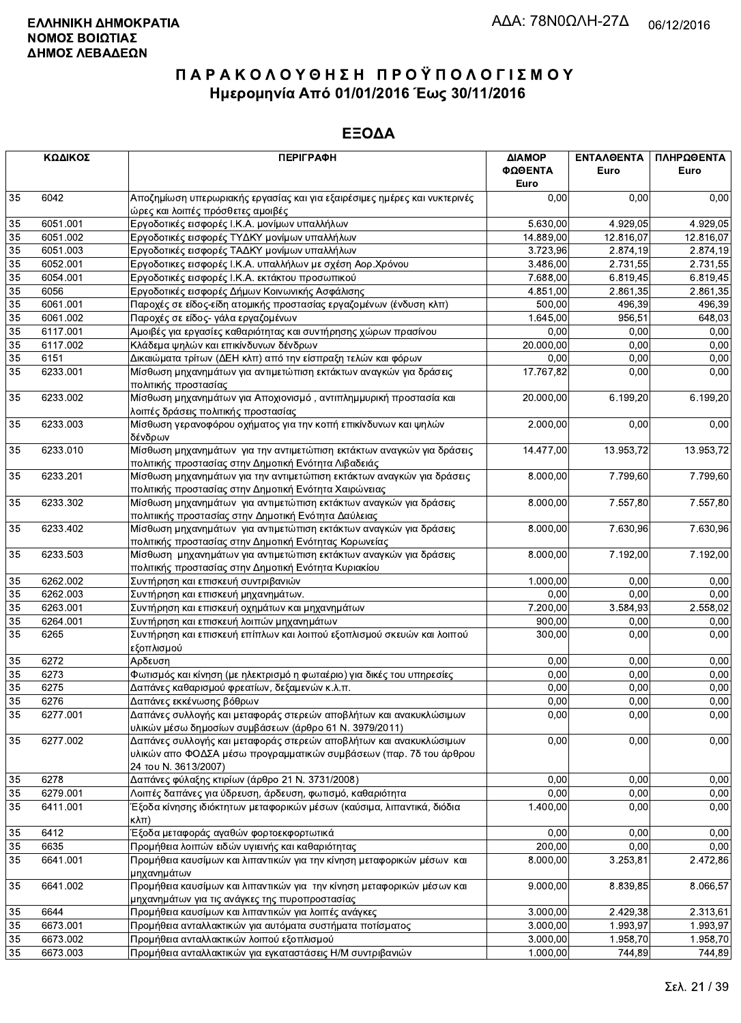|                 | ΚΩΔΙΚΟΣ  | <b>ПЕРІГРАФН</b>                                                                                                                                                 | ΔΙΑΜΟΡ<br>ΦΩΘΕΝΤΑ<br>Euro | <b>ENTAA@ENTA</b><br>Euro | ΠΛΗΡΩΘΕΝΤΑ<br>Euro |
|-----------------|----------|------------------------------------------------------------------------------------------------------------------------------------------------------------------|---------------------------|---------------------------|--------------------|
| 35              | 6042     | Αποζημίωση υπερωριακής εργασίας και για εξαιρέσιμες ημέρες και νυκτερινές<br>ώρες και λοιπές πρόσθετες αμοιβές                                                   | 0,00                      | 0,00                      | 0,00               |
| 35              | 6051.001 | Εργοδοτικές εισφορές Ι.Κ.Α. μονίμων υπαλλήλων                                                                                                                    | 5.630,00                  | 4.929,05                  | 4.929,05           |
| 35              | 6051.002 | Εργοδοτικές εισφορές ΤΥΔΚΥ μονίμων υπαλλήλων                                                                                                                     | 14.889,00                 | 12.816,07                 | 12.816,07          |
| 35              | 6051.003 | Εργοδοτικές εισφορές ΤΑΔΚΥ μονίμων υπαλλήλων                                                                                                                     | 3.723,96                  | 2.874,19                  | 2.874,19           |
| 35              | 6052.001 | Εργοδοτικες εισφορές Ι.Κ.Α. υπαλλήλων με σχέση Αορ.Χρόνου                                                                                                        | 3.486,00                  | 2.731,55                  | 2.731,55           |
| 35              | 6054.001 | Εργοδοτικές εισφορές Ι.Κ.Α. εκτάκτου προσωπικού                                                                                                                  | 7.688,00                  | 6.819,45                  | 6.819,45           |
| 35              | 6056     | Εργοδοτικές εισφορές Δήμων Κοινωνικής Ασφάλισης                                                                                                                  | 4.851,00                  | 2.861,35                  | 2.861,35           |
| 35              | 6061.001 | Παροχές σε είδος-είδη ατομικής προστασίας εργαζομένων (ένδυση κλπ)                                                                                               | 500,00                    | 496,39                    | 496,39             |
| 35              | 6061.002 | Παροχές σε είδος- γάλα εργαζομένων                                                                                                                               | 1.645,00                  | 956,51                    | 648,03             |
| 35              | 6117.001 | Αμοιβές για εργασίες καθαριότητας και συντήρησης χώρων πρασίνου                                                                                                  | 0,00                      | 0,00                      | 0,00               |
| 35              | 6117.002 | Κλάδεμα ψηλών και επικίνδυνων δένδρων                                                                                                                            | 20.000,00                 | 0,00                      | 0,00               |
| $\overline{35}$ | 6151     | Δικαιώματα τρίτων (ΔΕΗ κλπ) από την είσπραξη τελών και φόρων                                                                                                     | 0,00                      | 0,00                      | 0,00               |
| 35              | 6233.001 | Μίσθωση μηχανημάτων για αντιμετώπιση εκτάκτων αναγκών για δράσεις<br>πολιτικής προστασίας                                                                        | 17.767,82                 | 0,00                      | 0,00               |
| 35              | 6233.002 | Μίσθωση μηχανημάτων για Αποχιονισμό, αντιπλημμυρική προστασία και<br>λοιπές δράσεις πολιτικής προστασίας                                                         | 20.000,00                 | 6.199,20                  | 6.199,20           |
| 35              | 6233.003 | Μίσθωση γερανοφόρου οχήματος για την κοπή επικίνδυνων και ψηλών<br>δένδρων                                                                                       | 2.000,00                  | 0,00                      | 0,00               |
| 35              | 6233.010 | Μίσθωση μηχανημάτων για την αντιμετώπιση εκτάκτων αναγκών για δράσεις<br>πολιτικής προστασίας στην Δημοτική Ενότητα Λιβαδειάς                                    | 14.477,00                 | 13.953,72                 | 13.953,72          |
| 35              | 6233.201 | Μίσθωση μηχανημάτων για την αντιμετώπιση εκτάκτων αναγκών για δράσεις<br>πολιτικής προστασίας στην Δημοτική Ενότητα Χαιρώνειας                                   | 8.000,00                  | 7.799,60                  | 7.799,60           |
| 35              | 6233.302 | Μίσθωση μηχανημάτων για αντιμετώπιση εκτάκτων αναγκών για δράσεις<br>πολιτιικής προστασίας στην Δημοτική Ενότητα Δαύλειας                                        | 8.000,00                  | 7.557,80                  | 7.557,80           |
| 35              | 6233.402 | Μίσθωση μηχανημάτων για αντιμετώπιση εκτάκτων αναγκών για δράσεις<br>πολιτικής προστασίας στην Δημοτική Ενότητας Κορωνείας                                       | 8.000,00                  | 7.630,96                  | 7.630,96           |
| 35              | 6233.503 | Μίσθωση μηχανημάτων για αντιμετώπιση εκτάκτων αναγκών για δράσεις<br>πολιτικής προστασίας στην Δημοτική Ενότητα Κυριακίου                                        | 8.000,00                  | 7.192,00                  | 7.192,00           |
| $35\,$          | 6262.002 | Συντήρηση και επισκευή συντριβανιών                                                                                                                              | 1.000,00                  | 0,00                      | 0,00               |
| 35              | 6262.003 | Συντήρηση και επισκευή μηχανημάτων.                                                                                                                              | 0,00                      | 0.00                      | 0.00               |
| 35              | 6263.001 | Συντήρηση και επισκευή οχημάτων και μηχανημάτων                                                                                                                  | 7.200,00                  | 3.584,93                  | 2.558,02           |
| 35              | 6264.001 | Συντήρηση και επισκευή λοιπών μηχανημάτων                                                                                                                        | 900,00                    | 0,00                      | 0,00               |
| 35              | 6265     | Συντήρηση και επισκευή επίπλων και λοιπού εξοπλισμού σκευών και λοιπού<br>εξοπλισμού                                                                             | 300,00                    | 0,00                      | 0,00               |
| 35              | 6272     | Αρδευση                                                                                                                                                          | 0,00                      | 0,00                      | 0,00               |
| 35              | 6273     | Φωτισμός και κίνηση (με ηλεκτρισμό η φωταέριο) για δικές του υπηρεσίες                                                                                           | 0,00                      | 0,00                      | 0,00               |
| 35              | 6275     | Δαπάνες καθαρισμού φρεατίων, δεξαμενών κ.λ.π.                                                                                                                    | 0,00                      | 0,00                      | 0,00               |
| $\overline{35}$ | 6276     | Δαπάνες εκκένωσης βόθρων                                                                                                                                         | 0,00                      | 0,00                      | 0,00               |
| 35              | 6277.001 | Δαπάνες συλλογής και μεταφοράς στερεών αποβλήτων και ανακυκλώσιμων<br>υλικών μέσω δημοσίων συμβάσεων (άρθρο 61 Ν. 3979/2011)                                     | 0,00                      | 0,00                      | 0,00               |
| 35              | 6277.002 | Δαπάνες συλλογής και μεταφοράς στερεών αποβλήτων και ανακυκλώσιμων<br>υλικών απο ΦΟΔΣΑ μέσω προγραμματικών συμβάσεων (παρ. 7δ του άρθρου<br>24 TOU N. 3613/2007) | 0,00                      | 0,00                      | 0,00               |
| 35              | 6278     | Δαπάνες φύλαξης κτιρίων (άρθρο 21 Ν. 3731/2008)                                                                                                                  | 0,00                      | 0,00                      | 0,00               |
| 35              | 6279.001 | Λοιπές δαπάνες για ύδρευση, άρδευση, φωτισμό, καθαριότητα                                                                                                        | 0,00                      | 0,00                      | 0,00               |
| 35              | 6411.001 | Έξοδα κίνησης ιδιόκτητων μεταφορικών μέσων (καύσιμα, λιπαντικά, διόδια<br>$\kappa\lambda\pi$ )                                                                   | 1.400,00                  | 0,00                      | 0,00               |
| 35              | 6412     | Έξοδα μεταφοράς αγαθών φορτοεκφορτωτικά                                                                                                                          | 0,00                      | 0,00                      | 0,00               |
| 35              | 6635     | Προμήθεια λοιπών ειδών υγιεινής και καθαριότητας                                                                                                                 | 200,00                    | 0,00                      | 0,00               |
| 35              | 6641.001 | Προμήθεια καυσίμων και λιπαντικών για την κίνηση μεταφορικών μέσων και<br>μηχανημάτων                                                                            | 8.000,00                  | 3.253,81                  | 2.472,86           |
| 35              | 6641.002 | Προμήθεια καυσίμων και λιπαντικών για την κίνηση μεταφορικών μέσων και<br>μηχανημάτων για τις ανάγκες της πυροπροστασίας                                         | 9.000,00                  | 8.839,85                  | 8.066,57           |
| 35              | 6644     | Προμήθεια καυσίμων και λιπαντικών για λοιπές ανάγκες                                                                                                             | 3.000,00                  | 2.429,38                  | 2.313,61           |
| 35              | 6673.001 | Προμήθεια ανταλλακτικών για αυτόματα συστήματα ποτίσματος                                                                                                        | 3.000,00                  | 1.993,97                  | 1.993,97           |
| 35              | 6673.002 | Προμήθεια ανταλλακτικών λοιπού εξοπλισμού                                                                                                                        | 3.000,00                  | 1.958,70                  | 1.958,70           |
| 35              | 6673.003 | Προμήθεια ανταλλακτικών για εγκαταστάσεις Η/Μ συντριβανιών                                                                                                       | 1.000,00                  | 744,89                    | 744,89             |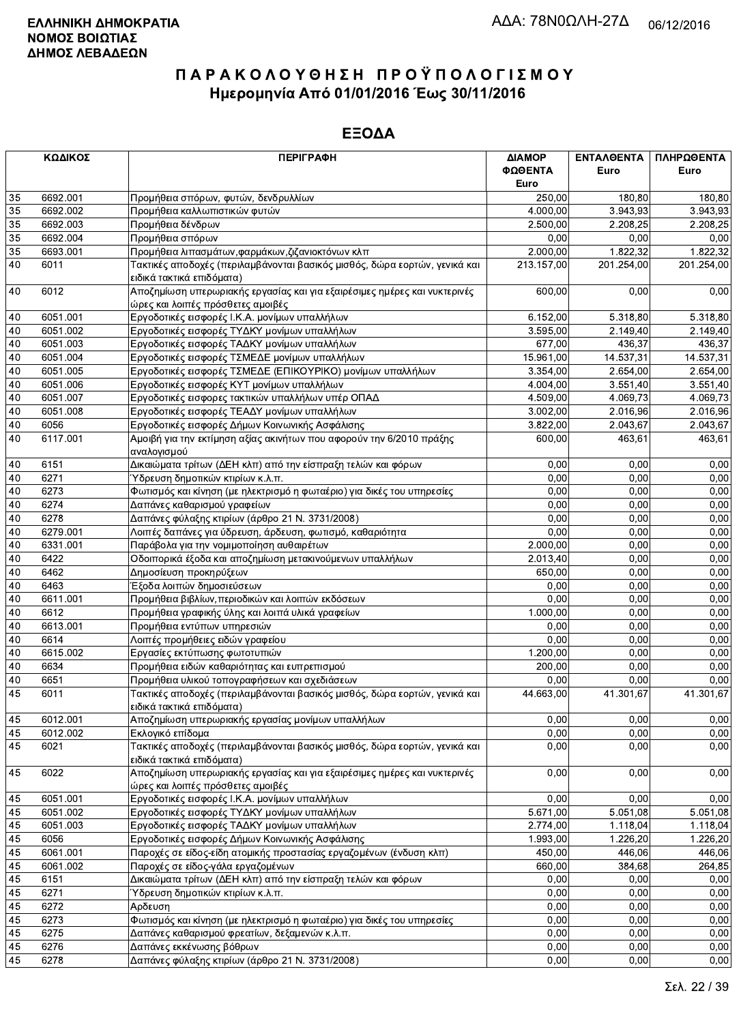|                 | ΚΩΔΙΚΟΣ  | <b>ПЕРІГРАФН</b>                                                                                               | ΔΙΑΜΟΡ     | ΕΝΤΑΛΘΕΝΤΑ            | ΠΛΗΡΩΘΕΝΤΑ            |
|-----------------|----------|----------------------------------------------------------------------------------------------------------------|------------|-----------------------|-----------------------|
|                 |          |                                                                                                                | ΦΩΘΕΝΤΑ    | Euro                  | Euro                  |
|                 |          |                                                                                                                | Euro       |                       |                       |
| 35              | 6692.001 | Προμήθεια σπόρων, φυτών, δενδρυλλίων                                                                           | 250,00     | 180,80                | 180,80                |
| 35              | 6692.002 | Προμήθεια καλλωπιστικών φυτών                                                                                  | 4.000,00   | 3.943,93              | 3.943,93              |
| 35              | 6692.003 | Προμήθεια δένδρων                                                                                              | 2.500,00   | 2.208,25              | 2.208,25              |
| $\overline{35}$ | 6692.004 | Προμήθεια σπόρων                                                                                               | 0,00       | 0,00                  | 0,00                  |
| 35              | 6693.001 | Προμήθεια λιπασμάτων, φαρμάκων, ζιζανιοκτόνων κλπ                                                              | 2.000,00   | 1.822,32              | 1.822,32              |
| 40              | 6011     | Τακτικές αποδοχές (περιλαμβάνονται βασικός μισθός, δώρα εορτών, γενικά και                                     | 213.157,00 | 201.254,00            | 201.254,00            |
|                 |          | ειδικά τακτικά επιδόματα)                                                                                      |            |                       |                       |
| 40              | 6012     | Αποζημίωση υπερωριακής εργασίας και για εξαιρέσιμες ημέρες και νυκτερινές<br>ώρες και λοιπές πρόσθετες αμοιβές | 600,00     | 0,00                  | 0,00                  |
| 40              | 6051.001 | Εργοδοτικές εισφορές Ι.Κ.Α. μονίμων υπαλλήλων                                                                  | 6.152,00   | 5.318,80              | 5.318,80              |
| 40              | 6051.002 | Εργοδοτικές εισφορές ΤΥΔΚΥ μονίμων υπαλλήλων                                                                   | 3.595,00   | 2.149,40              | 2.149,40              |
| 40              | 6051.003 | Εργοδοτικές εισφορές ΤΑΔΚΥ μονίμων υπαλλήλων                                                                   | 677,00     | 436,37                | 436,37                |
| 40              | 6051.004 | Εργοδοτικές εισφορές ΤΣΜΕΔΕ μονίμων υπαλλήλων                                                                  | 15.961,00  | 14.537,31             | 14.537,31             |
| 40              | 6051.005 | Εργοδοτικές εισφορές ΤΣΜΕΔΕ (ΕΠΙΚΟΥΡΙΚΟ) μονίμων υπαλλήλων                                                     | 3.354,00   | 2.654,00              | 2.654,00              |
| 40              | 6051.006 |                                                                                                                | 4.004,00   |                       |                       |
|                 |          | Εργοδοτικές εισφορές ΚΥΤ μονίμων υπαλλήλων                                                                     |            | 3.551,40              | 3.551,40              |
| 40              | 6051.007 | Εργοδοτικές εισφορες τακτικών υπαλλήλων υπέρ ΟΠΑΔ                                                              | 4.509,00   | 4.069,73              | 4.069,73              |
| 40              | 6051.008 | Εργοδοτικές εισφορές ΤΕΑΔΥ μονίμων υπαλλήλων                                                                   | 3.002,00   | 2.016,96              | 2.016,96              |
| 40              | 6056     | Εργοδοτικές εισφορές Δήμων Κοινωνικής Ασφάλισης                                                                | 3.822,00   | 2.043,67              | 2.043,67              |
| 40              | 6117.001 | Αμοιβή για την εκτίμηση αξίας ακινήτων που αφορούν την 6/2010 πράξης<br>αναλογισμού                            | 600,00     | 463,61                | 463,61                |
| 40              | 6151     | Δικαιώματα τρίτων (ΔΕΗ κλπ) από την είσπραξη τελών και φόρων                                                   | 0,00       | 0.00                  | 0,00                  |
| 40              | 6271     | Υδρευση δημοτικών κτιρίων κ.λ.π.                                                                               | 0,00       | 0.00                  | 0,00                  |
| 40              | 6273     | Φωτισμός και κίνηση (με ηλεκτρισμό η φωταέριο) για δικές του υπηρεσίες                                         | 0,00       | 0,00                  | 0,00                  |
| 40              | 6274     | Δαπάνες καθαρισμού γραφείων                                                                                    | 0,00       | 0,00                  | 0,00                  |
| 40              | 6278     | Δαπάνες φύλαξης κτιρίων (άρθρο 21 Ν. 3731/2008)                                                                | 0,00       | 0,00                  | 0,00                  |
| 40              | 6279.001 | Λοιπές δαπάνες για ύδρευση, άρδευση, φωτισμό, καθαριότητα                                                      | 0,00       | 0,00                  | 0,00                  |
| 40              | 6331.001 | Παράβολα για την νομιμοποίηση αυθαιρέτων                                                                       | 2.000,00   | 0,00                  | 0,00                  |
| 40              | 6422     | Οδοιπορικά έξοδα και αποζημίωση μετακινούμενων υπαλλήλων                                                       | 2.013,40   | 0,00                  | 0,00                  |
| 40              | 6462     | Δημοσίευση προκηρύξεων                                                                                         | 650,00     | 0,00                  | 0,00                  |
| 40              | 6463     | Έξοδα λοιπών δημοσιεύσεων                                                                                      | 0,00       | 0,00                  | 0,00                  |
| 40              | 6611.001 |                                                                                                                | 0,00       | 0,00                  | 0,00                  |
|                 |          | Προμήθεια βιβλίων, περιοδικών και λοιπών εκδόσεων                                                              |            |                       |                       |
| 40              | 6612     | Προμήθεια γραφικής ύλης και λοιπά υλικά γραφείων                                                               | 1.000,00   | 0,00                  | 0,00                  |
| 40              | 6613.001 | Προμήθεια εντύπων υπηρεσιών                                                                                    | 0,00       | 0,00                  | 0,00                  |
| 40              | 6614     | Λοιπές προμήθειες ειδών γραφείου                                                                               | 0,00       | 0,00                  | 0,00                  |
| 40              | 6615.002 | Εργασίες εκτύπωσης φωτοτυπιών                                                                                  | 1.200,00   | 0.00                  | 0,00                  |
| 40              | 6634     | Προμήθεια ειδών καθαριότητας και ευπρεπισμού                                                                   | 200.00     | 0,00                  | 0,00                  |
| 40              | 6651     | Προμήθεια υλικού τοπογραφήσεων και σχεδιάσεων                                                                  | 0,00       | 0,00                  | 0,00                  |
| 45              | 6011     | Τακτικές αποδοχές (περιλαμβάνονται βασικός μισθός, δώρα εορτών, γενικά και<br>ειδικά τακτικά επιδόματα)        | 44.663,00  | 41.301,67             | 41.301,67             |
| 45              | 6012.001 | Αποζημίωση υπερωριακής εργασίας μονίμων υπαλλήλων                                                              | 0,00       | 0,00                  | 0,00                  |
| 45              | 6012.002 | Εκλογικό επίδομα                                                                                               | 0,00       | 0,00                  | 0,00                  |
| 45              | 6021     | Τακτικές αποδοχές (περιλαμβάνονται βασικός μισθός, δώρα εορτών, γενικά και                                     | 0,00       | 0,00                  | 0,00                  |
| 45              | 6022     | ειδικά τακτικά επιδόματα)<br>Αποζημίωση υπερωριακής εργασίας και για εξαιρέσιμες ημέρες και νυκτερινές         | 0,00       | 0,00                  | 0,00                  |
|                 |          | ώρες και λοιπές πρόσθετες αμοιβές                                                                              |            |                       |                       |
| 45              | 6051.001 | Εργοδοτικές εισφορές Ι.Κ.Α. μονίμων υπαλλήλων                                                                  | 0.00       | 0.00                  | 0,00                  |
| 45              | 6051.002 | Εργοδοτικές εισφορές ΤΥΔΚΥ μονίμων υπαλλήλων                                                                   | 5.671,00   | 5.051,08              | $\overline{5.051,08}$ |
| 45              | 6051.003 | Εργοδοτικές εισφορές ΤΑΔΚΥ μονίμων υπαλλήλων                                                                   | 2.774,00   | 1.118,04              | 1.118,04              |
| 45              | 6056     | Εργοδοτικές εισφορές Δήμων Κοινωνικής Ασφάλισης                                                                | 1.993,00   | $\overline{1.226,20}$ | 1.226,20              |
| 45              | 6061.001 | Παροχές σε είδος-είδη ατομικής προστασίας εργαζομένων (ένδυση κλπ)                                             | 450.00     | 446,06                | 446,06                |
| 45              | 6061.002 | Παροχές σε είδος-γάλα εργαζομένων                                                                              | 660,00     | 384,68                | 264,85                |
| 45              | 6151     | Δικαιώματα τρίτων (ΔΕΗ κλπ) από την είσπραξη τελών και φόρων                                                   | 0,00       | 0,00                  | 0,00                  |
| 45              | 6271     | Ύδρευση δημοτικών κτιρίων κ.λ.π.                                                                               | 0,00       | 0,00                  | 0,00                  |
| 45              | 6272     | Αρδευση                                                                                                        | 0,00       | 0,00                  | 0,00                  |
| 45              | 6273     | Φωτισμός και κίνηση (με ηλεκτρισμό η φωταέριο) για δικές του υπηρεσίες                                         | 0,00       | 0,00                  | 0,00                  |
| 45              | 6275     | Δαπάνες καθαρισμού φρεατίων, δεξαμενών κ.λ.π.                                                                  | 0,00       | 0,00                  | 0,00                  |
| 45              | 6276     | Δαπάνες εκκένωσης βόθρων                                                                                       | 0,00       | 0,00                  | 0,00                  |
| 45              | 6278     | Δαπάνες φύλαξης κτιρίων (άρθρο 21 Ν. 3731/2008)                                                                | 0,00       | 0,00                  | 0,00                  |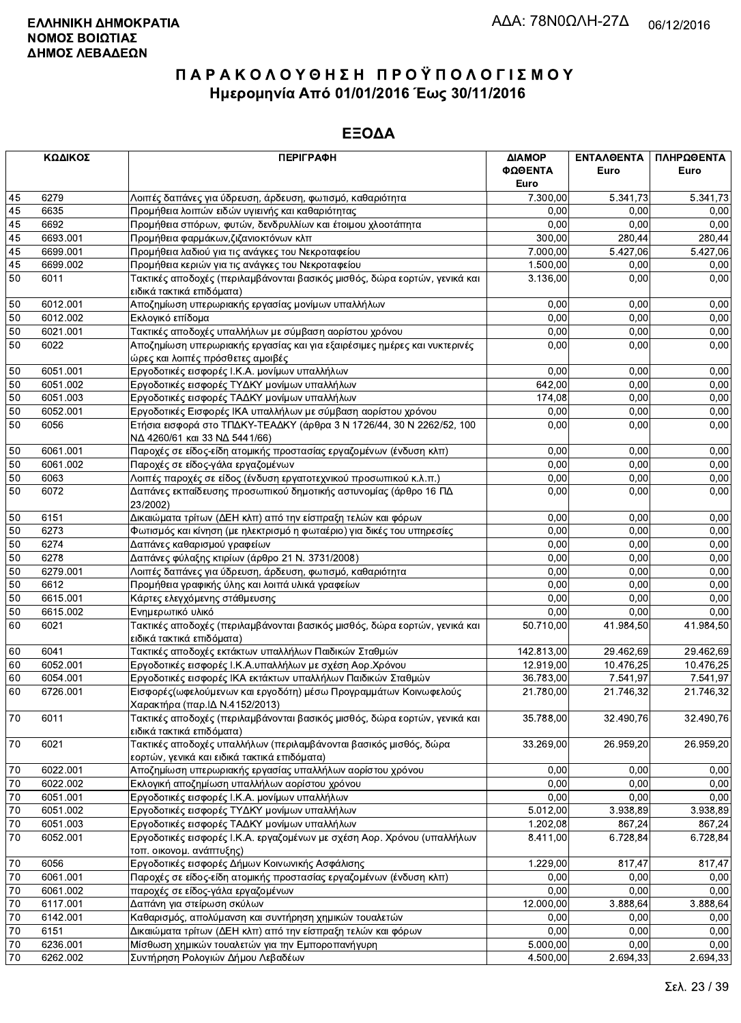|        | ΚΩΔΙΚΟΣ  | <b>ПЕРІГРАФН</b>                                                                                                  | ΔΙΑΜΟΡ<br>ΦΩΘΕΝΤΑ<br>Euro | <b>ENTAAOENTA</b><br>Euro | ΠΛΗΡΩΘΕΝΤΑ<br>Euro |
|--------|----------|-------------------------------------------------------------------------------------------------------------------|---------------------------|---------------------------|--------------------|
| 45     | 6279     | Λοιπές δαπάνες για ύδρευση, άρδευση, φωτισμό, καθαριότητα                                                         | 7.300,00                  | 5.341,73                  | 5.341,73           |
| 45     | 6635     | Προμήθεια λοιπών ειδών υγιεινής και καθαριότητας                                                                  | 0,00                      | 0.00                      | 0,00               |
| 45     | 6692     | Προμήθεια σπόρων, φυτών, δενδρυλλίων και έτοιμου χλοοτάπητα                                                       | 0,00                      | 0.00                      | 0,00               |
| 45     | 6693.001 | Προμήθεια φαρμάκων, ζιζανιοκτόνων κλπ                                                                             | 300,00                    | 280,44                    | 280,44             |
| 45     | 6699.001 | Προμήθεια λαδιού για τις ανάγκες του Νεκροταφείου                                                                 | 7.000,00                  | 5.427,06                  | 5.427,06           |
| 45     | 6699.002 | Προμήθεια κεριών για τις ανάγκες του Νεκροταφείου                                                                 | 1.500,00                  | 0,00                      | 0,00               |
| 50     | 6011     | Τακτικές αποδοχές (περιλαμβάνονται βασικός μισθός, δώρα εορτών, γενικά και                                        | 3.136,00                  | 0,00                      | 0,00               |
|        |          | ειδικά τακτικά επιδόματα)                                                                                         |                           |                           |                    |
| 50     | 6012.001 | Αποζημίωση υπερωριακής εργασίας μονίμων υπαλλήλων                                                                 | 0,00                      | 0,00                      | 0,00               |
| 50     | 6012.002 | Εκλογικό επίδομα                                                                                                  | 0,00                      | 0.00                      | 0,00               |
| 50     | 6021.001 | Τακτικές αποδοχές υπαλλήλων με σύμβαση αορίστου χρόνου                                                            | 0,00                      | 0.00                      | 0,00               |
| 50     | 6022     | Αποζημίωση υπερωριακής εργασίας και για εξαιρέσιμες ημέρες και νυκτερινές                                         | 0,00                      | 0,00                      | 0,00               |
|        |          | ώρες και λοιπές πρόσθετες αμοιβές                                                                                 |                           |                           |                    |
| 50     | 6051.001 | Εργοδοτικές εισφορές Ι.Κ.Α. μονίμων υπαλλήλων                                                                     | 0,00                      | 0,00                      | 0,00               |
| 50     | 6051.002 | Εργοδοτικές εισφορές ΤΥΔΚΥ μονίμων υπαλλήλων                                                                      | 642,00                    | 0,00                      | 0,00               |
| 50     | 6051.003 | Εργοδοτικές εισφορές ΤΑΔΚΥ μονίμων υπαλλήλων                                                                      | 174,08                    | 0,00                      | 0,00               |
| 50     | 6052.001 | Εργοδοτικές Εισφορές ΙΚΑ υπαλλήλων με σύμβαση αορίστου χρόνου                                                     | 0,00                      | 0,00                      | 0,00               |
| 50     | 6056     | Ετήσια εισφορά στο ΤΠΔΚΥ-ΤΕΑΔΚΥ (άρθρα 3 Ν 1726/44, 30 Ν 2262/52, 100<br>ΝΔ 4260/61 και 33 ΝΔ 5441/66)            | 0,00                      | 0,00                      | 0,00               |
| 50     | 6061.001 | Παροχές σε είδος-είδη ατομικής προστασίας εργαζομένων (ένδυση κλπ)                                                | 0,00                      | 0.00                      | 0,00               |
| 50     | 6061.002 | Παροχές σε είδος-γάλα εργαζομένων                                                                                 | 0,00                      | 0,00                      | 0,00               |
| 50     | 6063     | Λοιπές παροχές σε είδος (ένδυση εργατοτεχνικού προσωπικού κ.λ.π.)                                                 | 0,00                      | 0,00                      | 0,00               |
| 50     | 6072     | Δαπάνες εκπαίδευσης προσωπικού δημοτικής αστυνομίας (άρθρο 16 ΠΔ<br>23/2002)                                      | 0,00                      | 0,00                      | 0,00               |
| 50     | 6151     | Δικαιώματα τρίτων (ΔΕΗ κλπ) από την είσπραξη τελών και φόρων                                                      | 0,00                      | 0,00                      | 0,00               |
| 50     | 6273     | Φωτισμός και κίνηση (με ηλεκτρισμό η φωταέριο) για δικές του υπηρεσίες                                            | 0,00                      | 0,00                      | 0,00               |
| 50     | 6274     | Δαπάνες καθαρισμού γραφείων                                                                                       | 0,00                      | 0,00                      | 0,00               |
| 50     | 6278     | Δαπάνες φύλαξης κτιρίων (άρθρο 21 Ν. 3731/2008)                                                                   | 0,00                      | 0,00                      | 0,00               |
| 50     | 6279.001 | Λοιπές δαπάνες για ύδρευση, άρδευση, φωτισμό, καθαριότητα                                                         | 0,00                      | 0.00                      | 0,00               |
| 50     | 6612     | Προμήθεια γραφικής ύλης και λοιπά υλικά γραφείων                                                                  | 0,00                      | 0.00                      | 0,00               |
| 50     | 6615.001 | Κάρτες ελεγχόμενης στάθμευσης                                                                                     | 0,00                      | 0,00                      | 0,00               |
| 50     | 6615.002 | Ενημερωτικό υλικό                                                                                                 | 0,00                      | 0,00                      | 0,00               |
| 60     | 6021     | Τακτικές αποδοχές (περιλαμβάνονται βασικός μισθός, δώρα εορτών, γενικά και<br>ειδικά τακτικά επιδόματα)           | 50.710,00                 | 41.984,50                 | 41.984,50          |
| 60     | 6041     | Τακτικές αποδοχές εκτάκτων υπαλλήλων Παιδικών Σταθμών                                                             | 142.813,00                | 29.462,69                 | 29.462,69          |
| 60     | 6052.001 | Εργοδοτικές εισφορές Ι.Κ.Α.υπαλλήλων με σχέση Αορ.Χρόνου                                                          | 12.919,00                 | 10.476,25                 | 10.476.25          |
| 60     | 6054.001 | Εργοδοτικές εισφορές ΙΚΑ εκτάκτων υπαλλήλων Παιδικών Σταθμών                                                      | 36.783,00                 | 7.541,97                  | 7.541,97           |
| 60     | 6726.001 | Εισφορές (ωφελούμενων και εργοδότη) μέσω Προγραμμάτων Κοινωφελούς<br>Χαρακτήρα (παρ.ΙΔ Ν.4152/2013)               | 21.780,00                 | 21.746,32                 | 21.746,32          |
| 70     | 6011     | Τακτικές αποδοχές (περιλαμβάνονται βασικός μισθός, δώρα εορτών, γενικά και<br>ειδικά τακτικά επιδόματα)           | 35.788,00                 | 32.490,76                 | 32.490,76          |
| 70     | 6021     | Τακτικές αποδοχές υπαλλήλων (περιλαμβάνονται βασικός μισθός, δώρα<br>εορτών, γενικά και ειδικά τακτικά επιδόματα) | 33.269,00                 | 26.959,20                 | 26.959,20          |
| $70\,$ | 6022.001 | Αποζημίωση υπερωριακής εργασίας υπαλλήλων αορίστου χρόνου                                                         | 0,00                      | 0,00                      | 0,00               |
| 70     | 6022.002 | Εκλογική αποζημίωση υπαλλήλων αορίστου χρόνου                                                                     | 0,00                      | 0,00                      | 0,00               |
| $70\,$ | 6051.001 | Εργοδοτικές εισφορές Ι.Κ.Α. μονίμων υπαλλήλων                                                                     | 0,00                      | 0,00                      | 0,00               |
| 70     | 6051.002 | Εργοδοτικές εισφορές ΤΥΔΚΥ μονίμων υπαλλήλων                                                                      | 5.012,00                  | 3.938,89                  | 3.938,89           |
| $70\,$ | 6051.003 | Εργοδοτικές εισφορές ΤΑΔΚΥ μονίμων υπαλλήλων                                                                      | 1.202,08                  | 867,24                    | 867,24             |
| 70     | 6052.001 | Εργοδοτικές εισφορές Ι.Κ.Α. εργαζομένων με σχέση Αορ. Χρόνου (υπαλλήλων<br>τοπ. οικονομ. ανάπτυξης)               | 8.411,00                  | 6.728,84                  | 6.728,84           |
| 70     | 6056     | Εργοδοτικές εισφορές Δήμων Κοινωνικής Ασφάλισης                                                                   | 1.229,00                  | 817,47                    | 817,47             |
| 70     | 6061.001 | Παροχές σε είδος-είδη ατομικής προστασίας εργαζομένων (ένδυση κλπ)                                                | 0,00                      | 0,00                      | 0,00               |
| $70\,$ | 6061.002 | παροχές σε είδος-γάλα εργαζομένων                                                                                 | 0,00                      | 0,00                      | 0,00               |
| 70     | 6117.001 | Δαπάνη για στείρωση σκύλων                                                                                        | 12.000,00                 | 3.888,64                  | 3.888,64           |
| 70     | 6142.001 | Καθαρισμός, απολύμανση και συντήρηση χημικών τουαλετών                                                            | 0,00                      | 0,00                      | 0,00               |
| 70     | 6151     | Δικαιώματα τρίτων (ΔΕΗ κλπ) από την είσπραξη τελών και φόρων                                                      | 0,00                      | 0,00                      | 0,00               |
| 70     | 6236.001 | Μίσθωση χημικών τουαλετών για την Εμποροπανήγυρη                                                                  | 5.000,00                  | 0,00                      | 0,00               |
| 70     | 6262.002 | Συντήρηση Ρολογιών Δήμου Λεβαδέων                                                                                 | 4.500,00                  | 2.694,33                  | 2.694,33           |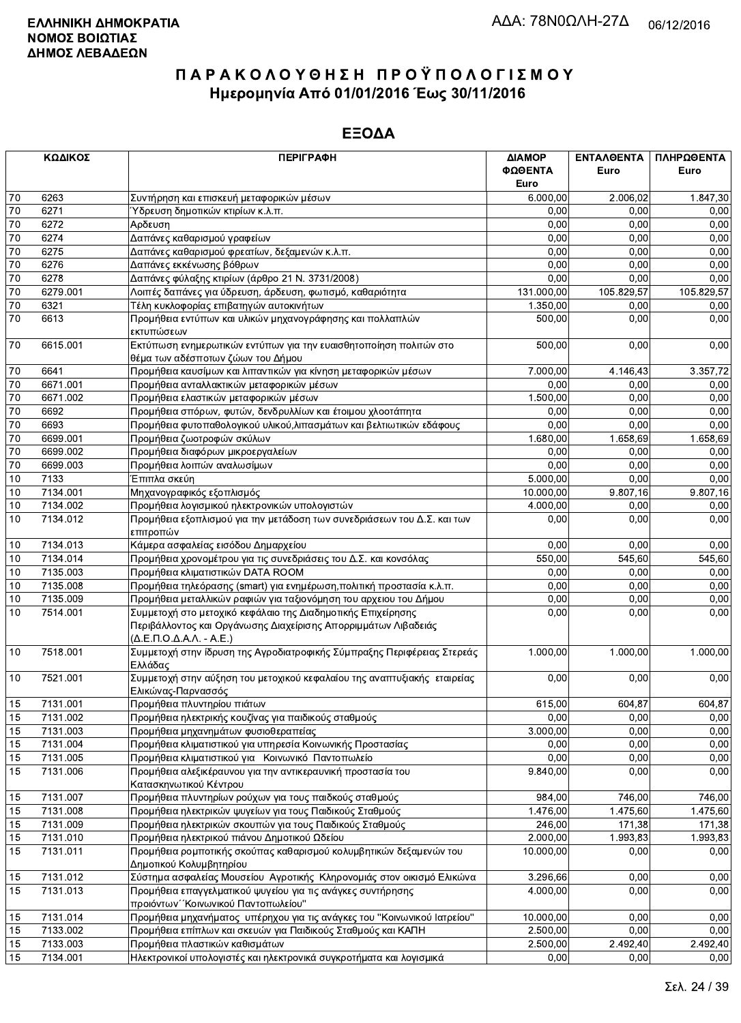| ΚΩΔΙΚΟΣ |          | <b>ПЕРІГРАФН</b>                                                                                                                                                                      | ΔΙΑΜΟΡ<br>ΦΩΘΕΝΤΑ<br>Euro | ΕΝΤΑΛΘΕΝΤΑ<br>Euro | ΠΛΗΡΩΘΕΝΤΑ<br>Euro |
|---------|----------|---------------------------------------------------------------------------------------------------------------------------------------------------------------------------------------|---------------------------|--------------------|--------------------|
| 70      | 6263     | Συντήρηση και επισκευή μεταφορικών μέσων                                                                                                                                              | 6.000,00                  | 2.006,02           | 1.847,30           |
| 70      | 6271     | Ύδρευση δημοτικών κτιρίων κ.λ.π.                                                                                                                                                      | 0,00                      | 0.00               | 0,00               |
| 70      | 6272     | Αρδευση                                                                                                                                                                               | 0,00                      | 0.00               | 0,00               |
| 70      | 6274     | Δαπάνες καθαρισμού γραφείων                                                                                                                                                           | 0,00                      | 0,00               | 0,00               |
| 70      | 6275     | Δαπάνες καθαρισμού φρεατίων, δεξαμενών κ.λ.π.                                                                                                                                         | 0,00                      | 0,00               | 0,00               |
| 70      | 6276     | Δαπάνες εκκένωσης βόθρων                                                                                                                                                              | 0,00                      | 0,00               | 0,00               |
| 70      | 6278     | Δαπάνες φύλαξης κτιρίων (άρθρο 21 Ν. 3731/2008)                                                                                                                                       | 0,00                      | 0,00               | 0,00               |
| 70      | 6279.001 | Λοιπές δαπάνες για ύδρευση, άρδευση, φωτισμό, καθαριότητα                                                                                                                             | 131.000,00                | 105.829,57         | 105.829,57         |
| 70      | 6321     | Τέλη κυκλοφορίας επιβατηγών αυτοκινήτων                                                                                                                                               | 1.350,00                  | 0,00               | 0,00               |
| 70      | 6613     | Προμήθεια εντύπων και υλικών μηχανογράφησης και πολλαπλών<br>εκτυπώσεων                                                                                                               | 500,00                    | 0,00               | 0,00               |
| 70      | 6615.001 | Εκτύπωση ενημερωτικών εντύπων για την ευαισθητοποίηση πολιτών στο<br>θέμα των αδέσποτων ζώων του Δήμου                                                                                | 500,00                    | 0,00               | 0,00               |
| 70      | 6641     | Προμήθεια καυσίμων και λιπαντικών για κίνηση μεταφορικών μέσων                                                                                                                        | 7.000,00                  | 4.146,43           | 3.357,72           |
| 70      | 6671.001 | Προμήθεια ανταλλακτικών μεταφορικών μέσων                                                                                                                                             | 0,00                      | 0,00               | 0,00               |
| 70      | 6671.002 | Προμήθεια ελαστικών μεταφορικών μέσων                                                                                                                                                 | 1.500,00                  | 0,00               | 0,00               |
| 70      | 6692     | Προμήθεια σπόρων, φυτών, δενδρυλλίων και έτοιμου χλοοτάπητα                                                                                                                           | 0,00                      | 0,00               | 0,00               |
| 70      | 6693     | Προμήθεια φυτοπαθολογικού υλικού, λιπασμάτων και βελτιωτικών εδάφους                                                                                                                  | 0,00                      | 0,00               | 0,00               |
| 70      | 6699.001 | Προμήθεια ζωοτροφών σκύλων                                                                                                                                                            | 1.680,00                  | 1.658,69           | 1.658,69           |
| 70      | 6699.002 | Προμήθεια διαφόρων μικροεργαλείων                                                                                                                                                     | 0,00                      | 0.00               | 0,00               |
| 70      | 6699.003 | Προμήθεια λοιπών αναλωσίμων                                                                                                                                                           | 0,00                      | 0,00               | 0,00               |
| 10      | 7133     | Έπιπλα σκεύη                                                                                                                                                                          | 5.000,00                  | 0,00               | 0,00               |
| 10      | 7134.001 | Μηχανογραφικός εξοπλισμός                                                                                                                                                             | 10.000,00                 | 9.807,16           | 9.807,16           |
| 10      | 7134.002 | Προμήθεια λογισμικού ηλεκτρονικών υπολογιστών                                                                                                                                         | 4.000,00                  | 0,00               | 0,00               |
| 10      | 7134.012 | Προμήθεια εξοπλισμού για την μετάδοση των συνεδριάσεων του Δ.Σ. και των<br>επιτροπών                                                                                                  | 0.00                      | 0,00               | 0,00               |
| 10      | 7134.013 | Κάμερα ασφαλείας εισόδου Δημαρχείου                                                                                                                                                   | 0.00                      | 0.00               | 0,00               |
| 10      | 7134.014 | Προμήθεια χρονομέτρου για τις συνεδριάσεις του Δ.Σ. και κονσόλας                                                                                                                      | 550,00                    | 545,60             | 545,60             |
| 10      | 7135.003 | Προμήθεια κλιματιστικών DATA ROOM                                                                                                                                                     | 0,00                      | 0,00               | 0,00               |
| 10      | 7135.008 | Προμήθεια τηλεόρασης (smart) για ενημέρωση, πολιτική προστασία κ.λ.π.                                                                                                                 | 0,00                      | 0,00               | 0,00               |
| 10      | 7135.009 | Προμήθεια μεταλλικών ραφιών για ταξιονόμηση του αρχειου του Δήμου                                                                                                                     | 0,00                      | 0,00               | 0,00               |
| 10      | 7514.001 | Συμμετοχή στο μετοχικό κεφάλαιο της Διαδημοτικής Επιχείρησης<br>Περιβάλλοντος και Οργάνωσης Διαχείρισης Απορριμμάτων Λιβαδειάς<br>$(\Delta, E, \Pi, O, \Delta, A, \Lambda, - A, E, )$ | 0,00                      | 0,00               | 0,00               |
| 10      | 7518.001 | Συμμετοχή στην ίδρυση της Αγροδιατροφικής Σύμπραξης Περιφέρειας Στερεάς<br>Ελλάδας                                                                                                    | 1.000,00                  | 1.000,00           | 1.000,00           |
| 10      | 7521.001 | Συμμετοχή στην αύξηση του μετοχικού κεφαλαίου της αναπτυξιακής εταιρείας<br>Ελικώνας-Παρνασσός                                                                                        | 0,00                      | 0,00               | 0,00               |
| 15      | 7131.001 | Προμήθεια πλυντηρίου πιάτων                                                                                                                                                           | 615,00                    | 604,87             | 604,87             |
| 15      | 7131.002 | Προμήθεια ηλεκτρικής κουζίνας για παιδικούς σταθμούς                                                                                                                                  | 0,00                      | 0,00               | 0,00               |
| 15      | 7131.003 | Προμήθεια μηχανημάτων φυσιοθεραπείας                                                                                                                                                  | 3.000,00                  | 0,00               | 0,00               |
| 15      | 7131.004 | Προμήθεια κλιματιστικού για υπηρεσία Κοινωνικής Προστασίας                                                                                                                            | 0,00                      | 0,00               | 0,00               |
| 15      | 7131.005 | Προμήθεια κλιματιστικού για Κοινωνικό Παντοπωλείο                                                                                                                                     | 0,00                      | 0,00               | 0,00               |
| 15      | 7131.006 | Προμήθεια αλεξικέραυνου για την αντικεραυνική προστασία του<br>Κατασκηνωτικού Κέντρου                                                                                                 | 9.840,00                  | 0,00               | 0,00               |
| 15      | 7131.007 | Προμήθεια πλυντηρίων ρούχων για τους παιδκούς σταθμούς                                                                                                                                | 984,00                    | 746,00             | 746,00             |
| 15      | 7131.008 | Προμήθεια ηλεκτρικών ψυγείων για τους Παιδικούς Σταθμούς                                                                                                                              | 1.476,00                  | 1.475,60           | 1.475,60           |
| 15      | 7131.009 | Προμήθεια ηλεκτρικών σκουπών για τους Παιδικούς Σταθμούς                                                                                                                              | 246,00                    | 171,38             | 171,38             |
| 15      | 7131.010 | Προμήθεια ηλεκτρικού πιάνου Δημοτικού Ωδείου                                                                                                                                          | 2.000,00                  | 1.993,83           | 1.993,83           |
| 15      | 7131.011 | Προμήθεια ρομποτικής σκούπας καθαρισμού κολυμβητικών δεξαμενών του<br>Δημοτικού Κολυμβητηρίου                                                                                         | 10.000,00                 | 0,00               | 0,00               |
| 15      | 7131.012 | Σύστημα ασφαλείας Μουσείου Αγροτικής Κληρονομιάς στον οικισμό Ελικώνα                                                                                                                 | 3.296,66                  | 0,00               | 0,00               |
| 15      | 7131.013 | Προμήθεια επαγγελματικού ψυγείου για τις ανάγκες συντήρησης<br>προιόντων "Κοινωνικού Παντοπωλείου"                                                                                    | 4.000,00                  | 0,00               | 0,00               |
| 15      | 7131.014 | Προμήθεια μηχανήματος υπέρηχου για τις ανάγκες του "Κοινωνικού Ιατρείου"                                                                                                              | 10.000,00                 | 0,00               | 0,00               |
| 15      | 7133.002 | Προμήθεια επίπλων και σκευών για Παιδικούς Σταθμούς και ΚΑΠΗ                                                                                                                          | 2.500,00                  | 0,00               | 0,00               |
| 15      | 7133.003 | Προμήθεια πλαστικών καθισμάτων                                                                                                                                                        | 2.500,00                  | 2.492,40           | 2.492,40           |
| 15      | 7134.001 | Ηλεκτρονικοί υπολογιστές και ηλεκτρονικά συγκροτήματα και λογισμικά                                                                                                                   | 0,00                      | 0,00               | 0,00               |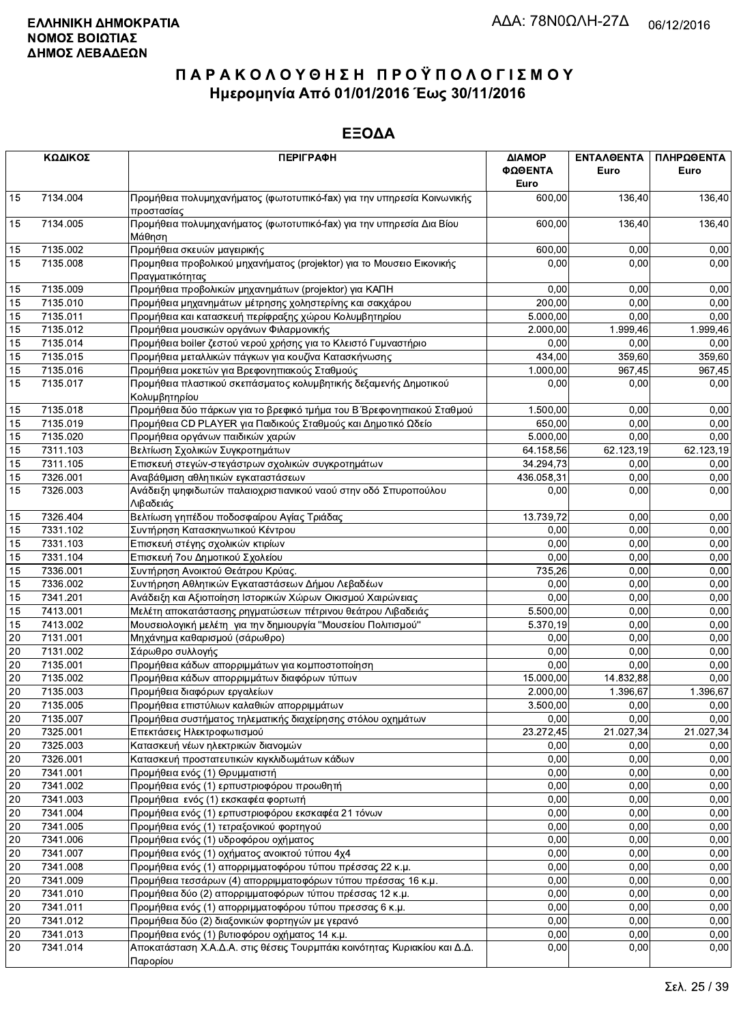|    | ΚΩΔΙΚΟΣ  | <b>ПЕРІГРАФН</b>                                                                         | ΔΙΑΜΟΡ     | ΕΝΤΑΛΘΕΝΤΑ | ΠΛΗΡΩΘΕΝΤΑ |
|----|----------|------------------------------------------------------------------------------------------|------------|------------|------------|
|    |          |                                                                                          | ΦΩΘΕΝΤΑ    | Euro       | Euro       |
|    |          |                                                                                          | Euro       |            |            |
| 15 | 7134.004 | Προμήθεια πολυμηχανήματος (φωτοτυπικό-fax) για την υπηρεσία Κοινωνικής<br>προστασίας     | 600,00     | 136,40     | 136,40     |
| 15 | 7134.005 | Προμήθεια πολυμηχανήματος (φωτοτυπικό-fax) για την υπηρεσία Δια Βίου<br>Μάθηση           |            | 136,40     | 136,40     |
| 15 | 7135.002 | Προμήθεια σκευών μαγειρικής                                                              | 600,00     | 0,00       | 0.00       |
| 15 | 7135.008 | Προμηθεια προβολικού μηχανήματος (projektor) για το Μουσειο Εικονικής<br>Πραγματικότητας | 0,00       | 0,00       | 0,00       |
| 15 | 7135.009 | Προμήθεια προβολικών μηχανημάτων (projektor) για ΚΑΠΗ                                    | 0,00       | 0,00       | 0,00       |
| 15 | 7135.010 | Προμήθεια μηχανημάτων μέτρησης χοληστερίνης και σακχάρου                                 | 200,00     | 0,00       | 0,00       |
| 15 | 7135.011 | Προμήθεια και κατασκευή περίφραξης χώρου Κολυμβητηρίου                                   | 5.000,00   | 0,00       | 0,00       |
| 15 | 7135.012 | Προμήθεια μουσικών οργάνων Φιλαρμονικής                                                  | 2.000,00   | 1.999,46   | 1.999,46   |
| 15 | 7135.014 | Προμήθεια boiler ζεστού νερού χρήσης για το Κλειστό Γυμναστήριο                          | 0,00       | 0.00       | 0,00       |
| 15 | 7135.015 | Προμήθεια μεταλλικών πάγκων για κουζίνα Κατασκήνωσης                                     | 434,00     | 359,60     | 359,60     |
| 15 | 7135.016 | Προμήθεια μοκετών για Βρεφονηπιακούς Σταθμούς                                            | 1.000,00   | 967,45     | 967,45     |
| 15 | 7135.017 | Προμήθεια πλαστικού σκεπάσματος κολυμβητικής δεξαμενής Δημοτικού<br>Κολυμβητηρίου        | 0,00       | 0,00       | 0,00       |
| 15 | 7135.018 | Προμήθεια δύο πάρκων για το βρεφικό τμήμα του Β΄ Βρεφονηπιακού Σταθμού                   | 1.500,00   | 0,00       | 0,00       |
| 15 | 7135.019 | Προμήθεια CD PLAYER για Παιδικούς Σταθμούς και Δημοτικό Ωδείο                            | 650,00     | 0,00       | 0,00       |
| 15 | 7135.020 | Προμήθεια οργάνων παιδικών χαρών                                                         | 5.000,00   | 0,00       | 0,00       |
| 15 | 7311.103 | Βελτίωση Σχολικών Συγκροτημάτων                                                          | 64.158,56  | 62.123,19  | 62.123,19  |
| 15 | 7311.105 | Επισκευή στεγών-στεγάστρων σχολικών συγκροτημάτων                                        | 34.294,73  | 0,00       | 0,00       |
| 15 | 7326.001 | Αναβάθμιση αθλητικών εγκαταστάσεων                                                       | 436.058,31 | 0,00       | 0,00       |
| 15 | 7326.003 | Ανάδειξη ψηφιδωτών παλαιοχριστιανικού ναού στην οδό Σπυροπούλου<br>Λιβαδειάς             | 0,00       | 0.00       | 0,00       |
| 15 | 7326.404 | Βελτίωση γηπέδου ποδοσφαίρου Αγίας Τριάδας                                               | 13.739,72  | 0.00       | 0,00       |
| 15 | 7331.102 | Συντήρηση Κατασκηνωτικού Κέντρου                                                         | 0,00       | 0,00       | 0,00       |
| 15 | 7331.103 | Επισκευή στέγης σχολικών κτιρίων                                                         | 0,00       | 0,00       | 0,00       |
| 15 | 7331.104 | Επισκευή 7ου Δημοτικού Σχολείου                                                          | 0,00       | 0,00       | 0,00       |
| 15 | 7336.001 | Συντήρηση Ανοικτού Θεάτρου Κρύας.                                                        | 735,26     | 0,00       | 0,00       |
| 15 | 7336.002 | Συντήρηση Αθλητικών Εγκαταστάσεων Δήμου Λεβαδέων                                         | 0,00       | 0.00       | 0,00       |
| 15 | 7341.201 | Ανάδειξη και Αξιοποίηση Ιστορικών Χώρων Οικισμού Χαιρώνειας                              | 0,00       | 0,00       | 0,00       |
| 15 | 7413.001 | Μελέτη αποκατάστασης ρηγματώσεων πέτρινου θεάτρου Λιβαδειάς                              | 5.500,00   | 0,00       | 0,00       |
| 15 | 7413.002 | Μουσειολογική μελέτη για την δημιουργία "Μουσείου Πολιτισμού"                            | 5.370,19   | 0,00       | 0,00       |
| 20 | 7131.001 | Μηχάνημα καθαρισμού (σάρωθρο)                                                            | 0,00       | 0,00       | 0,00       |
| 20 | 7131.002 | Σάρωθρο συλλογής                                                                         | 0,00       | 0,00       | 0,00       |
| 20 | 7135.001 | Προμήθεια κάδων απορριμμάτων για κομποστοποίηση                                          | 0,00       | 0,00       | 0,00       |
| 20 | 7135.002 | Προμήθεια κάδων απορριμμάτων διαφόρων τύπων                                              | 15.000,00  | 14.832,88  | 0,00       |
| 20 | 7135.003 | Προμήθεια διαφόρων εργαλείων                                                             | 2.000,00   | 1.396,67   | 1.396,67   |
| 20 | 7135.005 | Προμήθεια επιστύλιων καλαθιών απορριμμάτων                                               | 3.500.00   | 0.00       | 0,00       |
| 20 | 7135.007 | Προμήθεια συστήματος τηλεματικής διαχείρησης στόλου οχημάτων                             | 0,00       | 0,00       | 0,00       |
| 20 | 7325.001 | Επεκτάσεις Ηλεκτροφωτισμού                                                               | 23.272,45  | 21.027,34  | 21.027,34  |
| 20 | 7325.003 | Κατασκευή νέων ηλεκτρικών διανομών                                                       | 0,00       | 0,00       | 0,00       |
| 20 | 7326.001 | Κατασκευή προστατευτικών κιγκλιδωμάτων κάδων                                             | 0,00       | 0,00       | 0,00       |
| 20 | 7341.001 | Προμήθεια ενός (1) Θρυμματιστή                                                           | 0,00       | 0,00       | 0,00       |
| 20 | 7341.002 | Προμήθεια ενός (1) ερπυστριοφόρου προωθητή                                               | 0,00       | 0,00       | 0,00       |
| 20 | 7341.003 | Προμήθεια ενός (1) εκσκαφέα φορτωτή                                                      | 0,00       | 0,00       | 0,00       |
| 20 | 7341.004 | Προμήθεια ενός (1) ερπυστριοφόρου εκσκαφέα 21 τόνων                                      | 0,00       | 0,00       | 0,00       |
| 20 | 7341.005 | Προμήθεια ενός (1) τετραξονικού φορτηγού                                                 | 0,00       | 0,00       | 0,00       |
| 20 | 7341.006 | Προμήθεια ενός (1) υδροφόρου οχήματος                                                    | 0,00       | 0,00       | 0,00       |
| 20 | 7341.007 | Προμήθεια ενός (1) οχήματος ανοικτού τύπου 4χ4                                           | 0,00       | 0,00       | 0,00       |
| 20 | 7341.008 | Προμήθεια ενός (1) απορριμματοφόρου τύπου πρέσσας 22 κ.μ.                                | 0,00       | 0,00       | 0,00       |
| 20 | 7341.009 | Προμήθεια τεσσάρων (4) απορριμματοφόρων τύπου πρέσσας 16 κ.μ.                            | 0,00       | 0,00       | 0,00       |
| 20 | 7341.010 | Προμήθεια δύο (2) απορριμματοφόρων τύπου πρέσσας 12 κ.μ.                                 | 0,00       | 0,00       | 0,00       |
| 20 | 7341.011 | Προμήθεια ενός (1) απορριμματοφόρου τύπου πρεσσας 6 κ.μ.                                 | 0,00       | 0,00       | 0,00       |
| 20 | 7341.012 | Προμήθεια δύο (2) διαξονικών φορτηγών με γερανό                                          | 0,00       | 0,00       | 0,00       |
| 20 | 7341.013 | Προμήθεια ενός (1) βυτιοφόρου οχήματος 14 κ.μ.                                           | 0,00       | 0,00       | 0,00       |
| 20 | 7341.014 | Αποκατάσταση Χ.Α.Δ.Α. στις θέσεις Τουρμπάκι κοινότητας Κυριακίου και Δ.Δ.<br>Παρορίου    | 0,00       | 0,00       | 0,00       |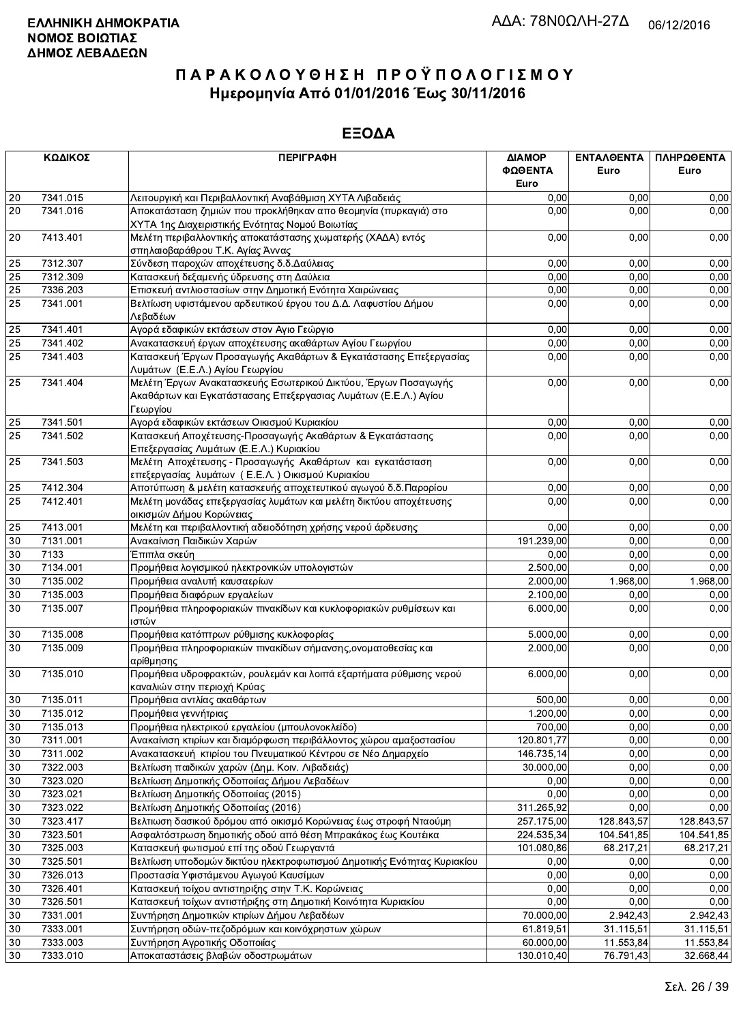|                 | ΚΩΔΙΚΟΣ              | <b>ПЕРІГРАФН</b>                                                                                                                              | ΔΙΑΜΟΡ<br>ΦΩΘΕΝΤΑ<br>Euro | <b>ENTAA@ENTA</b><br>Euro | ΠΛΗΡΩΘΕΝΤΑ<br>Euro |
|-----------------|----------------------|-----------------------------------------------------------------------------------------------------------------------------------------------|---------------------------|---------------------------|--------------------|
| 20              | 7341.015             | Λειτουργική και Περιβαλλοντική Αναβάθμιση ΧΥΤΑ Λιβαδειάς                                                                                      | 0.00                      | 0,00                      | 0,00               |
| $\overline{20}$ | 7341.016             | Αποκατάσταση ζημιών που προκλήθηκαν απο θεομηνία (πυρκαγιά) στο                                                                               | 0.00                      | 0.00                      | 0,00               |
|                 |                      | ΧΥΤΑ 1ης Διαχειριστικής Ενότητας Νομού Βοιωτίας                                                                                               |                           |                           |                    |
| 20              | 7413.401             | Μελέτη περιβαλλοντικής αποκατάστασης χωματερής (ΧΑΔΑ) εντός<br>σπηλαιοβαράθρου Τ.Κ. Αγίας Άννας                                               | 0,00                      | 0,00                      | 0,00               |
| 25              | 7312.307             | Σύνδεση παροχών αποχέτευσης δ.δ. Δαύλειας                                                                                                     | 0,00                      | 0,00                      | 0,00               |
| 25              | 7312.309             | Κατασκευή δεξαμενής ύδρευσης στη Δαύλεια                                                                                                      | 0,00                      | 0,00                      | 0,00               |
| $\overline{25}$ | 7336.203             | Επισκευή αντλιοστασίων στην Δημοτική Ενότητα Χαιρώνειας                                                                                       | 0,00                      | 0,00                      | 0,00               |
| 25              | 7341.001             | Βελτίωση υφιστάμενου αρδευτικού έργου του Δ.Δ. Λαφυστίου Δήμου                                                                                | 0,00                      | 0,00                      | 0,00               |
|                 |                      | Λεβαδέων                                                                                                                                      |                           |                           |                    |
| 25              | 7341.401             | Αγορά εδαφικών εκτάσεων στον Αγιο Γεώργιο                                                                                                     | 0,00                      | 0,00                      | 0,00               |
| 25              | 7341.402             | Ανακατασκευή έργων αποχέτευσης ακαθάρτων Αγίου Γεωργίου                                                                                       | 0,00                      | 0,00                      | 0,00               |
| $\overline{25}$ | 7341.403             | Κατασκευή Έργων Προσαγωγής Ακαθάρτων & Εγκατάστασης Επεξεργασίας<br>Λυμάτων (Ε.Ε.Λ.) Αγίου Γεωργίου                                           | 0,00                      | 0,00                      | 0,00               |
| 25              | 7341.404             | Μελέτη Έργων Ανακατασκευής Εσωτερικού Δικτύου, Έργων Ποσαγωγής<br>Ακαθάρτων και Εγκατάστασαης Επεξεργασιας Λυμάτων (Ε.Ε.Λ.) Αγίου<br>Γεωργίου | 0,00                      | 0,00                      | 0,00               |
| 25              | 7341.501             | Αγορά εδαφικών εκτάσεων Οικισμού Κυριακίου                                                                                                    | 0,00                      | 0,00                      | 0,00               |
| $\overline{25}$ | 7341.502             | Κατασκευή Αποχέτευσης-Προσαγωγής Ακαθάρτων & Εγκατάστασης<br>Επεξεργασίας Λυμάτων (Ε.Ε.Λ.) Κυριακίου                                          | 0,00                      | 0.00                      | 0,00               |
| 25              | 7341.503             | Μελέτη Αποχέτευσης - Προσαγωγής Ακαθάρτων και εγκατάσταση<br>επεξεργασίας λυμάτων (Ε.Ε.Λ.) Οικισμού Κυριακίου                                 | 0,00                      | 0,00                      | 0,00               |
| 25              | 7412.304             | Αποτύπωση & μελέτη κατασκευής αποχετευτικού αγωγού δ.δ. Παρορίου                                                                              | 0,00                      | 0.00                      | 0,00               |
| 25              | 7412.401             | Μελέτη μονάδας επεξεργασίας λυμάτων και μελέτη δικτύου αποχέτευσης<br>οικισμών Δήμου Κορώνειας                                                | 0,00                      | 0,00                      | 0,00               |
| 25              | 7413.001             | Μελέτη και περιβαλλοντική αδειοδότηση χρήσης νερού άρδευσης                                                                                   | 0,00                      | 0,00                      | 0,00               |
| $30\,$          | 7131.001             | Ανακαίνιση Παιδικών Χαρών                                                                                                                     | 191.239,00                | 0,00                      | 0,00               |
| 30              | 7133                 | Έπιπλα σκεύη                                                                                                                                  | 0,00                      | 0,00                      | 0,00               |
| $30\,$          | 7134.001             | Προμήθεια λογισμικού ηλεκτρονικών υπολογιστών                                                                                                 | 2.500,00                  | 0,00                      | 0,00               |
| $\overline{30}$ | 7135.002             | Προμήθεια αναλυτή καυσαερίων                                                                                                                  | 2.000,00                  | 1.968,00                  | 1.968,00           |
| 30              | 7135.003             | Προμήθεια διαφόρων εργαλείων                                                                                                                  | 2.100,00                  | 0,00                      | 0,00               |
| 30              | 7135.007             | Προμήθεια πληροφοριακών πινακίδων και κυκλοφοριακών ρυθμίσεων και<br>ιστών                                                                    | 6.000,00                  | 0,00                      | 0,00               |
| $30\,$          | 7135.008             | Προμήθεια κατόπτρων ρύθμισης κυκλοφορίας                                                                                                      | 5.000,00                  | 0,00                      | 0,00               |
| 30              | 7135.009             | Προμήθεια πληροφοριακών πινακίδων σήμανσης, ονοματοθεσίας και                                                                                 | 2.000,00                  | 0,00                      | 0,00               |
| 30              | 7135.010             | αρίθμησης<br>Προμήθεια υδροφρακτών, ρουλεμάν και λοιπά εξαρτήματα ρύθμισης νερού                                                              | 6.000,00                  | 0,00                      | 0,00               |
|                 |                      | καναλιών στην περιοχή Κρύας                                                                                                                   |                           |                           |                    |
| 30              | 7135.011             | Προμήθεια αντλίας ακαθάρτων                                                                                                                   | 500,00                    | 0,00                      | 0,00               |
| 30              | 7135.012             | Προμήθεια γεννήτριας                                                                                                                          | 1.200,00                  | 0,00                      | 0,00               |
| 30              | 7135.013             | Προμήθεια ηλεκτρικού εργαλείου (μπουλονοκλείδο)                                                                                               | 700,00                    | 0,00                      | 0,00               |
| 30              | 7311.001             | Ανακαίνιση κτιρίων και διαμόρφωση περιβάλλοντος χώρου αμαξοστασίου                                                                            | 120.801,77                | 0,00                      | 0,00               |
| $30\,$<br>30    | 7311.002<br>7322.003 | Ανακατασκευή κτιρίου του Πνευματικού Κέντρου σε Νέο Δημαρχείο                                                                                 | 146.735,14                | 0,00                      | 0,00               |
| $30\,$          |                      | Βελτίωση παιδικών χαρών (Δημ. Κοιν. Λιβαδειάς)                                                                                                | 30.000,00                 | 0,00<br>0,00              | 0,00               |
| $30\,$          | 7323.020             | Βελτίωση Δημοτικής Οδοποιίας Δήμου Λεβαδέων<br>Βελτίωση Δημοτικής Οδοποιίας (2015)                                                            | 0,00<br>0,00              | 0,00                      | 0,00<br>0,00       |
| 30              | 7323.021<br>7323.022 | Βελτίωση Δημοτικής Οδοποιίας (2016)                                                                                                           | 311.265,92                | 0,00                      | 0,00               |
| $30\,$          | 7323.417             | Βελτιωση δασικού δρόμου από οικισμό Κορώνειας έως στροφή Νταούμη                                                                              | 257.175,00                | 128.843,57                | 128.843,57         |
| $30\,$          | 7323.501             | Ασφαλτόστρωση δημοτικής οδού από θέση Μπρακάκος έως Κουτέικα                                                                                  | 224.535,34                | 104.541,85                | 104.541,85         |
| 30              | 7325.003             | Κατασκευή φωτισμού επί της οδού Γεωργαντά                                                                                                     | 101.080,86                | 68.217,21                 | 68.217,21          |
| 30              | 7325.501             | Βελτίωση υποδομών δικτύου ηλεκτροφωτισμού Δημοτικής Ενότητας Κυριακίου                                                                        | 0,00                      | 0,00                      | 0,00               |
| 30              | 7326.013             | Προστασία Υφιστάμενου Αγωγού Καυσίμων                                                                                                         | 0,00                      | 0,00                      | 0,00               |
| 30              | 7326.401             | Κατασκευή τοίχου αντιστηριξης στην Τ.Κ. Κορώνειας                                                                                             | 0,00                      | 0,00                      | 0,00               |
| $30\,$          | 7326.501             | Κατασκευή τοίχων αντιστήριξης στη Δημοτική Κοινότητα Κυριακίου                                                                                | 0,00                      | 0,00                      | 0,00               |
| 30              | 7331.001             | Συντήρηση Δημοτικών κτιρίων Δήμου Λεβαδέων                                                                                                    | 70.000,00                 | 2.942,43                  | 2.942,43           |
| 30              | 7333.001             | Συντήρηση οδών-πεζοδρόμων και κοινόχρηστων χώρων                                                                                              | 61.819,51                 | 31.115,51                 | 31.115,51          |
| $30\,$          | 7333.003             | Συντήρηση Αγροτικής Οδοποιίας                                                                                                                 | 60.000,00                 | 11.553,84                 | 11.553,84          |
| 30              | 7333.010             | Αποκαταστάσεις βλαβών οδοστρωμάτων                                                                                                            | 130.010,40                | 76.791,43                 | 32.668,44          |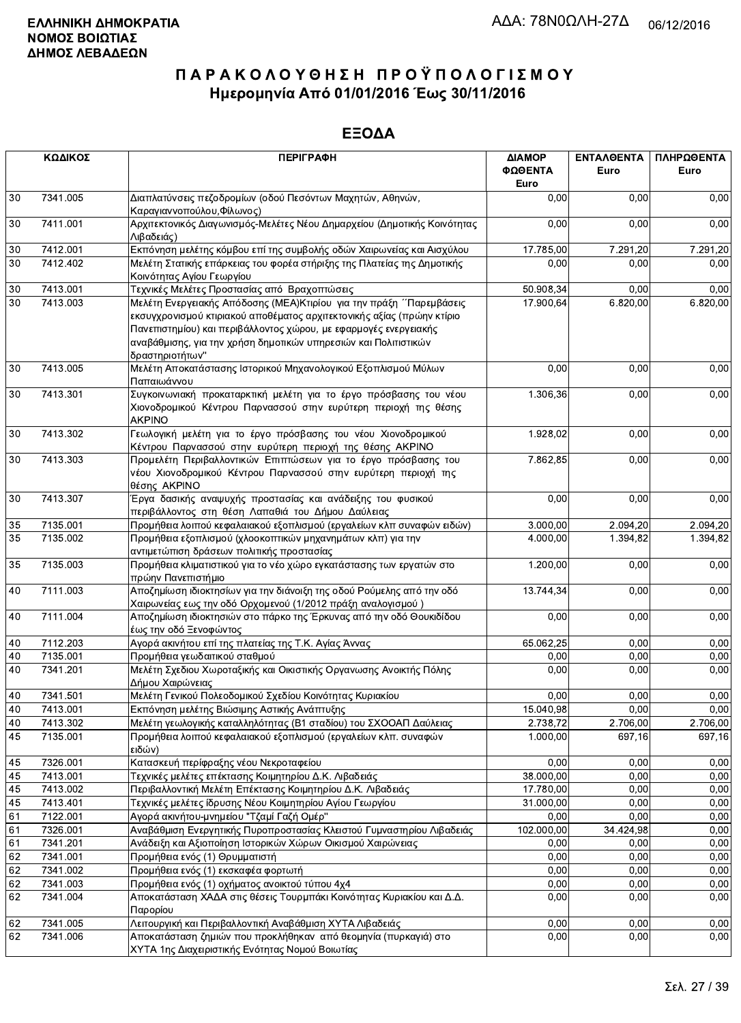| ΚΩΔΙΚΟΣ |                                                                                                     | <b>ПЕРІГРАФН</b>                                                                                                                                                                                                                                                                                          | ΔΙΑΜΟΡ<br>ΦΩΘΕΝΤΑ<br>Euro | <b>ENTAA@ENTA</b><br>Euro | ΠΛΗΡΩΘΕΝΤΑ<br>Euro |  |
|---------|-----------------------------------------------------------------------------------------------------|-----------------------------------------------------------------------------------------------------------------------------------------------------------------------------------------------------------------------------------------------------------------------------------------------------------|---------------------------|---------------------------|--------------------|--|
| 30      | 7341.005<br>Διαπλατύνσεις πεζοδρομίων (οδού Πεσόντων Μαχητών, Αθηνών,<br>Καραγιαννοπούλου, Φίλωνος) |                                                                                                                                                                                                                                                                                                           | 0.00                      | 0,00                      | 0,00               |  |
| 30      | 7411.001                                                                                            | Αρχιτεκτονικός Διαγωνισμός-Μελέτες Νέου Δημαρχείου (Δημοτικής Κοινότητας<br>Λιβαδειάς)                                                                                                                                                                                                                    | 0,00                      | 0,00                      | 0,00               |  |
| 30      | 7412.001                                                                                            | Εκπόνηση μελέτης κόμβου επί της συμβολής οδών Χαιρωνείας και Αισχύλου                                                                                                                                                                                                                                     | 17.785,00                 | 7.291,20                  | 7.291,20           |  |
| 30      | 7412.402                                                                                            | Μελέτη Στατικής επάρκειας του φορέα στήριξης της Πλατείας της Δημοτικής<br>Κοινότητας Αγίου Γεωργίου                                                                                                                                                                                                      | 0,00                      | 0,00                      | 0,00               |  |
| $30\,$  | 7413.001                                                                                            | Τεχνικές Μελέτες Προστασίας από Βραχοπτώσεις                                                                                                                                                                                                                                                              | 50.908,34                 | 0,00                      | 0,00               |  |
| 30      | 7413.003                                                                                            | Μελέτη Ενεργειακής Απόδοσης (ΜΕΑ) Κτιρίου για την πράξη ΄ Παρεμβάσεις<br>εκσυγχρονισμού κτιριακού αποθέματος αρχιτεκτονικής αξίας (πρώην κτίριο<br>Πανεπιστημίου) και περιβάλλοντος χώρου, με εφαρμογές ενεργειακής<br>αναβάθμισης, για την χρήση δημοτικών υπηρεσιών και Πολιτιστικών<br>δραστηριοτήτων" | 17.900,64                 | 6.820,00                  | 6.820,00           |  |
| $30\,$  | 7413.005                                                                                            | Μελέτη Αποκατάστασης Ιστορικού Μηχανολογικού Εξοπλισμού Μύλων<br>Παπαιωάννου                                                                                                                                                                                                                              | 0,00                      | 0,00                      | 0,00               |  |
| 30      | 7413.301                                                                                            | Συγκοινωνιακή προκαταρκτική μελέτη για το έργο πρόσβασης του νέου<br>Χιονοδρομικού Κέντρου Παρνασσού στην ευρύτερη περιοχή της θέσης<br><b>AKPINO</b>                                                                                                                                                     | 1.306,36                  | 0,00                      | 0,00               |  |
| 30      | 7413.302                                                                                            | Γεωλογική μελέτη για το έργο πρόσβασης του νέου Χιονοδρομικού<br>Κέντρου Παρνασσού στην ευρύτερη περιοχή της θέσης ΑΚΡΙΝΟ                                                                                                                                                                                 | 1.928,02                  | 0,00                      | 0,00               |  |
| 30      | 7413.303                                                                                            | Προμελέτη Περιβαλλοντικών Επιπτώσεων για το έργο πρόσβασης του<br>νέου Χιονοδρομικού Κέντρου Παρνασσού στην ευρύτερη περιοχή της<br>θέσης AKPINO                                                                                                                                                          | 7.862,85                  | 0,00                      | 0,00               |  |
| 30      | 7413.307                                                                                            | Έργα δασικής αναψυχής προστασίας και ανάδειξης του φυσικού<br>περιβάλλοντος στη θέση Λαπαθιά του Δήμου Δαύλειας                                                                                                                                                                                           | 0,00                      | 0,00                      | 0,00               |  |
| 35      | 7135.001                                                                                            | Προμήθεια λοιπού κεφαλαιακού εξοπλισμού (εργαλείων κλπ συναφών ειδών)                                                                                                                                                                                                                                     | 3.000,00                  | 2.094,20                  | 2.094,20           |  |
| 35      | 7135.002                                                                                            | Προμήθεια εξοπλισμού (χλοοκοπτικών μηχανημάτων κλπ) για την<br>αντιμετώπιση δράσεων πολιτικής προστασίας                                                                                                                                                                                                  | 4.000,00                  | 1.394,82                  | 1.394,82           |  |
| 35      | 7135.003                                                                                            | Προμήθεια κλιματιστικού για το νέο χώρο εγκατάστασης των εργατών στο<br>πρώην Πανεπιστήμιο                                                                                                                                                                                                                | 1.200,00                  | 0,00                      | 0,00               |  |
| 40      | 7111.003                                                                                            | Αποζημίωση ιδιοκτησίων για την διάνοιξη της οδού Ρούμελης από την οδό<br>Χαιρωνείας εως την οδό Ορχομενού (1/2012 πράξη αναλογισμού)                                                                                                                                                                      | 13.744,34                 | 0,00                      | 0,00               |  |
| 40      | 7111.004                                                                                            | Αποζημίωση ιδιοκτησιών στο πάρκο της Έρκυνας από την οδό Θουκιδίδου<br>έως την οδό Ξενοφώντος                                                                                                                                                                                                             | 0,00                      | 0,00                      | 0,00               |  |
| 40      | 7112.203                                                                                            | Αγορά ακινήτου επί της πλατείας της Τ.Κ. Αγίας Άννας                                                                                                                                                                                                                                                      | 65.062,25                 | 0,00                      | 0,00               |  |
| 40      | 7135.001                                                                                            | Προμήθεια γεωδαιτικού σταθμού                                                                                                                                                                                                                                                                             | 0,00                      | 0,00                      | 0,00               |  |
| 40      | 7341.201                                                                                            | Μελέτη Σχεδιου Χωροταξικής και Οικιστικής Οργανωσης Ανοικτής Πόλης<br>Δήμου Χαιρώνειας                                                                                                                                                                                                                    | 0,00                      | 0,00                      | 0,00               |  |
| 40      | 7341.501                                                                                            | Μελέτη Γενικού Πολεοδομικού Σχεδίου Κοινότητας Κυριακίου                                                                                                                                                                                                                                                  | 0,00                      | 0,00                      | 0,00               |  |
| 40      | 7413.001                                                                                            | Εκπόνηση μελέτης Βιώσιμης Αστικής Ανάπτυξης                                                                                                                                                                                                                                                               | 15.040,98                 | 0,00                      | 0,00               |  |
| 40      | 7413.302                                                                                            | Μελέτη γεωλογικής καταλληλότητας (Β1 σταδίου) του ΣΧΟΟΑΠ Δαύλειας                                                                                                                                                                                                                                         | 2.738,72                  | 2.706,00                  | 2.706,00           |  |
| 45      | 7135.001                                                                                            | Προμήθεια λοιπού κεφαλαιακού εξοπλισμού (εργαλείων κλπ. συναφών<br>ειδών)                                                                                                                                                                                                                                 | 1.000,00                  | 697,16                    | 697,16             |  |
| 45      | 7326.001                                                                                            | Κατασκευή περίφραξης νέου Νεκροταφείου                                                                                                                                                                                                                                                                    | 0,00                      | 0,00                      | 0,00               |  |
| 45      | 7413.001                                                                                            | Τεχνικές μελέτες επέκτασης Κοιμητηρίου Δ.Κ. Λιβαδειάς                                                                                                                                                                                                                                                     | 38.000,00                 | 0,00                      | 0,00               |  |
| 45      | 7413.002                                                                                            | Περιβαλλοντική Μελέτη Επέκτασης Κοιμητηρίου Δ.Κ. Λιβαδειάς                                                                                                                                                                                                                                                | 17.780,00                 | 0,00                      | 0,00               |  |
| 45      | 7413.401                                                                                            | Τεχνικές μελέτες ίδρυσης Νέου Κοιμητηρίου Αγίου Γεωργίου                                                                                                                                                                                                                                                  | 31.000,00                 | 0,00                      | 0,00               |  |
| 61      | 7122.001                                                                                            | Αγορά ακινήτου-μνημείου "Τζαμί Γαζή Ομέρ"                                                                                                                                                                                                                                                                 | 0,00                      | 0,00                      | 0,00               |  |
| 61      | 7326.001                                                                                            | Αναβάθμιση Ενεργητικής Πυροπροστασίας Κλειστού Γυμναστηρίου Λιβαδειάς                                                                                                                                                                                                                                     | 102.000,00                | 34.424,98                 | 0,00               |  |
| 61      | 7341.201                                                                                            | Ανάδειξη και Αξιοποίηση Ιστορικών Χώρων Οικισμού Χαιρώνειας                                                                                                                                                                                                                                               | 0,00                      | 0,00                      | 0,00               |  |
| 62      | 7341.001                                                                                            | Προμήθεια ενός (1) Θρυμματιστή                                                                                                                                                                                                                                                                            | 0,00                      | 0,00                      | 0,00               |  |
| 62      | 7341.002                                                                                            | Προμήθεια ενός (1) εκσκαφέα φορτωτή                                                                                                                                                                                                                                                                       | 0,00                      | 0,00                      | 0,00               |  |
| 62      | 7341.003                                                                                            | Προμήθεια ενός (1) οχήματος ανοικτού τύπου 4χ4<br>Αποκατάσταση ΧΑΔΑ στις θέσεις Τουρμπάκι Κοινότητας Κυριακίου και Δ.Δ.                                                                                                                                                                                   | 0,00                      | 0,00                      | 0,00               |  |
| 62      | 7341.004                                                                                            | Παρορίου                                                                                                                                                                                                                                                                                                  | 0,00                      | 0,00                      | 0,00               |  |
| 62      | 7341.005                                                                                            | Λειτουργική και Περιβαλλοντική Αναβάθμιση ΧΥΤΑ Λιβαδειάς                                                                                                                                                                                                                                                  | 0,00                      | 0,00                      | 0,00               |  |
| 62      | 7341.006                                                                                            | Αποκατάσταση ζημιών που προκλήθηκαν από θεομηνία (πυρκαγιά) στο<br>ΧΥΤΑ 1ης Διαχειριστικής Ενότητας Νομού Βοιωτίας                                                                                                                                                                                        | 0,00                      | 0,00                      | 0,00               |  |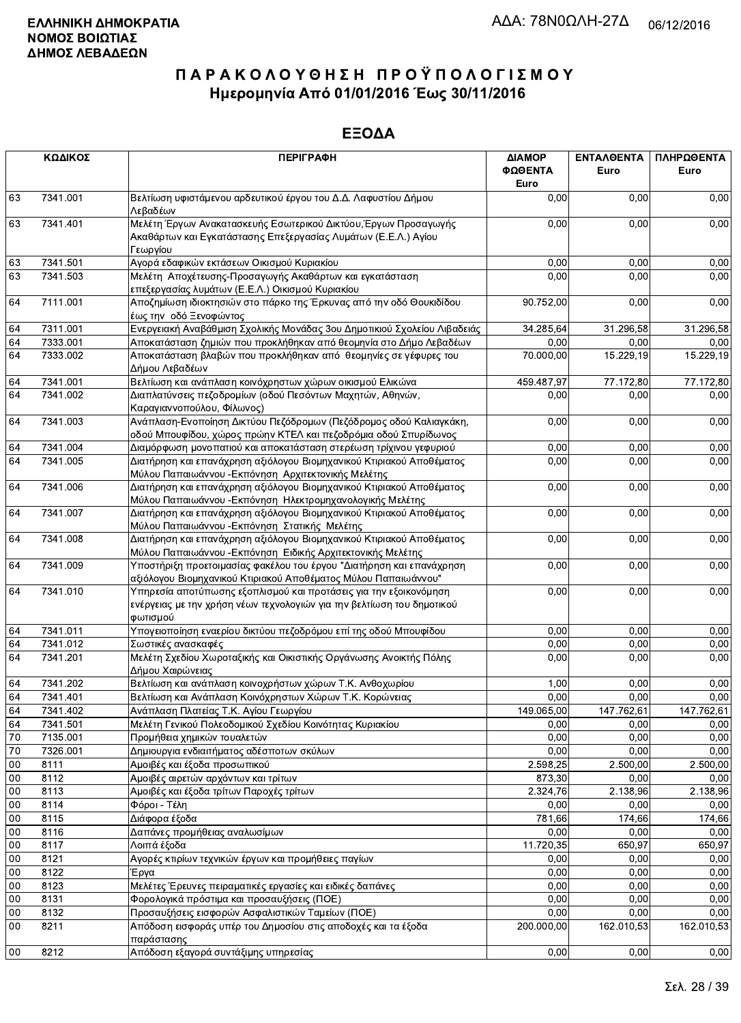|        | ΚΩΔΙΚΟΣ  | <b>ПЕРІГРАФН</b>                                                                                                                                        | ΔΙΑΜΟΡ<br>ΦΩΘΕΝΤΑ<br>Euro | ΕΝΤΑΛΘΕΝΤΑ<br>Euro | ΠΛΗΡΩΘΕΝΤΑ<br>Euro |
|--------|----------|---------------------------------------------------------------------------------------------------------------------------------------------------------|---------------------------|--------------------|--------------------|
| 63     | 7341.001 | Βελτίωση υφιστάμενου αρδευτικού έργου του Δ.Δ. Λαφυστίου Δήμου<br>Λεβαδέων                                                                              | 0,00                      | 0,00               | 0,00               |
| 63     | 7341.401 | Μελέτη Έργων Ανακατασκευής Εσωτερικού Δικτύου, Έργων Προσαγωγής<br>Ακαθάρτων και Εγκατάστασης Επεξεργασίας Λυμάτων (Ε.Ε.Λ.) Αγίου<br>Γεωργίου           |                           | 0,00<br>0,00       | 0,00               |
| 63     | 7341.501 | Αγορά εδαφικών εκτάσεων Οικισμού Κυριακίου                                                                                                              | 0,00                      | 0,00               | 0,00               |
| 63     | 7341.503 | Μελέτη Αποχέτευσης-Προσαγωγής Ακαθάρτων και εγκατάσταση<br>επεξεργασίας λυμάτων (Ε.Ε.Λ.) Οικισμού Κυριακίου                                             | 0,00                      | 0,00               | 0,00               |
| 64     | 7111.001 | Αποζημίωση ιδιοκτησιών στο πάρκο της Έρκυνας από την οδό Θουκιδίδου<br>έως την οδό Ξενοφώντος                                                           | 90.752,00                 | 0,00               | 0,00               |
| 64     | 7311.001 | Ενεργειακή Αναβάθμιση Σχολικής Μονάδας 3ου Δημοτικιού Σχολείου Λιβαδειάς                                                                                | 34.285,64                 | 31.296,58          | 31.296,58          |
| 64     | 7333.001 | Αποκατάσταση ζημιών που προκλήθηκαν από θεομηνία στο Δήμο Λεβαδέων                                                                                      | 0,00                      | 0,00               | 0,00               |
| 64     | 7333.002 | Αποκατάσταση βλαβών που προκλήθηκαν από θεομηνίες σε γέφυρες του<br>Δήμου Λεβαδέων                                                                      | 70.000,00                 | 15.229,19          | 15.229,19          |
| 64     | 7341.001 | Βελτίωση και ανάπλαση κοινόχρηστων χώρων οικισμού Ελικώνα                                                                                               | 459.487,97                | 77.172,80          | 77.172,80          |
| 64     | 7341.002 | Διαπλατύνσεις πεζοδρομίων (οδού Πεσόντων Μαχητών, Αθηνών,<br>Καραγιαννοπούλου, Φίλωνος)                                                                 | 0,00                      | 0,00               | 0,00               |
| 64     | 7341.003 | Ανάπλαση-Ενοποίηση Δικτύου Πεζόδρομων (Πεζόδρομος οδού Καλιαγκάκη,<br>οδού Μπουφίδου, χώρος πρώην ΚΤΕΛ και πεζοδρόμια οδού Σπυρίδωνος                   | 0,00                      | 0,00               | 0,00               |
| 64     | 7341.004 | Διαμόρφωση μονοπατιού και αποκατάσταση στερέωση τρίχινου γεφυριού                                                                                       | 0,00                      | 0,00               | 0,00               |
| 64     | 7341.005 | Διατήρηση και επανάχρηση αξιόλογου Βιομηχανικού Κτιριακού Αποθέματος<br>Μύλου Παπαιωάννου - Εκπόνηση Αρχιτεκτονικής Μελέτης                             | 0,00                      | 0,00               | 0,00               |
| 64     | 7341.006 | Διατήρηση και επανάχρηση αξιόλογου Βιομηχανικού Κτιριακού Αποθέματος<br>Μύλου Παπαιωάννου - Εκπόνηση Ηλεκτρομηχανολογικής Μελέτης                       | 0,00                      | 0,00               | 0,00               |
| 64     | 7341.007 | Διατήρηση και επανάχρηση αξιόλογου Βιομηχανικού Κτιριακού Αποθέματος<br>Μύλου Παπαιωάννου - Εκπόνηση Στατικής Μελέτης                                   | 0,00                      | 0,00               | 0,00               |
| 64     | 7341.008 | Διατήρηση και επανάχρηση αξιόλογου Βιομηχανικού Κτιριακού Αποθέματος<br>Μύλου Παπαιωάννου - Εκπόνηση Ειδικής Αρχιτεκτονικής Μελέτης                     | 0,00                      | 0,00               | 0,00               |
| 64     | 7341.009 | Υποστήριξη προετοιμασίας φακέλου του έργου "Διατήρηση και επανάχρηση<br>αξιόλογου Βιομηχανικού Κτιριακού Αποθέματος Μύλου Παπαιωάννου"                  | 0,00                      | 0,00               | 0,00               |
| 64     | 7341.010 | Υπηρεσία αποτύπωσης εξοπλισμού και προτάσεις για την εξοικονόμηση<br>ενέργειας με την χρήση νέων τεχνολογιών για την βελτίωση του δημοτικού<br>φωτισμού | 0,00                      | 0,00               | 0,00               |
| 64     | 7341.011 | Υπογειοποίηση εναερίου δικτύου πεζοδρόμου επί της οδού Μπουφίδου                                                                                        | 0,00                      | 0,00               | 0,00               |
| 64     | 7341.012 | Σωστικές ανασκαφές                                                                                                                                      | 0,00                      | 0,00               | 0,00               |
| 64     | 7341.201 | Μελέτη Σχεδίου Χωροταξικής και Οικιστικής Οργάνωσης Ανοικτής Πόλης<br>Δήμου Χαιρώνειας                                                                  | 0,00                      | 0,00               | 0,00               |
| 64     | 7341.202 | Βελτίωση και ανάπλαση κοινοχρήστων χώρων Τ.Κ. Ανθοχωρίου                                                                                                | 1,00                      | 0,00               | 0,00               |
| 64     | 7341.401 | Βελτίωση και Ανάπλαση Κοινόχρηστων Χώρων Τ.Κ. Κορώνειας                                                                                                 | 0,00                      | 0,00               | 0,00               |
| 64     | 7341.402 | Ανάπλαση Πλατείας Τ.Κ. Αγίου Γεωργίου                                                                                                                   | 149.065,00                | 147.762,61         | 147.762,61         |
| 64     | 7341.501 | Μελέτη Γενικού Πολεοδομικού Σχεδίου Κοινότητας Κυριακίου                                                                                                | 0,00                      | 0,00               | 0,00               |
| 70     | 7135.001 | Προμήθεια χημικών τουαλετών                                                                                                                             | 0,00                      | 0.00               | 0,00               |
| 70     | 7326.001 | Δημιουργια ενδιαιτήματος αδέσποτων σκύλων                                                                                                               | 0,00                      | 0,00               | 0,00               |
| $00\,$ | 8111     | Αμοιβές και έξοδα προσωπικού                                                                                                                            | 2.598,25                  | 2.500,00           | 2.500,00           |
| $00\,$ | 8112     | Αμοιβές αιρετών αρχόντων και τρίτων                                                                                                                     | 873,30                    | 0,00               | 0,00               |
| 00     | 8113     | Αμοιβές και έξοδα τρίτων Παροχές τρίτων                                                                                                                 | 2.324,76                  | 2.138,96           | 2.138,96           |
| 00     | 8114     | Φόροι - Τέλη                                                                                                                                            | 0,00                      | 0,00               | 0,00               |
| $00\,$ | 8115     | Διάφορα έξοδα                                                                                                                                           | 781,66                    | 174,66             | 174,66             |
| 00     | 8116     | Δαπάνες προμήθειας αναλωσίμων                                                                                                                           | 0,00                      | 0,00               | 0,00               |
| 00     | 8117     | Λοιπά έξοδα                                                                                                                                             | 11.720,35                 | 650,97             | 650,97             |
| $00\,$ | 8121     | Αγορές κτιρίων τεχνικών έργων και προμήθειες παγίων                                                                                                     | 0,00                      | 0,00               | 0,00               |
| 00     | 8122     | Έργα                                                                                                                                                    | 0,00                      | 0,00               | 0,00               |
| 00     | 8123     | Μελέτες Έρευνες πειραματικές εργασίες και ειδικές δαπάνες                                                                                               | 0,00                      | 0,00               | 0,00               |
| 00     | 8131     | Φορολογικά πρόστιμα και προσαυξήσεις (ΠΟΕ)                                                                                                              | 0,00                      | 0,00               | 0,00               |
| $00\,$ | 8132     | Προσαυξήσεις εισφορών Ασφαλιστικών Ταμείων (ΠΟΕ)                                                                                                        | 0,00                      | 0,00               | 0,00               |
| 00     | 8211     | Απόδοση εισφοράς υπέρ του Δημοσίου στις αποδοχές και τα έξοδα<br>παράστασης                                                                             | 200.000,00                | 162.010,53         | 162.010,53         |
| 00     | 8212     | Απόδοση εξαγορά συντάξιμης υπηρεσίας                                                                                                                    | 0,00                      | 0,00               | 0,00               |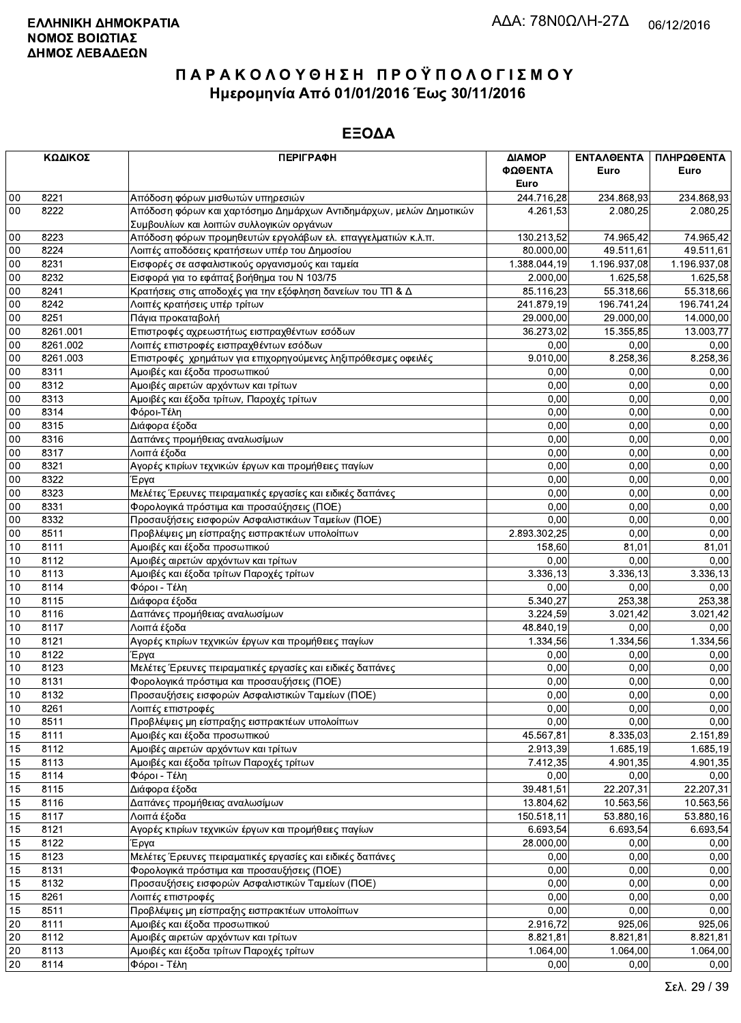|    | ΚΩΔΙΚΟΣ  | <b>ПЕРІГРАФН</b>                                                   | ΔΙΑΜΟΡ<br>ΦΩΘΕΝΤΑ | <b>ENTAA@ENTA</b><br>Euro | ΠΛΗΡΩΘΕΝΤΑ<br>Euro |
|----|----------|--------------------------------------------------------------------|-------------------|---------------------------|--------------------|
|    |          |                                                                    | Euro              |                           |                    |
| 00 | 8221     | Απόδοση φόρων μισθωτών υπηρεσιών                                   | 244.716,28        | 234.868,93                | 234.868,93         |
| 00 | 8222     | Απόδοση φόρων και χαρτόσημο Δημάρχων Αντιδημάρχων, μελών Δημοτικών | 4.261,53          | 2.080,25                  | 2.080,25           |
|    |          | Συμβουλίων και λοιπών συλλογικών οργάνων                           |                   |                           |                    |
| 00 | 8223     | Απόδοση φόρων προμηθευτών εργολάβων ελ. επαγγελματιών κ.λ.π.       | 130.213,52        | 74.965,42                 | 74.965,42          |
| 00 | 8224     | Λοιπές αποδόσεις κρατήσεων υπέρ του Δημοσίου                       | 80.000,00         | 49.511,61                 | 49.511,61          |
| 00 | 8231     | Εισφορές σε ασφαλιστικούς οργανισμούς και ταμεία                   | 1.388.044,19      | 1.196.937,08              | 1.196.937,08       |
| 00 | 8232     | Εισφορά για το εφάπαξ βοήθημα του Ν 103/75                         | 2.000,00          | 1.625,58                  | 1.625,58           |
| 00 | 8241     | Κρατήσεις στις αποδοχές για την εξόφληση δανείων του ΤΠ & Δ        | 85.116,23         | 55.318,66                 | 55.318,66          |
| 00 | 8242     | Λοιπές κρατήσεις υπέρ τρίτων                                       | 241.879,19        | 196.741,24                | 196.741,24         |
| 00 | 8251     | Πάγια προκαταβολή                                                  | 29.000,00         | 29.000,00                 | 14.000,00          |
| 00 | 8261.001 | Επιστροφές αχρεωστήτως εισπραχθέντων εσόδων                        | 36.273,02         | 15.355,85                 | 13.003,77          |
| 00 | 8261.002 | Λοιπές επιστροφές εισπραχθέντων εσόδων                             | 0,00              | 0,00                      | 0,00               |
| 00 | 8261.003 | Επιστροφές χρημάτων για επιχορηγούμενες ληξιπρόθεσμες οφειλές      | 9.010,00          | 8.258,36                  | 8.258,36           |
| 00 | 8311     | Αμοιβές και έξοδα προσωπικού                                       | 0,00              | 0,00                      | 0,00               |
| 00 | 8312     | Αμοιβές αιρετών αρχόντων και τρίτων                                | 0.00              | 0,00                      | 0,00               |
| 00 | 8313     | Αμοιβές και έξοδα τρίτων, Παροχές τρίτων                           | 0,00              | 0,00                      | 0,00               |
| 00 | 8314     | Φόροι-Τέλη                                                         | 0,00              | 0,00                      | 0,00               |
| 00 | 8315     | Διάφορα έξοδα                                                      | 0,00              | 0,00                      | 0,00               |
| 00 | 8316     | Δαπάνες προμήθειας αναλωσίμων                                      | 0,00              | 0,00                      | 0,00               |
| 00 | 8317     | Λοιπά έξοδα                                                        | 0,00              | 0,00                      | 0,00               |
| 00 | 8321     | Αγορές κτιρίων τεχνικών έργων και προμήθειες παγίων                | 0,00              | 0,00                      | 0,00               |
| 00 | 8322     | Έργα                                                               | 0,00              | 0,00                      | 0,00               |
| 00 | 8323     | Μελέτες Έρευνες πειραματικές εργασίες και ειδικές δαπάνες          | 0,00              | 0.00                      | 0,00               |
| 00 | 8331     | Φορολογικά πρόστιμα και προσαύξησεις (ΠΟΕ)                         | 0,00              | 0,00                      | 0,00               |
| 00 | 8332     | Προσαυξήσεις εισφορών Ασφαλιστικάων Ταμείων (ΠΟΕ)                  | 0,00              | 0,00                      | 0,00               |
| 00 | 8511     | Προβλέψεις μη είσπραξης εισπρακτέων υπολοίπων                      | 2.893.302,25      | 0,00                      | 0,00               |
| 10 | 8111     | Αμοιβές και έξοδα προσωπικού                                       | 158,60            | 81,01                     | 81,01              |
| 10 | 8112     | Αμοιβές αιρετών αρχόντων και τρίτων                                | 0.00              | 0,00                      | 0,00               |
| 10 | 8113     | Αμοιβές και έξοδα τρίτων Παροχές τρίτων                            | 3.336, 13         | 3.336, 13                 | 3.336,13           |
| 10 | 8114     | Φόροι - Τέλη                                                       | 0,00              | 0,00                      | 0,00               |
| 10 | 8115     | Διάφορα έξοδα                                                      | 5.340,27          | 253,38                    | 253,38             |
| 10 | 8116     | Δαπάνες προμήθειας αναλωσίμων                                      | 3.224,59          | 3.021,42                  | 3.021,42           |
| 10 | 8117     | Λοιπά έξοδα                                                        | 48.840,19         | 0,00                      | 0,00               |
| 10 | 8121     | Αγορές κτιρίων τεχνικών έργων και προμήθειες παγίων                | 1.334,56          | 1.334,56                  | 1.334,56           |
| 10 | 8122     | Έργα                                                               | 0,00              | 0,00                      | 0,00               |
| 10 | 8123     | Μελέτες Έρευνες πειραματικές εργασίες και ειδικές δαπάνες          | 0.00              | 0,00                      | 0,00               |
| 10 | 8131     | Φορολογικά πρόστιμα και προσαυξήσεις (ΠΟΕ)                         | 0.00              | 0,00                      | 0,00               |
| 10 | 8132     | Προσαυξήσεις εισφορών Ασφαλιστικών Ταμείων (ΠΟΕ)                   | 0,00              | 0,00                      | 0,00               |
| 10 | 8261     | Λοιπές επιστροφές                                                  | $\overline{0,00}$ | 0,00                      | 0,00               |
| 10 | 8511     | Προβλέψεις μη είσπραξης εισπρακτέων υπολοίπων                      | 0,00              | 0,00                      | 0,00               |
| 15 | 8111     | Αμοιβές και έξοδα προσωπικού                                       | 45.567,81         | 8.335,03                  | 2.151,89           |
| 15 | 8112     | Αμοιβές αιρετών αρχόντων και τρίτων                                | 2.913,39          | 1.685, 19                 | 1.685,19           |
| 15 | 8113     | Αμοιβές και έξοδα τρίτων Παροχές τρίτων                            | 7.412,35          | 4.901,35                  | 4.901,35           |
| 15 | 8114     | Φόροι - Τέλη                                                       | 0,00              | 0,00                      | 0,00               |
| 15 | 8115     | Διάφορα έξοδα                                                      | 39.481,51         | 22.207,31                 | 22.207,31          |
| 15 | 8116     | Δαπάνες προμήθειας αναλωσίμων                                      | 13.804,62         | 10.563,56                 | 10.563,56          |
| 15 | 8117     | Λοιπά έξοδα                                                        | 150.518,11        | 53.880,16                 | 53.880,16          |
| 15 | 8121     | Ανορές κτιρίων τεχνικών έργων και προμήθειες παγίων                | 6.693,54          | 6.693,54                  | 6.693,54           |
| 15 | 8122     | Έργα                                                               | 28.000,00         | 0,00                      | 0,00               |
| 15 | 8123     | Μελέτες Έρευνες πειραματικές εργασίες και ειδικές δαπάνες          | 0,00              | 0,00                      | 0,00               |
| 15 | 8131     | Φορολογικά πρόστιμα και προσαυξήσεις (ΠΟΕ)                         | 0,00              | 0,00                      | 0,00               |
| 15 | 8132     | Προσαυξήσεις εισφορών Ασφαλιστικών Ταμείων (ΠΟΕ)                   | 0,00              | 0,00                      | 0,00               |
| 15 | 8261     | Λοιπές επιστροφές                                                  | 0,00              | 0,00                      | 0,00               |
| 15 | 8511     | Προβλέψεις μη είσπραξης εισπρακτέων υπολοίπων                      | 0,00              | 0,00                      | 0,00               |
| 20 | 8111     | Αμοιβές και έξοδα προσωπικού                                       | 2.916,72          | 925,06                    | 925,06             |
| 20 | 8112     | Αμοιβές αιρετών αρχόντων και τρίτων                                | 8.821,81          | 8.821,81                  | 8.821,81           |
| 20 | 8113     | Αμοιβές και έξοδα τρίτων Παροχές τρίτων                            | 1.064,00          | 1.064,00                  | 1.064,00           |
| 20 | 8114     | Φόροι - Τέλη                                                       | 0,00              | 0,00                      | 0,00               |
|    |          |                                                                    |                   |                           |                    |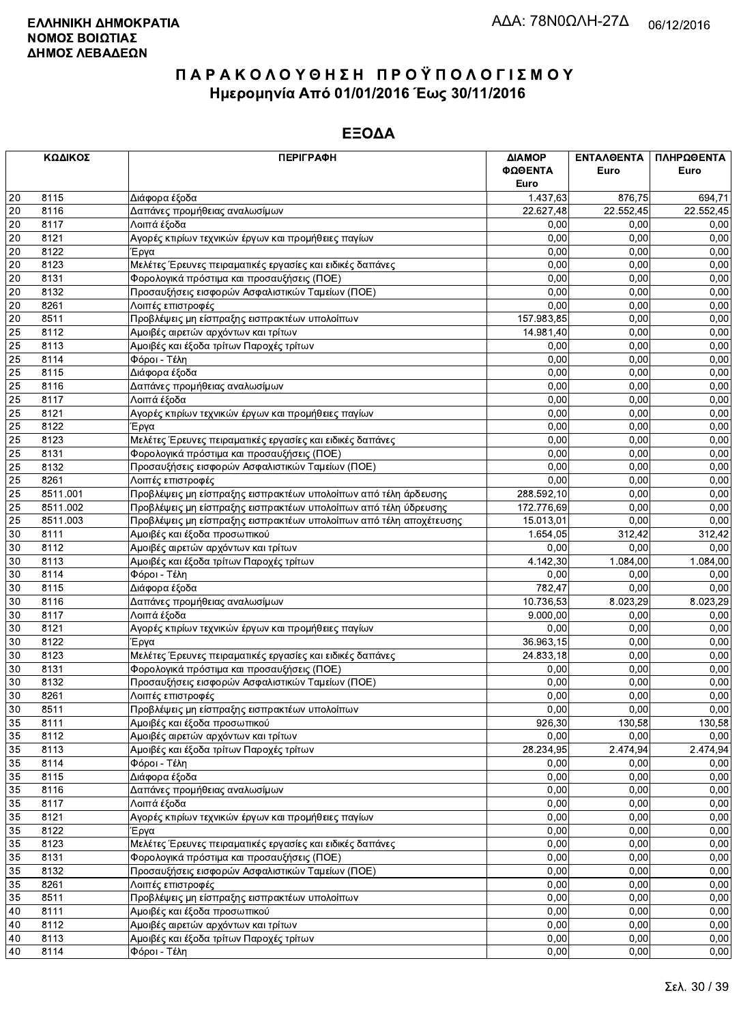|    | ΚΩΔΙΚΟΣ  | <b>ПЕРІГРАФН</b>                                                   | ΔΙΑΜΟΡ     | ΕΝΤΑΛΘΕΝΤΑ | ΠΛΗΡΩΘΕΝΤΑ |
|----|----------|--------------------------------------------------------------------|------------|------------|------------|
|    |          |                                                                    | ΦΩΘΕΝΤΑ    | Euro       | Euro       |
|    |          |                                                                    | Euro       |            |            |
| 20 | 8115     | Διάφορα έξοδα                                                      | 1.437,63   | 876,75     | 694,71     |
| 20 | 8116     | Δαπάνες προμήθειας αναλωσίμων                                      | 22.627,48  | 22.552,45  | 22.552,45  |
| 20 | 8117     | Λοιπά έξοδα                                                        | 0,00       | 0.00       | 0,00       |
| 20 | 8121     | Αγορές κτιρίων τεχνικών έργων και προμήθειες παγίων                | 0,00       | 0,00       | 0,00       |
| 20 | 8122     | Έργα                                                               | 0,00       | 0,00       | 0,00       |
| 20 | 8123     | Μελέτες Έρευνες πειραματικές εργασίες και ειδικές δαπάνες          | 0.00       | 0.00       | 0,00       |
| 20 | 8131     | Φορολογικά πρόστιμα και προσαυξήσεις (ΠΟΕ)                         | 0,00       | 0,00       | 0,00       |
| 20 | 8132     | Προσαυξήσεις εισφορών Ασφαλιστικών Ταμείων (ΠΟΕ)                   | 0,00       | 0,00       | 0,00       |
| 20 | 8261     | Λοιπές επιστροφές                                                  | 0,00       | 0,00       | 0,00       |
| 20 | 8511     | Προβλέψεις μη είσπραξης εισπρακτέων υπολοίπων                      | 157.983,85 | 0,00       | 0,00       |
| 25 | 8112     | Αμοιβές αιρετών αρχόντων και τρίτων                                | 14.981,40  | 0,00       | 0,00       |
| 25 | 8113     | Αμοιβές και έξοδα τρίτων Παροχές τρίτων                            | 0,00       | 0,00       | 0,00       |
| 25 | 8114     | Φόροι - Τέλη                                                       | 0,00       | 0,00       | 0,00       |
| 25 | 8115     | Διάφορα έξοδα                                                      | 0.00       | 0,00       | 0,00       |
| 25 | 8116     | Δαπάνες προμήθειας αναλωσίμων                                      | 0,00       | 0,00       | 0,00       |
| 25 | 8117     | Λοιπά έξοδα                                                        | 0,00       | 0.00       | 0,00       |
| 25 | 8121     | Αγορές κτιρίων τεχνικών έργων και προμήθειες παγίων                | 0,00       | 0,00       | 0,00       |
| 25 | 8122     | Έργα                                                               | 0,00       | 0,00       | 0,00       |
| 25 | 8123     | Μελέτες Έρευνες πειραματικές εργασίες και ειδικές δαπάνες          | 0,00       | 0,00       | 0,00       |
| 25 | 8131     | Φορολογικά πρόστιμα και προσαυξήσεις (ΠΟΕ)                         | 0,00       | 0,00       | 0,00       |
| 25 | 8132     | Προσαυξήσεις εισφορών Ασφαλιστικών Ταμείων (ΠΟΕ)                   | 0,00       | 0,00       | 0,00       |
| 25 | 8261     | Λοιπές επιστροφές                                                  | 0,00       | 0,00       | 0,00       |
| 25 | 8511.001 | Προβλέψεις μη είσπραξης εισπρακτέων υπολοίπων από τέλη άρδευσης    | 288.592,10 | 0,00       | 0,00       |
| 25 | 8511.002 | Προβλέψεις μη είσπραξης εισπρακτέων υπολοίπων από τέλη ύδρευσης    | 172.776,69 | 0,00       | 0,00       |
| 25 | 8511.003 |                                                                    |            | 0,00       | 0,00       |
|    |          | Προβλέψεις μη είσπραξης εισπρακτέων υπολοίπων από τέλη αποχέτευσης | 15.013,01  |            |            |
| 30 | 8111     | Αμοιβές και έξοδα προσωπικού                                       | 1.654,05   | 312,42     | 312,42     |
| 30 | 8112     | Αμοιβές αιρετών αρχόντων και τρίτων                                | 0,00       | 0,00       | 0,00       |
| 30 | 8113     | Αμοιβές και έξοδα τρίτων Παροχές τρίτων                            | 4.142,30   | 1.084,00   | 1.084,00   |
| 30 | 8114     | Φόροι - Τέλη                                                       | 0,00       | 0.00       | 0,00       |
| 30 | 8115     | Διάφορα έξοδα                                                      | 782,47     | 0.00       | 0,00       |
| 30 | 8116     | Δαπάνες προμήθειας αναλωσίμων                                      | 10.736,53  | 8.023,29   | 8.023,29   |
| 30 | 8117     | Λοιπά έξοδα                                                        | 9.000,00   | 0,00       | 0,00       |
| 30 | 8121     | Αγορές κτιρίων τεχνικών έργων και προμήθειες παγίων                | 0,00       | 0,00       | 0,00       |
| 30 | 8122     | Έργα                                                               | 36.963,15  | 0.00       | 0,00       |
| 30 | 8123     | Μελέτες Έρευνες πειραματικές εργασίες και ειδικές δαπάνες          | 24.833,18  | 0,00       | 0,00       |
| 30 | 8131     | Φορολογικά πρόστιμα και προσαυξήσεις (ΠΟΕ)                         | 0,00       | 0,00       | 0,00       |
| 30 | 8132     | Προσαυξήσεις εισφορών Ασφαλιστικών Ταμείων (ΠΟΕ)                   | 0,00       | 0.00       | 0,00       |
| 30 | 8261     | Λοιπές επιστροφές                                                  | 0,00       | 0,00       | 0,00       |
| 30 | 8511     | Προβλέψεις μη είσπραξης εισπρακτέων υπολοίπων                      | 0,00       | 0,00       | 0,00       |
| 35 | 8111     | Αμοιβές και έξοδα προσωπικού                                       | 926,30     | 130,58     | 130,58     |
| 35 | 8112     | Αμοιβές αιρετών αρχόντων και τρίτων                                | 0,00       | 0,00       | 0,00       |
| 35 | 8113     | Αμοιβές και έξοδα τρίτων Παροχές τρίτων                            | 28.234,95  | 2.474,94   | 2.474,94   |
| 35 | 8114     | Φόροι - Τέλη                                                       | 0,00       | 0,00       | 0,00       |
| 35 | 8115     | Διάφορα έξοδα                                                      | 0,00       | 0,00       | 0,00       |
| 35 | 8116     | Δαπάνες προμήθειας αναλωσίμων                                      | 0,00       | 0,00       | 0,00       |
| 35 | 8117     | Λοιπά έξοδα                                                        | 0,00       | 0,00       | 0,00       |
| 35 | 8121     | Αγορές κτιρίων τεχνικών έργων και προμήθειες παγίων                | 0,00       | 0,00       | 0,00       |
| 35 | 8122     | Έργα                                                               | 0,00       | 0,00       | 0,00       |
| 35 | 8123     | Μελέτες Έρευνες πειραματικές εργασίες και ειδικές δαπάνες          | 0,00       | 0,00       | 0,00       |
| 35 | 8131     | Φορολογικά πρόστιμα και προσαυξήσεις (ΠΟΕ)                         | 0,00       | 0,00       | 0,00       |
| 35 | 8132     | Προσαυξήσεις εισφορών Ασφαλιστικών Ταμείων (ΠΟΕ)                   | 0,00       | 0,00       | 0,00       |
| 35 | 8261     | Λοιπές επιστροφές                                                  | 0,00       | 0,00       | 0,00       |
| 35 | 8511     | Προβλέψεις μη είσπραξης εισπρακτέων υπολοίπων                      | 0,00       | 0,00       | 0,00       |
| 40 | 8111     | Αμοιβές και έξοδα προσωπικού                                       | 0,00       | 0,00       | 0,00       |
| 40 | 8112     | Αμοιβές αιρετών αρχόντων και τρίτων                                | 0,00       | 0,00       | 0,00       |
| 40 | 8113     | Αμοιβές και έξοδα τρίτων Παροχές τρίτων                            | 0,00       | 0,00       | 0,00       |
| 40 | 8114     | Φόροι - Τέλη                                                       | 0,00       | 0,00       | 0,00       |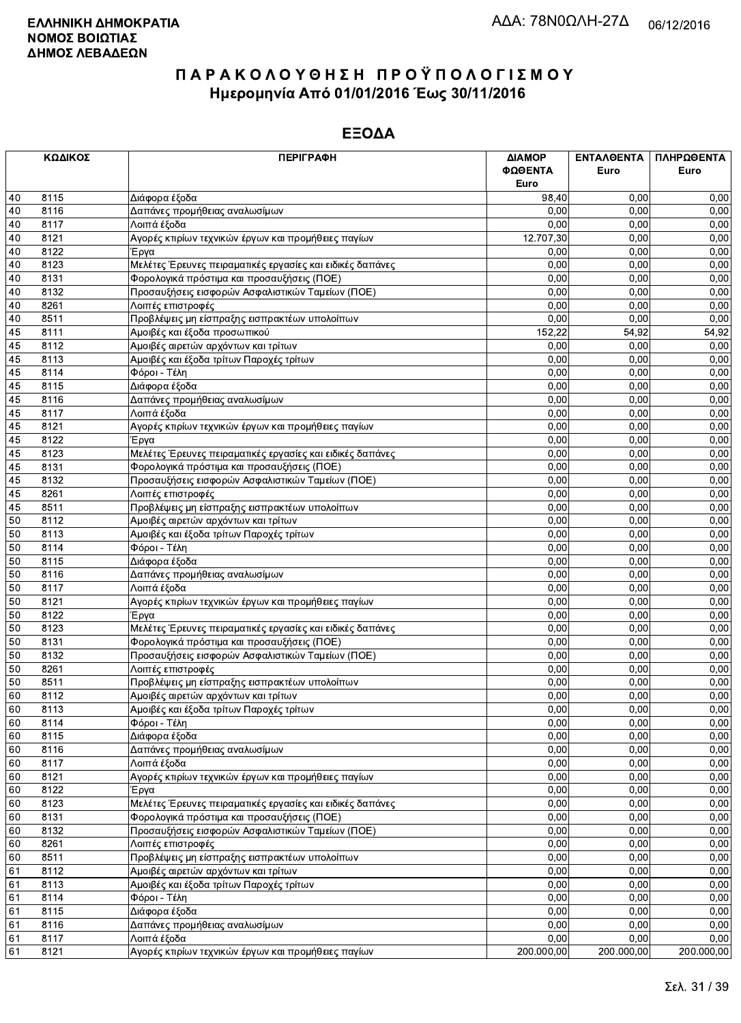|    | ΚΩΔΙΚΟΣ | <b>ПЕРІГРАФН</b>                                          | ΔΙΑΜΟΡ<br>ΦΩΘΕΝΤΑ | ΕΝΤΑΛΘΕΝΤΑ<br>Euro | ΠΛΗΡΩΘΕΝΤΑ<br>Euro |
|----|---------|-----------------------------------------------------------|-------------------|--------------------|--------------------|
|    |         |                                                           | Euro              |                    |                    |
| 40 | 8115    | Διάφορα έξοδα                                             | 98,40             | 0.00               | 0,00               |
| 40 | 8116    | Δαπάνες προμήθειας αναλωσίμων                             | 0,00              | 0,00               | 0,00               |
| 40 | 8117    | Λοιπά έξοδα                                               | 0,00              | 0,00               | 0,00               |
| 40 | 8121    | Αγορές κτιρίων τεχνικών έργων και προμήθειες παγίων       | 12.707,30         | 0,00               | 0,00               |
| 40 | 8122    | Έργα                                                      | 0,00              | 0,00               | 0,00               |
| 40 | 8123    | Μελέτες Έρευνες πειραματικές εργασίες και ειδικές δαπάνες | 0.00              | 0.00               | 0,00               |
| 40 | 8131    | Φορολογικά πρόστιμα και προσαυξήσεις (ΠΟΕ)                | 0,00              | 0,00               | 0,00               |
| 40 | 8132    | Προσαυξήσεις εισφορών Ασφαλιστικών Ταμείων (ΠΟΕ)          | 0,00              | 0,00               | 0,00               |
| 40 | 8261    | Λοιπές επιστροφές                                         | 0,00              | 0,00               | 0,00               |
| 40 | 8511    | Προβλέψεις μη είσπραξης εισπρακτέων υπολοίπων             | 0,00              | 0,00               | 0,00               |
| 45 | 8111    | Αμοιβές και έξοδα προσωπικού                              | 152,22            | 54,92              | 54,92              |
| 45 | 8112    | Αμοιβές αιρετών αρχόντων και τρίτων                       | 0,00              | 0,00               | 0,00               |
| 45 | 8113    | Αμοιβές και έξοδα τρίτων Παροχές τρίτων                   | 0,00              | 0,00               | 0,00               |
| 45 | 8114    | Φόροι - Τέλη                                              | 0,00              | 0,00               | 0,00               |
| 45 | 8115    | Διάφορα έξοδα                                             | 0,00              | 0,00               | 0,00               |
| 45 | 8116    | Δαπάνες προμήθειας αναλωσίμων                             | 0,00              | 0.00               | 0,00               |
| 45 | 8117    | Λοιπά έξοδα                                               | 0,00              | 0,00               | 0,00               |
| 45 | 8121    | Αγορές κτιρίων τεχνικών έργων και προμήθειες παγίων       | 0,00              | 0,00               | 0,00               |
| 45 | 8122    | Έργα                                                      | 0,00              | 0,00               | 0,00               |
| 45 | 8123    | Μελέτες Έρευνες πειραματικές εργασίες και ειδικές δαπάνες | 0,00              | 0,00               | 0,00               |
| 45 | 8131    | Φορολογικά πρόστιμα και προσαυξήσεις (ΠΟΕ)                | 0,00              | 0,00               | 0,00               |
| 45 | 8132    | Προσαυξήσεις εισφορών Ασφαλιστικών Ταμείων (ΠΟΕ)          | 0,00              | 0,00               | 0,00               |
| 45 | 8261    | Λοιπές επιστροφές                                         | 0,00              | 0,00               | 0,00               |
| 45 | 8511    | Προβλέψεις μη είσπραξης εισπρακτέων υπολοίπων             | 0,00              | 0,00               | 0,00               |
| 50 | 8112    | Αμοιβές αιρετών αρχόντων και τρίτων                       | 0,00              | 0,00               | 0,00               |
| 50 | 8113    | Αμοιβές και έξοδα τρίτων Παροχές τρίτων                   | 0,00              | 0,00               | 0,00               |
| 50 | 8114    | Φόροι - Τέλη                                              | 0,00              | 0,00               | 0,00               |
| 50 | 8115    | Διάφορα έξοδα                                             | 0,00              | 0,00               | 0,00               |
| 50 | 8116    | Δαπάνες προμήθειας αναλωσίμων                             | 0,00              | 0,00               | 0,00               |
| 50 | 8117    | Λοιπά έξοδα                                               | 0,00              | 0,00               | 0,00               |
| 50 | 8121    | Αγορές κτιρίων τεχνικών έργων και προμήθειες παγίων       | 0,00              | 0,00               | 0,00               |
| 50 | 8122    | Έργα                                                      | 0,00              | 0,00               | 0,00               |
| 50 | 8123    | Μελέτες Έρευνες πειραματικές εργασίες και ειδικές δαπάνες | 0,00              | 0,00               | 0,00               |
| 50 | 8131    | Φορολογικά πρόστιμα και προσαυξήσεις (ΠΟΕ)                | 0,00              | 0.00               | 0,00               |
| 50 | 8132    | Προσαυξήσεις εισφορών Ασφαλιστικών Ταμείων (ΠΟΕ)          | 0,00              | 0,00               | 0,00               |
| 50 | 8261    | Λοιπές επιστροφές                                         | 0,00              | 0.00               | 0,00               |
| 50 | 8511    | Προβλέψεις μη είσπραξης εισπρακτέων υπολοίπων             | 0,00              | 0.00               | 0,00               |
| 60 | 8112    | Αμοιβές αιρετών αρχόντων και τρίτων                       | 0,00              | 0,00               | 0,00               |
| 60 | 8113    | Αμοιβές και έξοδα τρίτων Παροχές τρίτων                   | 0,00              | 0,00               | 0,00               |
| 60 | 8114    | Φόροι - Τέλη                                              | 0,00              | 0,00               | 0,00               |
| 60 | 8115    | Διάφορα έξοδα                                             | 0,00              | 0,00               | 0,00               |
| 60 | 8116    | Δαπάνες προμήθειας αναλωσίμων                             | 0,00              | 0,00               | 0,00               |
| 60 | 8117    | Λοιπά έξοδα                                               | 0,00              | 0,00               | 0,00               |
| 60 | 8121    | Αγορές κτιρίων τεχνικών έργων και προμήθειες παγίων       | 0,00              | 0,00               | 0,00               |
| 60 | 8122    | Έργα                                                      | 0,00              | 0,00               | 0,00               |
| 60 | 8123    | Μελέτες Έρευνες πειραματικές εργασίες και ειδικές δαπάνες | 0,00              | 0,00               | 0,00               |
| 60 | 8131    | Φορολογικά πρόστιμα και προσαυξήσεις (ΠΟΕ)                | 0,00              | 0,00               | 0,00               |
| 60 | 8132    | Προσαυξήσεις εισφορών Ασφαλιστικών Ταμείων (ΠΟΕ)          | 0,00              | 0,00               | 0,00               |
| 60 | 8261    | Λοιπές επιστροφές                                         | 0,00              | 0,00               | 0,00               |
| 60 | 8511    | Προβλέψεις μη είσπραξης εισπρακτέων υπολοίπων             | 0,00              | 0,00               | 0,00               |
| 61 | 8112    | Αμοιβές αιρετών αρχόντων και τρίτων                       | 0,00              | 0,00               | 0,00               |
| 61 | 8113    | Αμοιβές και έξοδα τρίτων Παροχές τρίτων                   | 0,00              | 0,00               | 0,00               |
| 61 | 8114    | Φόροι - Τέλη                                              | 0,00              | 0,00               | 0,00               |
| 61 | 8115    | Διάφορα έξοδα                                             | 0,00              | 0,00               | 0,00               |
| 61 | 8116    | Δαπάνες προμήθειας αναλωσίμων                             | 0,00              | 0,00               | 0,00               |
| 61 | 8117    | Λοιπά έξοδα                                               | 0,00              | 0,00               | 0,00               |
| 61 | 8121    | Αγορές κτιρίων τεχνικών έργων και προμήθειες παγίων       | 200.000,00        | 200.000,00         | 200.000,00         |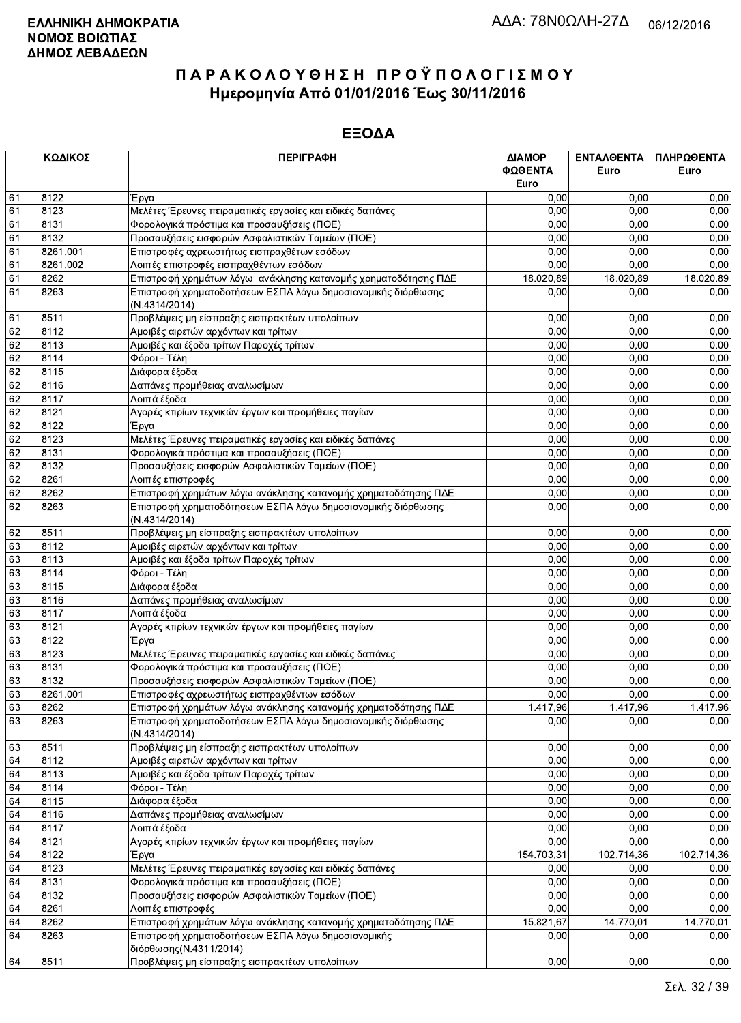|    | ΚΩΔΙΚΟΣ  | <b>ПЕРІГРАФН</b>                                                              | ΔΙΑΜΟΡ<br>ΦΩΘΕΝΤΑ<br>Euro | ΕΝΤΑΛΘΕΝΤΑ<br>Euro | ΠΛΗΡΩΘΕΝΤΑ<br>Euro |
|----|----------|-------------------------------------------------------------------------------|---------------------------|--------------------|--------------------|
| 61 | 8122     |                                                                               | 0,00                      | 0,00               | 0,00               |
| 61 | 8123     | Έργα                                                                          | 0,00                      | 0.00               | 0,00               |
| 61 | 8131     | Μελέτες Έρευνες πειραματικές εργασίες και ειδικές δαπάνες                     | 0,00                      | 0,00               | 0,00               |
| 61 | 8132     | Φορολογικά πρόστιμα και προσαυξήσεις (ΠΟΕ)                                    | 0,00                      | 0,00               | 0,00               |
|    |          | Προσαυξήσεις εισφορών Ασφαλιστικών Ταμείων (ΠΟΕ)                              |                           |                    |                    |
| 61 | 8261.001 | Επιστροφές αχρεωστήτως εισπραχθέτων εσόδων                                    | 0.00                      | 0,00               | 0,00               |
| 61 | 8261.002 | Λοιπές επιστροφές εισπραχθέντων εσόδων                                        | 0,00                      | 0,00               | 0,00               |
| 61 | 8262     | Επιστροφή χρημάτων λόγω ανάκλησης κατανομής χρηματοδότησης ΠΔΕ                | 18.020,89                 | 18.020,89          | 18.020.89          |
| 61 | 8263     | Επιστροφή χρηματοδοτήσεων ΕΣΠΑ λόγω δημοσιονομικής διόρθωσης                  | 0,00                      | 0,00               | 0,00               |
|    |          | (N.4314/2014)                                                                 |                           |                    |                    |
| 61 | 8511     | Προβλέψεις μη είσπραξης εισπρακτέων υπολοίπων                                 | 0,00                      | 0.00               | 0,00               |
| 62 | 8112     | Αμοιβές αιρετών αρχόντων και τρίτων                                           | 0,00                      | 0,00               | 0,00               |
| 62 | 8113     | Αμοιβές και έξοδα τρίτων Παροχές τρίτων                                       | 0,00                      | 0,00               | 0,00               |
| 62 | 8114     | Φόροι - Τέλη                                                                  | 0,00                      | 0,00               | 0,00               |
| 62 | 8115     | Διάφορα έξοδα                                                                 | 0,00                      | 0,00               | 0,00               |
| 62 | 8116     | Δαπάνες προμήθειας αναλωσίμων                                                 | 0,00                      | 0,00               | 0,00               |
| 62 | 8117     | Λοιπά έξοδα                                                                   | 0,00                      | 0,00               | 0,00               |
| 62 | 8121     | Αγορές κτιρίων τεχνικών έργων και προμήθειες παγίων                           | 0,00                      | 0,00               | 0,00               |
| 62 | 8122     | Έργα                                                                          | 0,00                      | 0,00               | 0,00               |
| 62 | 8123     | Μελέτες Έρευνες πειραματικές εργασίες και ειδικές δαπάνες                     | 0,00                      | 0,00               | 0,00               |
| 62 | 8131     | Φορολογικά πρόστιμα και προσαυξήσεις (ΠΟΕ)                                    | 0,00                      | 0,00               | 0,00               |
| 62 | 8132     | Προσαυξήσεις εισφορών Ασφαλιστικών Ταμείων (ΠΟΕ)                              | 0,00                      | 0,00               | 0,00               |
| 62 | 8261     | Λοιπές επιστροφές                                                             | 0,00                      | 0,00               | 0,00               |
| 62 | 8262     | Επιστροφή χρημάτων λόγω ανάκλησης κατανομής χρηματοδότησης ΠΔΕ                | 0,00                      | 0,00               | 0,00               |
| 62 | 8263     | Επιστροφή χρηματοδότησεων ΕΣΠΑ λόγω δημοσιονομικής διόρθωσης<br>(N.4314/2014) | 0,00                      | 0,00               | 0,00               |
| 62 | 8511     | Προβλέψεις μη είσπραξης εισπρακτέων υπολοίπων                                 | 0,00                      | 0,00               | 0,00               |
| 63 | 8112     | Αμοιβές αιρετών αρχόντων και τρίτων                                           | 0,00                      | 0,00               | 0,00               |
| 63 | 8113     | Αμοιβές και έξοδα τρίτων Παροχές τρίτων                                       | 0,00                      | 0,00               | 0,00               |
| 63 | 8114     | Φόροι - Τέλη                                                                  | 0,00                      | 0,00               | 0,00               |
| 63 | 8115     | Διάφορα έξοδα                                                                 | 0,00                      | 0.00               | 0,00               |
| 63 | 8116     | Δαπάνες προμήθειας αναλωσίμων                                                 | 0,00                      | 0,00               | 0,00               |
| 63 | 8117     | Λοιπά έξοδα                                                                   | 0,00                      | 0,00               | 0,00               |
| 63 | 8121     | Αγορές κτιρίων τεχνικών έργων και προμήθειες παγίων                           | 0,00                      | 0,00               | 0,00               |
| 63 | 8122     | Έργα                                                                          | 0,00                      | 0,00               | 0,00               |
| 63 | 8123     |                                                                               | 0,00                      | 0,00               | 0,00               |
|    |          | Μελέτες Έρευνες πειραματικές εργασίες και ειδικές δαπάνες                     |                           |                    |                    |
| 63 | 8131     | Φορολογικά πρόστιμα και προσαυξήσεις (ΠΟΕ)                                    | 0,00                      | 0,00               | 0,00               |
| 63 | 8132     | Προσαυξήσεις εισφορών Ασφαλιστικών Ταμείων (ΠΟΕ)                              | 0.00                      | 0,00               | 0,00               |
| 63 | 8261.001 | Επιστροφές αχρεωστήτως εισπραχθέντων εσόδων                                   | 0,00                      | 0,00               | 0,00               |
| 63 | 8262     | Επιστροφή χρημάτων λόγω ανάκλησης κατανομής χρηματοδότησης ΠΔΕ                | 1.417,96                  | 1.417,96           | 1.417,96           |
| 63 | 8263     | Επιστροφή χρηματοδοτήσεων ΕΣΠΑ λόγω δημοσιονομικής διόρθωσης<br>(N.4314/2014) | 0,00                      | 0,00               | 0,00               |
| 63 | 8511     | Προβλέψεις μη είσπραξης εισπρακτέων υπολοίπων                                 | 0,00                      | 0,00               | 0,00               |
| 64 | 8112     | Αμοιβές αιρετών αρχόντων και τρίτων                                           | 0,00                      | 0,00               | 0,00               |
| 64 | 8113     | Αμοιβές και έξοδα τρίτων Παροχές τρίτων                                       | 0,00                      | 0,00               | 0,00               |
| 64 | 8114     | Φόροι - Τέλη                                                                  | 0,00                      | 0,00               | 0,00               |
| 64 | 8115     | Διάφορα έξοδα                                                                 | 0,00                      | 0,00               | 0,00               |
| 64 | 8116     | Δαπάνες προμήθειας αναλωσίμων                                                 | 0,00                      | 0,00               | 0,00               |
| 64 | 8117     | Λοιπά έξοδα                                                                   | 0,00                      | 0,00               | 0,00               |
| 64 | 8121     | Αγορές κτιρίων τεχνικών έργων και προμήθειες παγίων                           | 0,00                      | 0,00               | 0,00               |
| 64 | 8122     | Έργα                                                                          | 154.703,31                | 102.714,36         | 102.714,36         |
| 64 | 8123     | Μελέτες Έρευνες πειραματικές εργασίες και ειδικές δαπάνες                     | 0,00                      | 0,00               | 0,00               |
| 64 | 8131     | Φορολογικά πρόστιμα και προσαυξήσεις (ΠΟΕ)                                    | 0,00                      | 0,00               | 0,00               |
| 64 | 8132     | Προσαυξήσεις εισφορών Ασφαλιστικών Ταμείων (ΠΟΕ)                              | 0,00                      | 0,00               | 0,00               |
| 64 | 8261     | Λοιπές επιστροφές                                                             | 0,00                      | 0,00               | 0,00               |
| 64 | 8262     | Επιστροφή χρημάτων λόγω ανάκλησης κατανομής χρηματοδότησης ΠΔΕ                | 15.821,67                 | 14.770,01          | 14.770,01          |
| 64 | 8263     | Επιστροφή χρηματοδοτήσεων ΕΣΠΑ λόγω δημοσιονομικής<br>διόρθωσης (Ν.4311/2014) | 0,00                      | 0,00               | 0,00               |
| 64 | 8511     | Προβλέψεις μη είσπραξης εισπρακτέων υπολοίπων                                 | 0,00                      | 0,00               | 0,00               |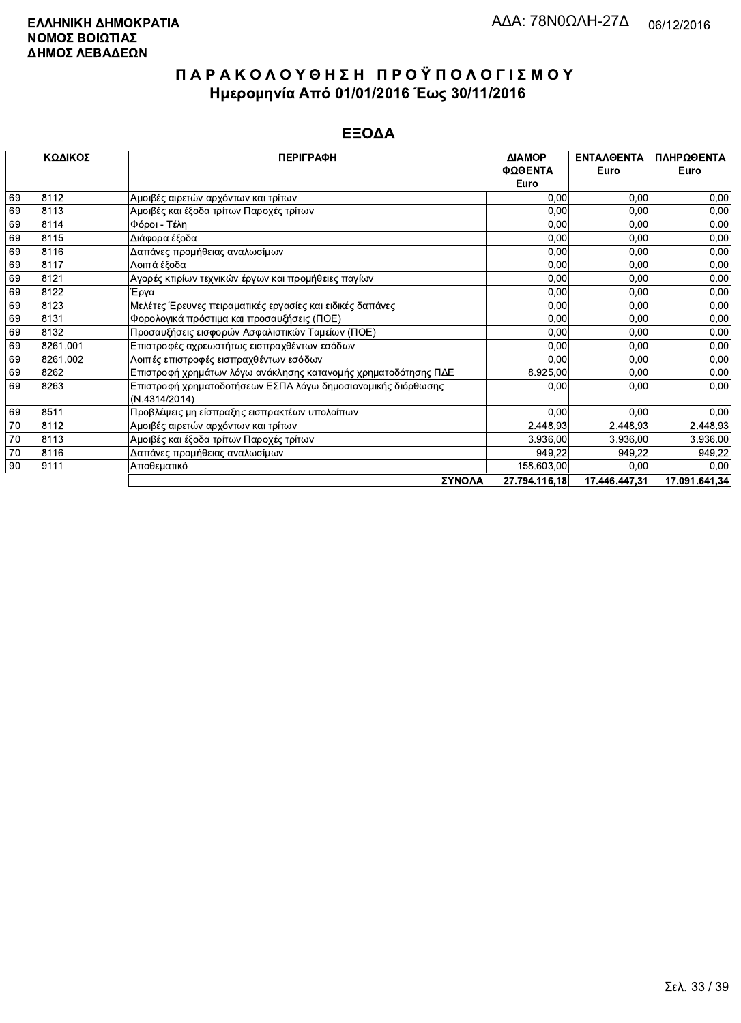|    | ΚΩΔΙΚΟΣ  | <b>ПЕРІГРАФН</b>                                               | <b>AIAMOP</b> | <b>ENTAAOENTA</b> | ΠΛΗΡΩΘΕΝΤΑ    |
|----|----------|----------------------------------------------------------------|---------------|-------------------|---------------|
|    |          |                                                                | ΦΩΘΕΝΤΑ       | Euro              | Euro          |
|    |          |                                                                | Euro          |                   |               |
| 69 | 8112     | Αμοιβές αιρετών αρχόντων και τρίτων                            | 0,00          | 0,00              | 0,00          |
| 69 | 8113     | Αμοιβές και έξοδα τρίτων Παροχές τρίτων                        | 0,00          | 0,00              | 0,00          |
| 69 | 8114     | Φόροι - Τέλη                                                   | 0,00          | 0,00              | 0,00          |
| 69 | 8115     | Διάφορα έξοδα                                                  | 0,00          | 0,00              | 0,00          |
| 69 | 8116     | Δαπάνες προμήθειας αναλωσίμων                                  | 0,00          | 0,00              | 0,00          |
| 69 | 8117     | Λοιπά έξοδα                                                    | 0,00          | 0,00              | 0,00          |
| 69 | 8121     | Αγορές κτιρίων τεχνικών έργων και προμήθειες παγίων            | 0,00          | 0,00              | 0,00          |
| 69 | 8122     | Έργα                                                           | 0,00          | 0,00              | 0,00          |
| 69 | 8123     | Μελέτες Έρευνες πειραματικές εργασίες και ειδικές δαπάνες      | 0,00          | 0,00              | 0,00          |
| 69 | 8131     | Φορολογικά πρόστιμα και προσαυξήσεις (ΠΟΕ)                     | 0,00          | 0,00              | 0,00          |
| 69 | 8132     | Προσαυξήσεις εισφορών Ασφαλιστικών Ταμείων (ΠΟΕ)               | 0,00          | 0,00              | 0,00          |
| 69 | 8261.001 | Επιστροφές αχρεωστήτως εισπραχθέντων εσόδων                    | 0,00          | 0,00              | 0,00          |
| 69 | 8261.002 | Λοιπές επιστροφές εισπραχθέντων εσόδων                         | 0,00          | 0,00              | 0,00          |
| 69 | 8262     | Επιστροφή χρημάτων λόγω ανάκλησης κατανομής χρηματοδότησης ΠΔΕ | 8.925,00      | 0,00              | 0,00          |
| 69 | 8263     | Επιστροφή χρηματοδοτήσεων ΕΣΠΑ λόγω δημοσιονομικής διόρθωσης   | 0,00          | 0,00              | 0,00          |
|    |          | (N.4314/2014)                                                  |               |                   |               |
| 69 | 8511     | Προβλέψεις μη είσπραξης εισπρακτέων υπολοίπων                  | 0,00          | 0,00              | 0,00          |
| 70 | 8112     | Αμοιβές αιρετών αρχόντων και τρίτων                            | 2.448,93      | 2.448,93          | 2.448,93      |
| 70 | 8113     | Αμοιβές και έξοδα τρίτων Παροχές τρίτων                        | 3.936,00      | 3.936,00          | 3.936,00      |
| 70 | 8116     | Δαπάνες προμήθειας αναλωσίμων                                  | 949,22        | 949,22            | 949,22        |
| 90 | 9111     | Αποθεματικό                                                    | 158.603,00    | 0,00              | 0,00          |
|    |          | ΣΥΝΟΛΑ                                                         | 27.794.116,18 | 17.446.447,31     | 17.091.641,34 |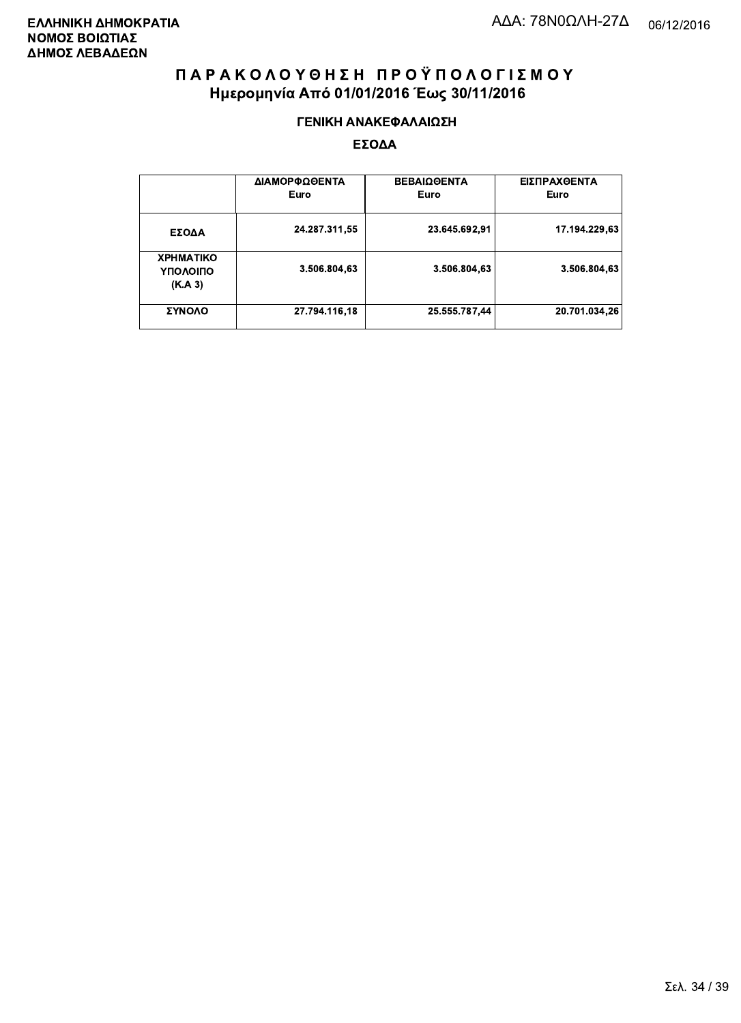#### ΓΕΝΙΚΗ ΑΝΑΚΕΦΑΛΑΙΩΣΗ

|                                         | ΔΙΑΜΟΡΦΩΘΕΝΤΑ<br>Euro | <b>ΒΕΒΑΙΩΘΕΝΤΑ</b><br>Euro | ΕΙΣΠΡΑΧΘΕΝΤΑ<br>Euro |
|-----------------------------------------|-----------------------|----------------------------|----------------------|
| ΕΣΟΔΑ                                   | 24.287.311,55         | 23.645.692.91              | 17.194.229.63        |
| <b>XPHMATIKO</b><br>ΥΠΟΛΟΙΠΟ<br>(K.A.3) | 3.506.804,63          | 3.506.804.63               | 3.506.804.63         |
| ΣΥΝΟΛΟ                                  | 27.794.116,18         | 25.555.787,44              | 20.701.034,26        |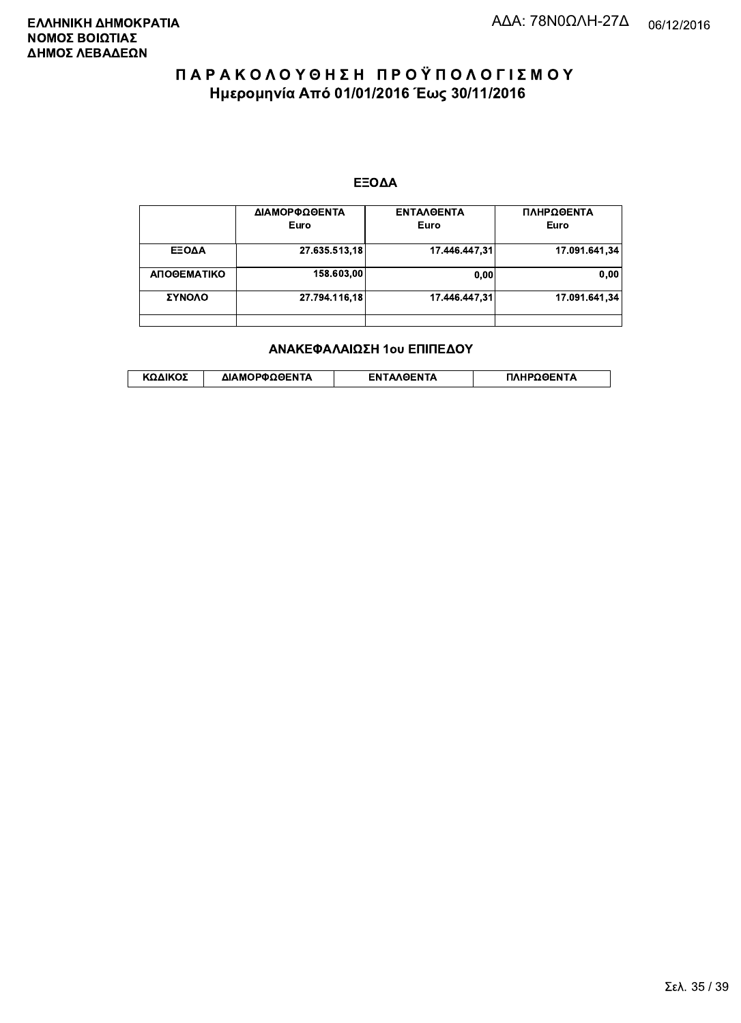#### ΕΞΟΔΑ

|             | ΔΙΑΜΟΡΦΩΘΕΝΤΑ<br>Euro | <b>ENTAAGENTA</b><br>Euro | ΠΛΗΡΩΘΕΝΤΑ<br>Euro |
|-------------|-----------------------|---------------------------|--------------------|
| ΕΞΟΔΑ       | 27.635.513,18         | 17.446.447.31             | 17.091.641,34      |
| ΑΠΟΘΕΜΑΤΙΚΟ | 158.603.00            | 0.00                      | 0,00               |
| ΣΥΝΟΛΟ      | 27.794.116.18         | 17.446.447.31             | 17.091.641.34      |
|             |                       |                           |                    |

#### ΑΝΑΚΕΦΑΛΑΙΩΣΗ 1ου ΕΠΙΠΕΔΟΥ

|  | ΚΩΔΙΚΟΣ | ΔΙΑΜΟΡΦΩΘΕΝΤΑ | <b>AOENTA</b><br>FΝ | ≀OΘFNTA |
|--|---------|---------------|---------------------|---------|
|--|---------|---------------|---------------------|---------|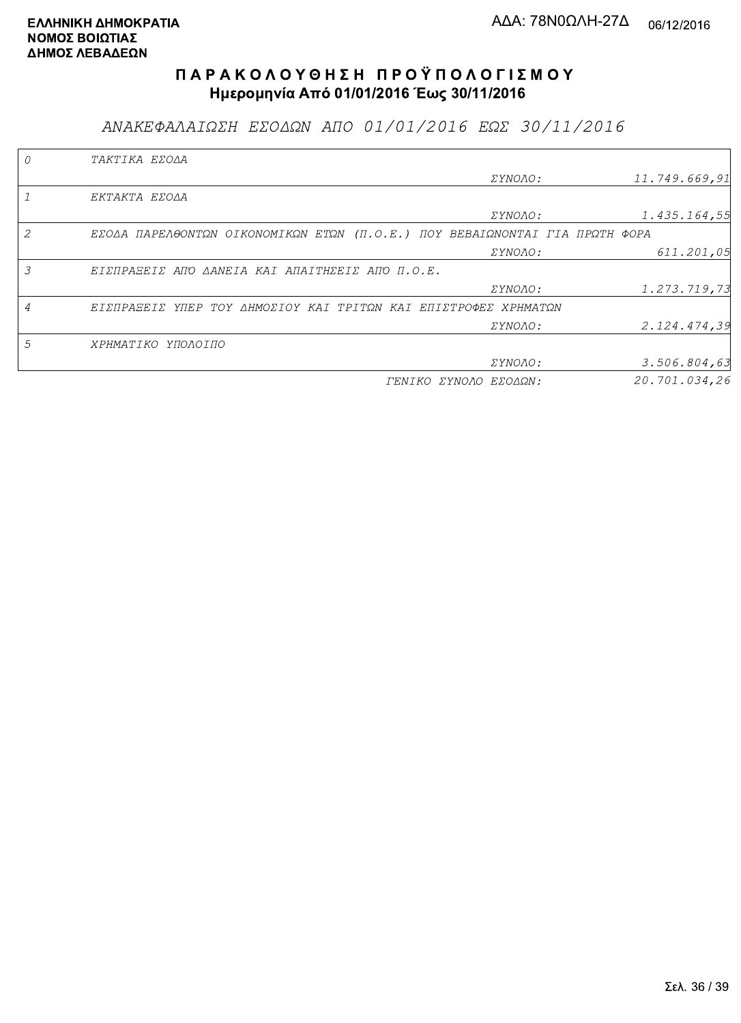ΑΝΑΚΕΦΑΛΑΙΩΣΗ ΕΣΟΔΩΝ ΑΠΟ 01/01/2016 ΕΩΣ 30/11/2016

| TAKTIKA EZOAA                                                               |                       |               |
|-----------------------------------------------------------------------------|-----------------------|---------------|
|                                                                             | <i>EYNOAO:</i>        | 11.749.669,91 |
| EKTAKTA EZOAA                                                               |                       |               |
|                                                                             | <i>EYNOAO:</i>        | 1.435.164,55  |
| EZOAA ΠΑΡΕΛΘΟΝΤΩΝ ΟΙΚΟΝΟΜΙΚΩΝ ΕΤΩΝ (Π.Ο.Ε.) ΠΟΥ ΒΕΒΑΙΩΝΟΝΤΑΙ ΓΙΑ ΠΡΩΤΗ ΦΟΡΑ |                       |               |
|                                                                             | ΣΥΝΟΛΟ:               | 611.201,05    |
| ΕΙΣΠΡΑΞΕΙΣ ΑΠΌ ΔΑΝΕΙΑ ΚΑΙ ΑΠΑΙΤΗΣΕΙΣ ΑΠΌ Π.Ο.Ε.                             |                       |               |
|                                                                             | ΣΥΝΟΛΟ:               | 1.273.719,73  |
| ΕΙΣΠΡΑΞΕΙΣ ΥΠΕΡ ΤΟΥ ΔΗΜΟΣΙΟΥ ΚΑΙ ΤΡΙΤΩΝ ΚΑΙ ΕΠΙΣΤΡΟΦΕΣ ΧΡΗΜΑΤΩΝ             |                       |               |
|                                                                             | <i>EYNOAO:</i>        | 2.124.474,39  |
| ΧΡΗΜΑΤΙΚΟ ΥΠΟΛΟΙΠΟ                                                          |                       |               |
|                                                                             | <i>EYNOAO:</i>        | 3.506.804, 63 |
|                                                                             | ΓΕΝΙΚΟ ΣΥΝΟΛΟ ΕΣΟΔΩΝ: | 20.701.034,26 |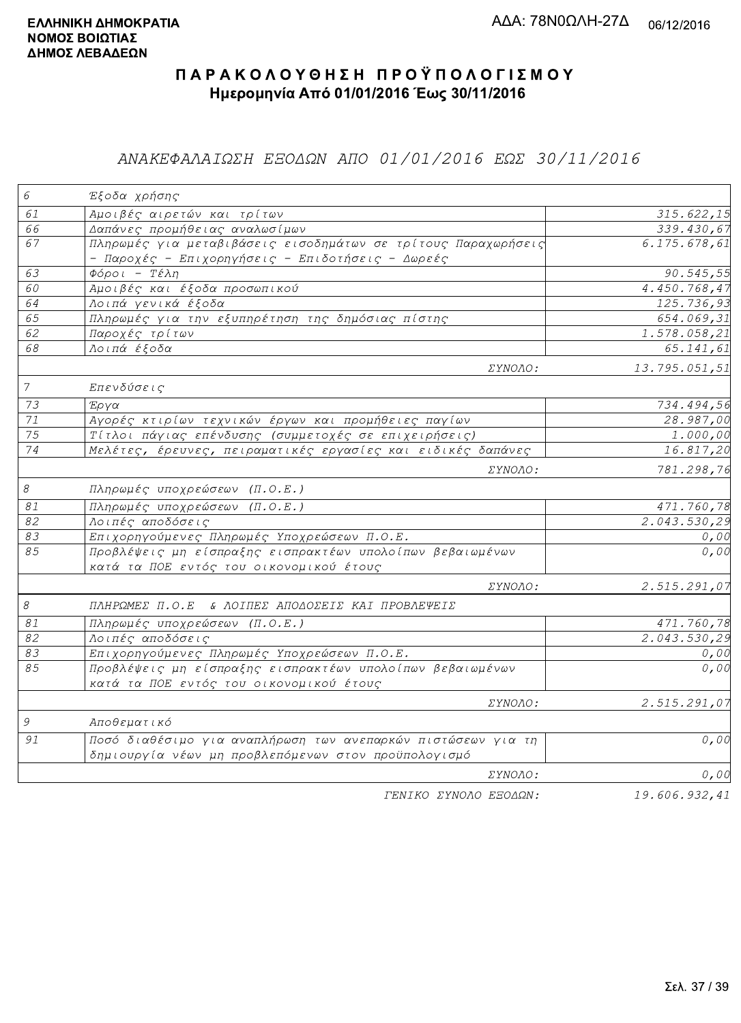### ΑΝΑΚΕΦΑΛΑΙΩΣΗ ΕΞΟΔΩΝ ΑΠΟ 01/01/2016 ΕΩΣ 30/11/2016

| $\epsilon$       | Έξοδα χρήσης                                                                                                      |                        |
|------------------|-------------------------------------------------------------------------------------------------------------------|------------------------|
| 61               | Αμοιβές αιρετών και τρίτων                                                                                        | 315.622,15             |
| 66               | Δαπάνες προμήθειας αναλωσίμων                                                                                     | 339.430,67             |
| 67               | Πληρωμές για μεταβιβάσεις εισοδημάτων σε τρίτους Παραχωρήσεις<br>- Παροχές - Επιχορηγήσεις - Επιδοτήσεις - Δωρεές | 6.175.678,61           |
| 63               | $Φ$ όροι - Τέλη                                                                                                   | 90.545, 55             |
| 60               | Αμοιβές και έξοδα προσωπικού                                                                                      | 4.450.768,47           |
| 64               | Λοιπά γενικά έξοδα                                                                                                | 125.736,93             |
| 65               | Πληρωμές για την εξυπηρέτηση της δημόσιας πίστης                                                                  | 654.069,31             |
| 62               | Παροχές τρίτων                                                                                                    | 1.578.058,21           |
| 68               | Λοιπά έξοδα                                                                                                       | 65.141,61              |
|                  | ΣΥΝΟΛΟ:                                                                                                           | 13.795.051,51          |
| $\boldsymbol{7}$ | Επενδύσεις                                                                                                        |                        |
| 73               | Έργα                                                                                                              | 734.494,56             |
| 71               | Αγορές κτιρίων τεχνικών έργων και προμήθειες παγίων                                                               | $\overline{28.987,00}$ |
| 75               | Τίτλοι πάγιας επένδυσης (συμμετοχές σε επιχειρήσεις)                                                              | $\overline{1}$ .000,00 |
| 74               | Μελέτες, έρευνες, πειραματικές εργασίες και ειδικές δαπάνες                                                       | 16.817,20              |
|                  | <i>EYNOAO:</i>                                                                                                    | 781.298,76             |
| $\mathcal S$     | Πληρωμές υποχρεώσεων (Π.Ο.Ε.)                                                                                     |                        |
| $\mathcal{S}1$   | Πληρωμές υποχρεώσεων (Π.Ο.Ε.)                                                                                     | 471.760,78             |
| 82               | Λοιπές αποδόσεις                                                                                                  | 2.043.530,29           |
| 83               | Επιχορηγούμενες Πληρωμές Υποχρεώσεων Π.Ο.Ε.                                                                       | 0,00                   |
| 85               | Προβλέψεις μη είσπραξης εισπρακτέων υπολοίπων βεβαιωμένων<br>κατά τα ΠΟΕ εντός του οικονομικού έτους              | 0,00                   |
|                  | ΣΥΝΟΛΟ:                                                                                                           | 2.515.291,07           |
| $\mathcal S$     | ΠΛΗΡΩΜΕΣ Π.Ο.Ε & ΛΟΙΠΕΣ ΑΠΟΔΟΣΕΙΣ ΚΑΙ ΠΡΟΒΛΕΨΕΙΣ                                                                  |                        |
| 81               | Πληρωμές υποχρεώσεων (Π.Ο.Ε.)                                                                                     | 471.760,78             |
| 82               | Λοιπές αποδόσεις                                                                                                  | 2.043.530,29           |
| 83               | Επιχορηγούμενες Πληρωμές Υποχρεώσεων Π.Ο.Ε.                                                                       | 0,00                   |
| 85               | Προβλέψεις μη είσπραξης εισπρακτέων υπολοίπων βεβαιωμένων<br>κατά τα ΠΟΕ εντός του οικονομικού έτους              | 0,00                   |
|                  | <i>EYNOAO:</i>                                                                                                    | 2.515.291,07           |
| $\mathcal G$     | Αποθεματικό                                                                                                       |                        |
| 91               | Ποσό διαθέσιμο για αναπλήρωση των ανεπαρκών πιστώσεων για τη                                                      | 0,00                   |
|                  | δημιουργία νέων μη προβλεπόμενων στον προϋπολογισμό                                                               |                        |
|                  | ΣΥΝΟΛΟ:                                                                                                           | 0,00                   |
|                  | FENIKO XYNOAO ESOAON:                                                                                             | 19.606.932.41          |